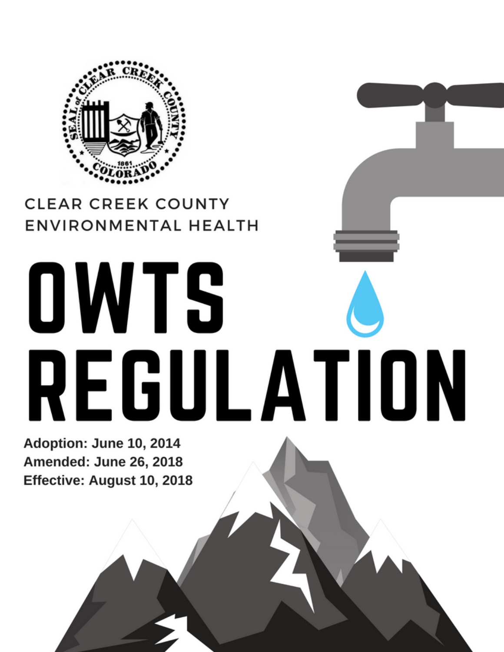

# **CLEAR CREEK COUNTY ENVIRONMENTAL HEALTH**

# **OWTS** REGULATION

Adoption: June 10, 2014 Amended: June 26, 2018 Effective: August 10, 2018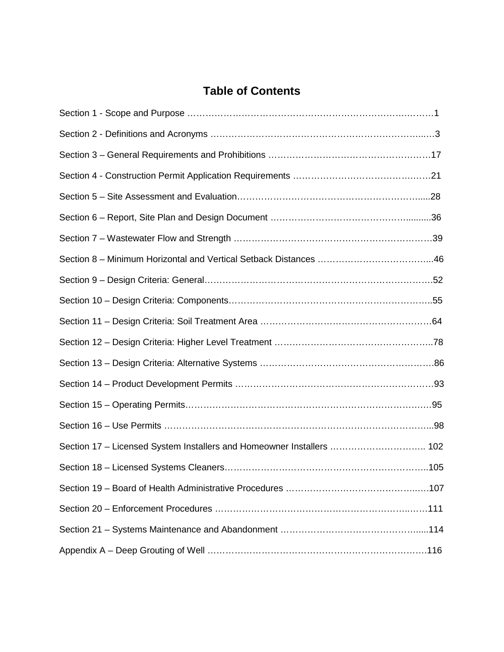# **Table of Contents**

| Section 17 – Licensed System Installers and Homeowner Installers  102 |  |
|-----------------------------------------------------------------------|--|
|                                                                       |  |
|                                                                       |  |
|                                                                       |  |
|                                                                       |  |
|                                                                       |  |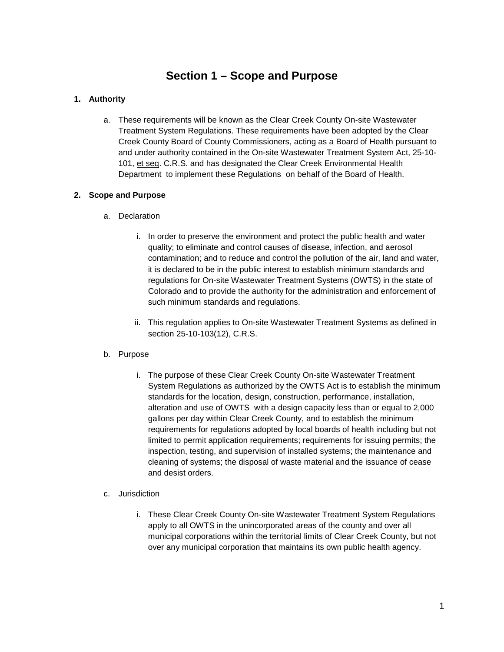# **Section 1 – Scope and Purpose**

### **1. Authority**

a. These requirements will be known as the Clear Creek County On-site Wastewater Treatment System Regulations. These requirements have been adopted by the Clear Creek County Board of County Commissioners, acting as a Board of Health pursuant to and under authority contained in the On-site Wastewater Treatment System Act, 25-10- 101, et seq. C.R.S. and has designated the Clear Creek Environmental Health Department to implement these Regulations on behalf of the Board of Health.

### **2. Scope and Purpose**

- a. Declaration
	- i. In order to preserve the environment and protect the public health and water quality; to eliminate and control causes of disease, infection, and aerosol contamination; and to reduce and control the pollution of the air, land and water, it is declared to be in the public interest to establish minimum standards and regulations for On-site Wastewater Treatment Systems (OWTS) in the state of Colorado and to provide the authority for the administration and enforcement of such minimum standards and regulations.
	- ii. This regulation applies to On-site Wastewater Treatment Systems as defined in section 25-10-103(12), C.R.S.

### b. Purpose

- i. The purpose of these Clear Creek County On-site Wastewater Treatment System Regulations as authorized by the OWTS Act is to establish the minimum standards for the location, design, construction, performance, installation, alteration and use of OWTS with a design capacity less than or equal to 2,000 gallons per day within Clear Creek County, and to establish the minimum requirements for regulations adopted by local boards of health including but not limited to permit application requirements; requirements for issuing permits; the inspection, testing, and supervision of installed systems; the maintenance and cleaning of systems; the disposal of waste material and the issuance of cease and desist orders.
- c. Jurisdiction
	- i. These Clear Creek County On-site Wastewater Treatment System Regulations apply to all OWTS in the unincorporated areas of the county and over all municipal corporations within the territorial limits of Clear Creek County, but not over any municipal corporation that maintains its own public health agency.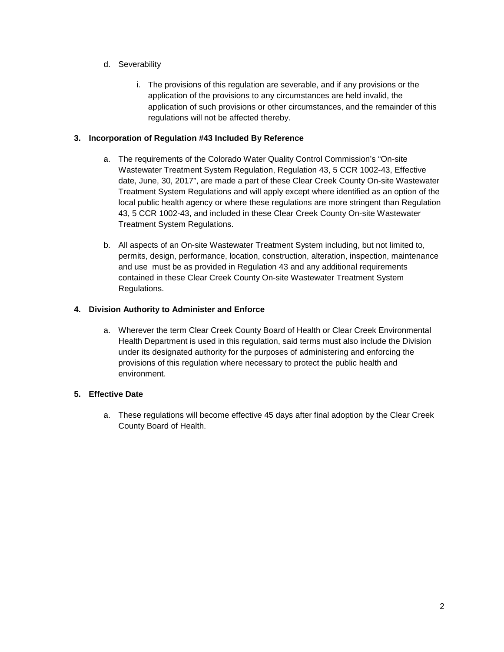- d. Severability
	- i. The provisions of this regulation are severable, and if any provisions or the application of the provisions to any circumstances are held invalid, the application of such provisions or other circumstances, and the remainder of this regulations will not be affected thereby.

### **3. Incorporation of Regulation #43 Included By Reference**

- a. The requirements of the Colorado Water Quality Control Commission's "On-site Wastewater Treatment System Regulation, Regulation 43, 5 CCR 1002-43, Effective date, June, 30, 2017", are made a part of these Clear Creek County On-site Wastewater Treatment System Regulations and will apply except where identified as an option of the local public health agency or where these regulations are more stringent than Regulation 43, 5 CCR 1002-43, and included in these Clear Creek County On-site Wastewater Treatment System Regulations.
- b. All aspects of an On-site Wastewater Treatment System including, but not limited to, permits, design, performance, location, construction, alteration, inspection, maintenance and use must be as provided in Regulation 43 and any additional requirements contained in these Clear Creek County On-site Wastewater Treatment System Regulations.

### **4. Division Authority to Administer and Enforce**

a. Wherever the term Clear Creek County Board of Health or Clear Creek Environmental Health Department is used in this regulation, said terms must also include the Division under its designated authority for the purposes of administering and enforcing the provisions of this regulation where necessary to protect the public health and environment.

### **5. Effective Date**

a. These regulations will become effective 45 days after final adoption by the Clear Creek County Board of Health.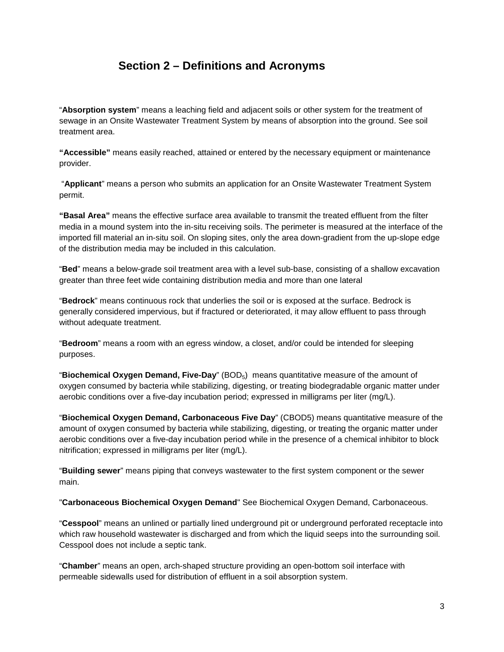# **Section 2 – Definitions and Acronyms**

"**Absorption system**" means a leaching field and adjacent soils or other system for the treatment of sewage in an Onsite Wastewater Treatment System by means of absorption into the ground. See soil treatment area.

**"Accessible"** means easily reached, attained or entered by the necessary equipment or maintenance provider.

"**Applicant**" means a person who submits an application for an Onsite Wastewater Treatment System permit.

**"Basal Area"** means the effective surface area available to transmit the treated effluent from the filter media in a mound system into the in-situ receiving soils. The perimeter is measured at the interface of the imported fill material an in-situ soil. On sloping sites, only the area down-gradient from the up-slope edge of the distribution media may be included in this calculation.

"**Bed**" means a below-grade soil treatment area with a level sub-base, consisting of a shallow excavation greater than three feet wide containing distribution media and more than one lateral

"**Bedrock**" means continuous rock that underlies the soil or is exposed at the surface. Bedrock is generally considered impervious, but if fractured or deteriorated, it may allow effluent to pass through without adequate treatment.

"**Bedroom**" means a room with an egress window, a closet, and/or could be intended for sleeping purposes.

"**Biochemical Oxygen Demand, Five-Day**" (BOD5) means quantitative measure of the amount of oxygen consumed by bacteria while stabilizing, digesting, or treating biodegradable organic matter under aerobic conditions over a five-day incubation period; expressed in milligrams per liter (mg/L).

"**Biochemical Oxygen Demand, Carbonaceous Five Day**" (CBOD5) means quantitative measure of the amount of oxygen consumed by bacteria while stabilizing, digesting, or treating the organic matter under aerobic conditions over a five-day incubation period while in the presence of a chemical inhibitor to block nitrification; expressed in milligrams per liter (mg/L).

"**Building sewer**" means piping that conveys wastewater to the first system component or the sewer main.

"**Carbonaceous Biochemical Oxygen Demand**" See Biochemical Oxygen Demand, Carbonaceous.

"**Cesspool**" means an unlined or partially lined underground pit or underground perforated receptacle into which raw household wastewater is discharged and from which the liquid seeps into the surrounding soil. Cesspool does not include a septic tank.

"**Chamber**" means an open, arch-shaped structure providing an open-bottom soil interface with permeable sidewalls used for distribution of effluent in a soil absorption system.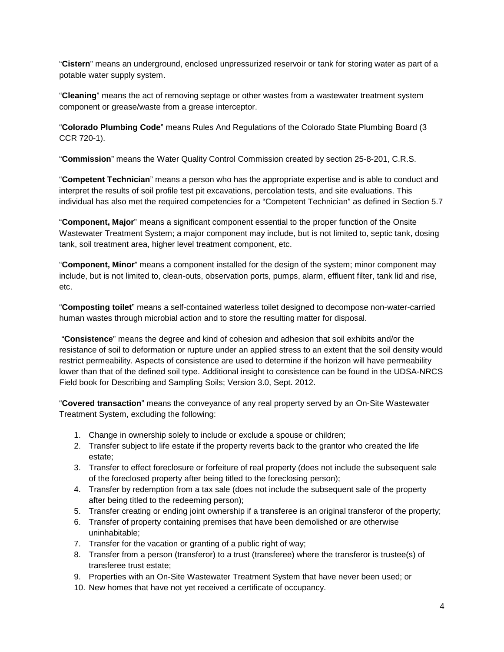"**Cistern**" means an underground, enclosed unpressurized reservoir or tank for storing water as part of a potable water supply system.

"**Cleaning**" means the act of removing septage or other wastes from a wastewater treatment system component or grease/waste from a grease interceptor.

"**Colorado Plumbing Code**" means Rules And Regulations of the Colorado State Plumbing Board (3 CCR 720-1).

"**Commission**" means the Water Quality Control Commission created by section 25-8-201, C.R.S.

"**Competent Technician**" means a person who has the appropriate expertise and is able to conduct and interpret the results of soil profile test pit excavations, percolation tests, and site evaluations. This individual has also met the required competencies for a "Competent Technician" as defined in Section 5.7

"**Component, Major**" means a significant component essential to the proper function of the Onsite Wastewater Treatment System; a major component may include, but is not limited to, septic tank, dosing tank, soil treatment area, higher level treatment component, etc.

"**Component, Minor**" means a component installed for the design of the system; minor component may include, but is not limited to, clean-outs, observation ports, pumps, alarm, effluent filter, tank lid and rise, etc.

"**Composting toilet**" means a self-contained waterless toilet designed to decompose non-water-carried human wastes through microbial action and to store the resulting matter for disposal.

"**Consistence**" means the degree and kind of cohesion and adhesion that soil exhibits and/or the resistance of soil to deformation or rupture under an applied stress to an extent that the soil density would restrict permeability. Aspects of consistence are used to determine if the horizon will have permeability lower than that of the defined soil type. Additional insight to consistence can be found in the UDSA-NRCS Field book for Describing and Sampling Soils; Version 3.0, Sept. 2012.

"**Covered transaction**" means the conveyance of any real property served by an On-Site Wastewater Treatment System, excluding the following:

- 1. Change in ownership solely to include or exclude a spouse or children;
- 2. Transfer subject to life estate if the property reverts back to the grantor who created the life estate;
- 3. Transfer to effect foreclosure or forfeiture of real property (does not include the subsequent sale of the foreclosed property after being titled to the foreclosing person);
- 4. Transfer by redemption from a tax sale (does not include the subsequent sale of the property after being titled to the redeeming person);
- 5. Transfer creating or ending joint ownership if a transferee is an original transferor of the property;
- 6. Transfer of property containing premises that have been demolished or are otherwise uninhabitable;
- 7. Transfer for the vacation or granting of a public right of way;
- 8. Transfer from a person (transferor) to a trust (transferee) where the transferor is trustee(s) of transferee trust estate;
- 9. Properties with an On-Site Wastewater Treatment System that have never been used; or
- 10. New homes that have not yet received a certificate of occupancy.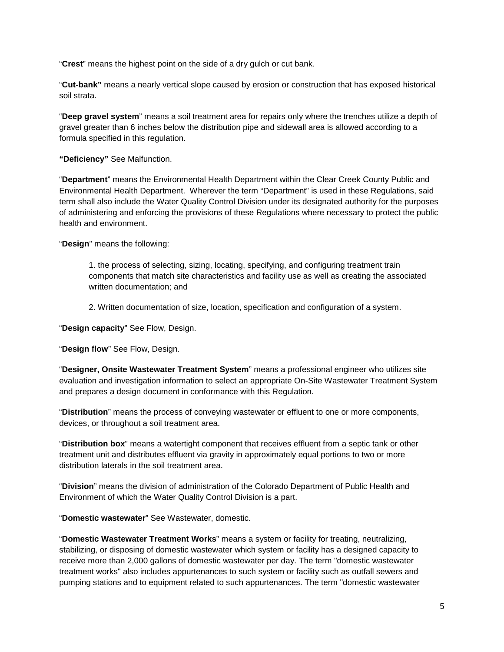"**Crest**" means the highest point on the side of a dry gulch or cut bank.

"**Cut-bank"** means a nearly vertical slope caused by erosion or construction that has exposed historical soil strata.

"**Deep gravel system**" means a soil treatment area for repairs only where the trenches utilize a depth of gravel greater than 6 inches below the distribution pipe and sidewall area is allowed according to a formula specified in this regulation.

**"Deficiency"** See Malfunction.

"**Department**" means the Environmental Health Department within the Clear Creek County Public and Environmental Health Department. Wherever the term "Department" is used in these Regulations, said term shall also include the Water Quality Control Division under its designated authority for the purposes of administering and enforcing the provisions of these Regulations where necessary to protect the public health and environment.

"**Design**" means the following:

1. the process of selecting, sizing, locating, specifying, and configuring treatment train components that match site characteristics and facility use as well as creating the associated written documentation; and

2. Written documentation of size, location, specification and configuration of a system.

"**Design capacity**" See Flow, Design.

"**Design flow**" See Flow, Design.

"**Designer, Onsite Wastewater Treatment System**" means a professional engineer who utilizes site evaluation and investigation information to select an appropriate On-Site Wastewater Treatment System and prepares a design document in conformance with this Regulation.

"**Distribution**" means the process of conveying wastewater or effluent to one or more components, devices, or throughout a soil treatment area.

"**Distribution box**" means a watertight component that receives effluent from a septic tank or other treatment unit and distributes effluent via gravity in approximately equal portions to two or more distribution laterals in the soil treatment area.

"**Division**" means the division of administration of the Colorado Department of Public Health and Environment of which the Water Quality Control Division is a part.

"**Domestic wastewater**" See Wastewater, domestic.

"**Domestic Wastewater Treatment Works**" means a system or facility for treating, neutralizing, stabilizing, or disposing of domestic wastewater which system or facility has a designed capacity to receive more than 2,000 gallons of domestic wastewater per day. The term "domestic wastewater treatment works" also includes appurtenances to such system or facility such as outfall sewers and pumping stations and to equipment related to such appurtenances. The term "domestic wastewater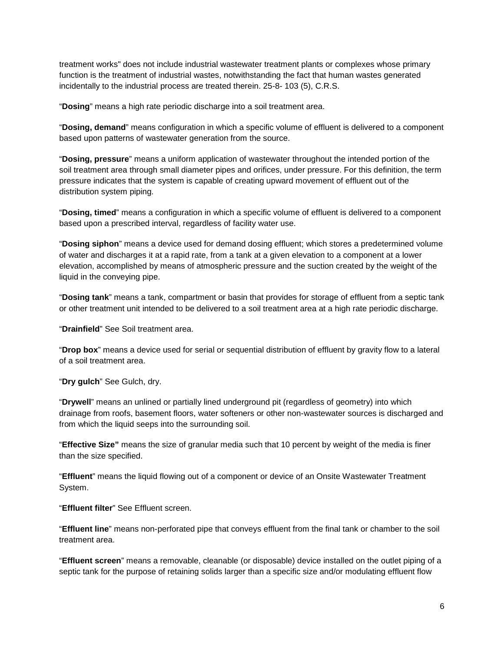treatment works" does not include industrial wastewater treatment plants or complexes whose primary function is the treatment of industrial wastes, notwithstanding the fact that human wastes generated incidentally to the industrial process are treated therein. 25-8- 103 (5), C.R.S.

"**Dosing**" means a high rate periodic discharge into a soil treatment area.

"**Dosing, demand**" means configuration in which a specific volume of effluent is delivered to a component based upon patterns of wastewater generation from the source.

"**Dosing, pressure**" means a uniform application of wastewater throughout the intended portion of the soil treatment area through small diameter pipes and orifices, under pressure. For this definition, the term pressure indicates that the system is capable of creating upward movement of effluent out of the distribution system piping.

"**Dosing, timed**" means a configuration in which a specific volume of effluent is delivered to a component based upon a prescribed interval, regardless of facility water use.

"**Dosing siphon**" means a device used for demand dosing effluent; which stores a predetermined volume of water and discharges it at a rapid rate, from a tank at a given elevation to a component at a lower elevation, accomplished by means of atmospheric pressure and the suction created by the weight of the liquid in the conveying pipe.

"**Dosing tank**" means a tank, compartment or basin that provides for storage of effluent from a septic tank or other treatment unit intended to be delivered to a soil treatment area at a high rate periodic discharge.

"**Drainfield**" See Soil treatment area.

"**Drop box**" means a device used for serial or sequential distribution of effluent by gravity flow to a lateral of a soil treatment area.

"**Dry gulch**" See Gulch, dry.

"**Drywell**" means an unlined or partially lined underground pit (regardless of geometry) into which drainage from roofs, basement floors, water softeners or other non-wastewater sources is discharged and from which the liquid seeps into the surrounding soil.

"**Effective Size"** means the size of granular media such that 10 percent by weight of the media is finer than the size specified.

"**Effluent**" means the liquid flowing out of a component or device of an Onsite Wastewater Treatment System.

"**Effluent filter**" See Effluent screen.

"**Effluent line**" means non-perforated pipe that conveys effluent from the final tank or chamber to the soil treatment area.

"**Effluent screen**" means a removable, cleanable (or disposable) device installed on the outlet piping of a septic tank for the purpose of retaining solids larger than a specific size and/or modulating effluent flow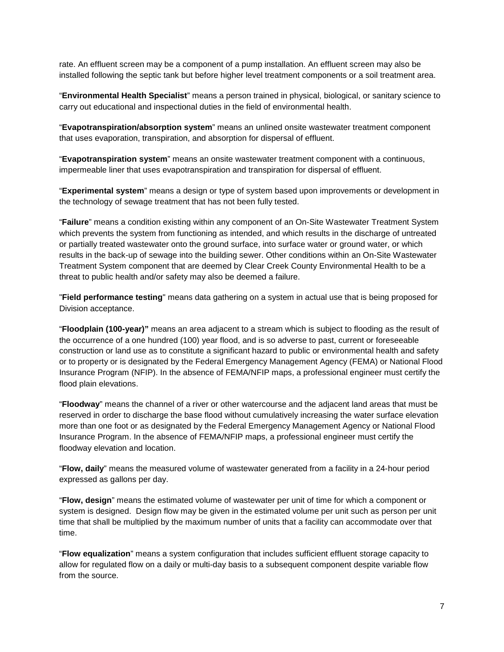rate. An effluent screen may be a component of a pump installation. An effluent screen may also be installed following the septic tank but before higher level treatment components or a soil treatment area.

"**Environmental Health Specialist**" means a person trained in physical, biological, or sanitary science to carry out educational and inspectional duties in the field of environmental health.

"**Evapotranspiration/absorption system**" means an unlined onsite wastewater treatment component that uses evaporation, transpiration, and absorption for dispersal of effluent.

"**Evapotranspiration system**" means an onsite wastewater treatment component with a continuous, impermeable liner that uses evapotranspiration and transpiration for dispersal of effluent.

"**Experimental system**" means a design or type of system based upon improvements or development in the technology of sewage treatment that has not been fully tested.

"**Failure**" means a condition existing within any component of an On-Site Wastewater Treatment System which prevents the system from functioning as intended, and which results in the discharge of untreated or partially treated wastewater onto the ground surface, into surface water or ground water, or which results in the back-up of sewage into the building sewer. Other conditions within an On-Site Wastewater Treatment System component that are deemed by Clear Creek County Environmental Health to be a threat to public health and/or safety may also be deemed a failure.

"**Field performance testing**" means data gathering on a system in actual use that is being proposed for Division acceptance.

"**Floodplain (100-year)"** means an area adjacent to a stream which is subject to flooding as the result of the occurrence of a one hundred (100) year flood, and is so adverse to past, current or foreseeable construction or land use as to constitute a significant hazard to public or environmental health and safety or to property or is designated by the Federal Emergency Management Agency (FEMA) or National Flood Insurance Program (NFIP). In the absence of FEMA/NFIP maps, a professional engineer must certify the flood plain elevations.

"**Floodway**" means the channel of a river or other watercourse and the adjacent land areas that must be reserved in order to discharge the base flood without cumulatively increasing the water surface elevation more than one foot or as designated by the Federal Emergency Management Agency or National Flood Insurance Program. In the absence of FEMA/NFIP maps, a professional engineer must certify the floodway elevation and location.

"**Flow, daily**" means the measured volume of wastewater generated from a facility in a 24-hour period expressed as gallons per day.

"**Flow, design**" means the estimated volume of wastewater per unit of time for which a component or system is designed. Design flow may be given in the estimated volume per unit such as person per unit time that shall be multiplied by the maximum number of units that a facility can accommodate over that time.

"**Flow equalization**" means a system configuration that includes sufficient effluent storage capacity to allow for regulated flow on a daily or multi-day basis to a subsequent component despite variable flow from the source.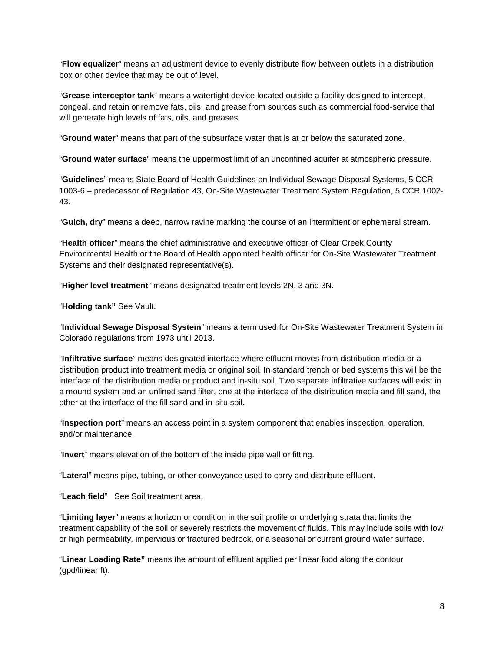"**Flow equalizer**" means an adjustment device to evenly distribute flow between outlets in a distribution box or other device that may be out of level.

"**Grease interceptor tank**" means a watertight device located outside a facility designed to intercept, congeal, and retain or remove fats, oils, and grease from sources such as commercial food-service that will generate high levels of fats, oils, and greases.

"**Ground water**" means that part of the subsurface water that is at or below the saturated zone.

"**Ground water surface**" means the uppermost limit of an unconfined aquifer at atmospheric pressure.

"**Guidelines**" means State Board of Health Guidelines on Individual Sewage Disposal Systems, 5 CCR 1003-6 – predecessor of Regulation 43, On-Site Wastewater Treatment System Regulation, 5 CCR 1002- 43.

"**Gulch, dry**" means a deep, narrow ravine marking the course of an intermittent or ephemeral stream.

"**Health officer**" means the chief administrative and executive officer of Clear Creek County Environmental Health or the Board of Health appointed health officer for On-Site Wastewater Treatment Systems and their designated representative(s).

"**Higher level treatment**" means designated treatment levels 2N, 3 and 3N.

"**Holding tank"** See Vault.

"**Individual Sewage Disposal System**" means a term used for On-Site Wastewater Treatment System in Colorado regulations from 1973 until 2013.

"**Infiltrative surface**" means designated interface where effluent moves from distribution media or a distribution product into treatment media or original soil. In standard trench or bed systems this will be the interface of the distribution media or product and in-situ soil. Two separate infiltrative surfaces will exist in a mound system and an unlined sand filter, one at the interface of the distribution media and fill sand, the other at the interface of the fill sand and in-situ soil.

"**Inspection port**" means an access point in a system component that enables inspection, operation, and/or maintenance.

"**Invert**" means elevation of the bottom of the inside pipe wall or fitting.

"**Lateral**" means pipe, tubing, or other conveyance used to carry and distribute effluent.

"**Leach field**" See Soil treatment area.

"**Limiting layer**" means a horizon or condition in the soil profile or underlying strata that limits the treatment capability of the soil or severely restricts the movement of fluids. This may include soils with low or high permeability, impervious or fractured bedrock, or a seasonal or current ground water surface.

"**Linear Loading Rate"** means the amount of effluent applied per linear food along the contour (gpd/linear ft).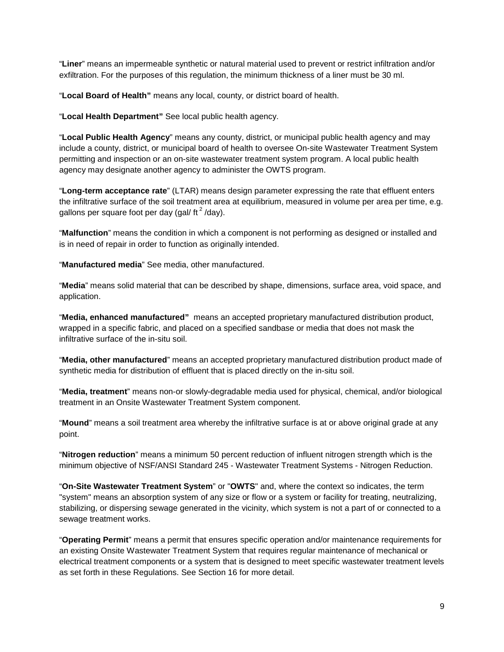"**Liner**" means an impermeable synthetic or natural material used to prevent or restrict infiltration and/or exfiltration. For the purposes of this regulation, the minimum thickness of a liner must be 30 ml.

"**Local Board of Health"** means any local, county, or district board of health.

"**Local Health Department"** See local public health agency.

"**Local Public Health Agency**" means any county, district, or municipal public health agency and may include a county, district, or municipal board of health to oversee On-site Wastewater Treatment System permitting and inspection or an on-site wastewater treatment system program. A local public health agency may designate another agency to administer the OWTS program.

"**Long-term acceptance rate**" (LTAR) means design parameter expressing the rate that effluent enters the infiltrative surface of the soil treatment area at equilibrium, measured in volume per area per time, e.g. gallons per square foot per day (gal/  $\frac{f}{f}$  /day).

"**Malfunction**" means the condition in which a component is not performing as designed or installed and is in need of repair in order to function as originally intended.

"**Manufactured media**" See media, other manufactured.

"**Media**" means solid material that can be described by shape, dimensions, surface area, void space, and application.

"**Media, enhanced manufactured"** means an accepted proprietary manufactured distribution product, wrapped in a specific fabric, and placed on a specified sandbase or media that does not mask the infiltrative surface of the in-situ soil.

"**Media, other manufactured**" means an accepted proprietary manufactured distribution product made of synthetic media for distribution of effluent that is placed directly on the in-situ soil.

"**Media, treatment**" means non-or slowly-degradable media used for physical, chemical, and/or biological treatment in an Onsite Wastewater Treatment System component.

"**Mound**" means a soil treatment area whereby the infiltrative surface is at or above original grade at any point.

"**Nitrogen reduction**" means a minimum 50 percent reduction of influent nitrogen strength which is the minimum objective of NSF/ANSI Standard 245 - Wastewater Treatment Systems - Nitrogen Reduction.

"**On-Site Wastewater Treatment System**" or "**OWTS**" and, where the context so indicates, the term "system" means an absorption system of any size or flow or a system or facility for treating, neutralizing, stabilizing, or dispersing sewage generated in the vicinity, which system is not a part of or connected to a sewage treatment works.

"**Operating Permit**" means a permit that ensures specific operation and/or maintenance requirements for an existing Onsite Wastewater Treatment System that requires regular maintenance of mechanical or electrical treatment components or a system that is designed to meet specific wastewater treatment levels as set forth in these Regulations. See Section 16 for more detail.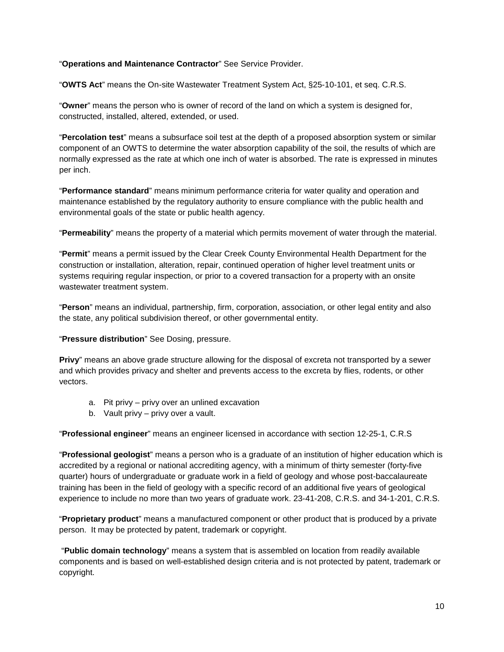### "**Operations and Maintenance Contractor**" See Service Provider.

"**OWTS Act**" means the On-site Wastewater Treatment System Act, §25-10-101, et seq. C.R.S.

"**Owner**" means the person who is owner of record of the land on which a system is designed for, constructed, installed, altered, extended, or used.

"**Percolation test**" means a subsurface soil test at the depth of a proposed absorption system or similar component of an OWTS to determine the water absorption capability of the soil, the results of which are normally expressed as the rate at which one inch of water is absorbed. The rate is expressed in minutes per inch.

"**Performance standard**" means minimum performance criteria for water quality and operation and maintenance established by the regulatory authority to ensure compliance with the public health and environmental goals of the state or public health agency.

"**Permeability**" means the property of a material which permits movement of water through the material.

"**Permit**" means a permit issued by the Clear Creek County Environmental Health Department for the construction or installation, alteration, repair, continued operation of higher level treatment units or systems requiring regular inspection, or prior to a covered transaction for a property with an onsite wastewater treatment system.

"**Person**" means an individual, partnership, firm, corporation, association, or other legal entity and also the state, any political subdivision thereof, or other governmental entity.

"**Pressure distribution**" See Dosing, pressure.

**Privy**" means an above grade structure allowing for the disposal of excreta not transported by a sewer and which provides privacy and shelter and prevents access to the excreta by flies, rodents, or other vectors.

- a. Pit privy privy over an unlined excavation
- b. Vault privy privy over a vault.

"**Professional engineer**" means an engineer licensed in accordance with section 12-25-1, C.R.S

"**Professional geologist**" means a person who is a graduate of an institution of higher education which is accredited by a regional or national accrediting agency, with a minimum of thirty semester (forty-five quarter) hours of undergraduate or graduate work in a field of geology and whose post-baccalaureate training has been in the field of geology with a specific record of an additional five years of geological experience to include no more than two years of graduate work. 23-41-208, C.R.S. and 34-1-201, C.R.S.

"**Proprietary product**" means a manufactured component or other product that is produced by a private person. It may be protected by patent, trademark or copyright.

"**Public domain technology**" means a system that is assembled on location from readily available components and is based on well-established design criteria and is not protected by patent, trademark or copyright.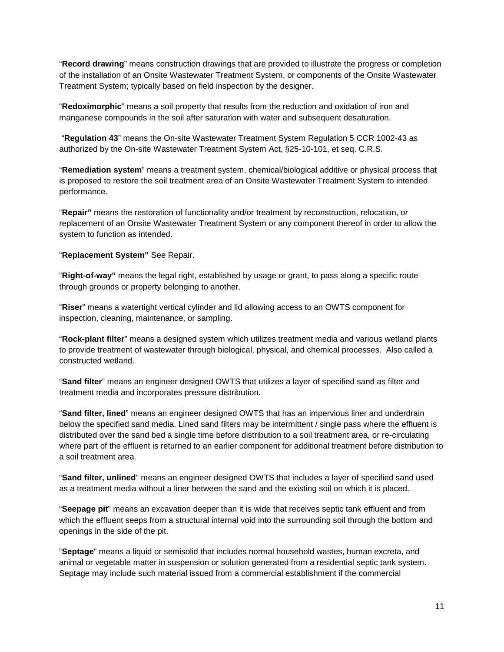"**Record drawing**" means construction drawings that are provided to illustrate the progress or completion of the installation of an Onsite Wastewater Treatment System, or components of the Onsite Wastewater Treatment System; typically based on field inspection by the designer.

"**Redoximorphic**" means a soil property that results from the reduction and oxidation of iron and manganese compounds in the soil after saturation with water and subsequent desaturation.

"**Regulation 43**" means the On-site Wastewater Treatment System Regulation 5 CCR 1002-43 as authorized by the On-site Wastewater Treatment System Act, §25-10-101, et seq. C.R.S.

"**Remediation system**" means a treatment system, chemical/biological additive or physical process that is proposed to restore the soil treatment area of an Onsite Wastewater Treatment System to intended performance.

"**Repair"** means the restoration of functionality and/or treatment by reconstruction, relocation, or replacement of an Onsite Wastewater Treatment System or any component thereof in order to allow the system to function as intended.

### "**Replacement System"** See Repair.

"**Right-of-way"** means the legal right, established by usage or grant, to pass along a specific route through grounds or property belonging to another.

"**Riser**" means a watertight vertical cylinder and lid allowing access to an OWTS component for inspection, cleaning, maintenance, or sampling.

"**Rock-plant filter**" means a designed system which utilizes treatment media and various wetland plants to provide treatment of wastewater through biological, physical, and chemical processes. Also called a constructed wetland.

"**Sand filter**" means an engineer designed OWTS that utilizes a layer of specified sand as filter and treatment media and incorporates pressure distribution.

"**Sand filter, lined**" means an engineer designed OWTS that has an impervious liner and underdrain below the specified sand media. Lined sand filters may be intermittent / single pass where the effluent is distributed over the sand bed a single time before distribution to a soil treatment area, or re-circulating where part of the effluent is returned to an earlier component for additional treatment before distribution to a soil treatment area.

"**Sand filter, unlined**" means an engineer designed OWTS that includes a layer of specified sand used as a treatment media without a liner between the sand and the existing soil on which it is placed.

"**Seepage pit**" means an excavation deeper than it is wide that receives septic tank effluent and from which the effluent seeps from a structural internal void into the surrounding soil through the bottom and openings in the side of the pit.

"**Septage**" means a liquid or semisolid that includes normal household wastes, human excreta, and animal or vegetable matter in suspension or solution generated from a residential septic tank system. Septage may include such material issued from a commercial establishment if the commercial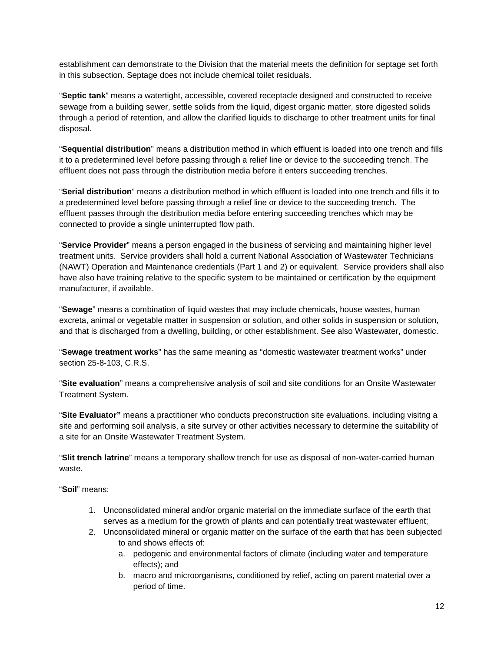establishment can demonstrate to the Division that the material meets the definition for septage set forth in this subsection. Septage does not include chemical toilet residuals.

"**Septic tank**" means a watertight, accessible, covered receptacle designed and constructed to receive sewage from a building sewer, settle solids from the liquid, digest organic matter, store digested solids through a period of retention, and allow the clarified liquids to discharge to other treatment units for final disposal.

"**Sequential distribution**" means a distribution method in which effluent is loaded into one trench and fills it to a predetermined level before passing through a relief line or device to the succeeding trench. The effluent does not pass through the distribution media before it enters succeeding trenches.

"**Serial distribution**" means a distribution method in which effluent is loaded into one trench and fills it to a predetermined level before passing through a relief line or device to the succeeding trench. The effluent passes through the distribution media before entering succeeding trenches which may be connected to provide a single uninterrupted flow path.

"**Service Provider**" means a person engaged in the business of servicing and maintaining higher level treatment units. Service providers shall hold a current National Association of Wastewater Technicians (NAWT) Operation and Maintenance credentials (Part 1 and 2) or equivalent. Service providers shall also have also have training relative to the specific system to be maintained or certification by the equipment manufacturer, if available.

"**Sewage**" means a combination of liquid wastes that may include chemicals, house wastes, human excreta, animal or vegetable matter in suspension or solution, and other solids in suspension or solution, and that is discharged from a dwelling, building, or other establishment. See also Wastewater, domestic.

"**Sewage treatment works**" has the same meaning as "domestic wastewater treatment works" under section 25-8-103, C.R.S.

"**Site evaluation**" means a comprehensive analysis of soil and site conditions for an Onsite Wastewater Treatment System.

"**Site Evaluator"** means a practitioner who conducts preconstruction site evaluations, including visitng a site and performing soil analysis, a site survey or other activities necessary to determine the suitability of a site for an Onsite Wastewater Treatment System.

"**Slit trench latrine**" means a temporary shallow trench for use as disposal of non-water-carried human waste.

"**Soil**" means:

- 1. Unconsolidated mineral and/or organic material on the immediate surface of the earth that serves as a medium for the growth of plants and can potentially treat wastewater effluent;
- 2. Unconsolidated mineral or organic matter on the surface of the earth that has been subjected to and shows effects of:
	- a. pedogenic and environmental factors of climate (including water and temperature effects); and
	- b. macro and microorganisms, conditioned by relief, acting on parent material over a period of time.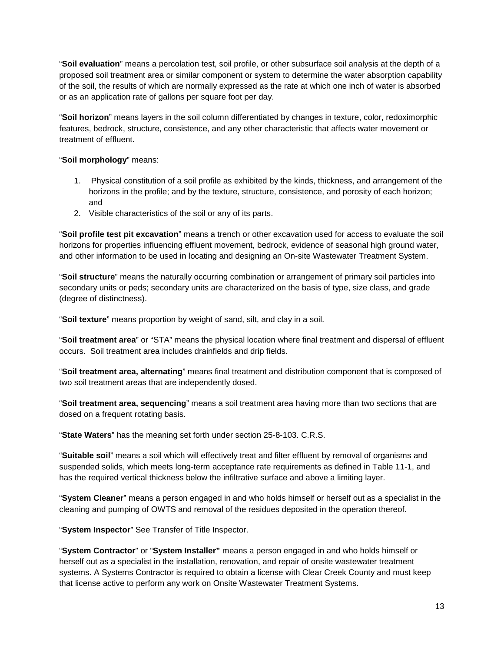"**Soil evaluation**" means a percolation test, soil profile, or other subsurface soil analysis at the depth of a proposed soil treatment area or similar component or system to determine the water absorption capability of the soil, the results of which are normally expressed as the rate at which one inch of water is absorbed or as an application rate of gallons per square foot per day.

"**Soil horizon**" means layers in the soil column differentiated by changes in texture, color, redoximorphic features, bedrock, structure, consistence, and any other characteristic that affects water movement or treatment of effluent.

### "**Soil morphology**" means:

- 1. Physical constitution of a soil profile as exhibited by the kinds, thickness, and arrangement of the horizons in the profile; and by the texture, structure, consistence, and porosity of each horizon; and
- 2. Visible characteristics of the soil or any of its parts.

"**Soil profile test pit excavation**" means a trench or other excavation used for access to evaluate the soil horizons for properties influencing effluent movement, bedrock, evidence of seasonal high ground water, and other information to be used in locating and designing an On-site Wastewater Treatment System.

"**Soil structure**" means the naturally occurring combination or arrangement of primary soil particles into secondary units or peds; secondary units are characterized on the basis of type, size class, and grade (degree of distinctness).

"**Soil texture**" means proportion by weight of sand, silt, and clay in a soil.

"**Soil treatment area**" or "STA" means the physical location where final treatment and dispersal of effluent occurs. Soil treatment area includes drainfields and drip fields.

"**Soil treatment area, alternating**" means final treatment and distribution component that is composed of two soil treatment areas that are independently dosed.

"**Soil treatment area, sequencing**" means a soil treatment area having more than two sections that are dosed on a frequent rotating basis.

"**State Waters**" has the meaning set forth under section 25-8-103. C.R.S.

"**Suitable soil**" means a soil which will effectively treat and filter effluent by removal of organisms and suspended solids, which meets long-term acceptance rate requirements as defined in Table 11-1, and has the required vertical thickness below the infiltrative surface and above a limiting layer.

"**System Cleaner**" means a person engaged in and who holds himself or herself out as a specialist in the cleaning and pumping of OWTS and removal of the residues deposited in the operation thereof.

"**System Inspector**" See Transfer of Title Inspector.

"**System Contractor**" or "**System Installer"** means a person engaged in and who holds himself or herself out as a specialist in the installation, renovation, and repair of onsite wastewater treatment systems. A Systems Contractor is required to obtain a license with Clear Creek County and must keep that license active to perform any work on Onsite Wastewater Treatment Systems.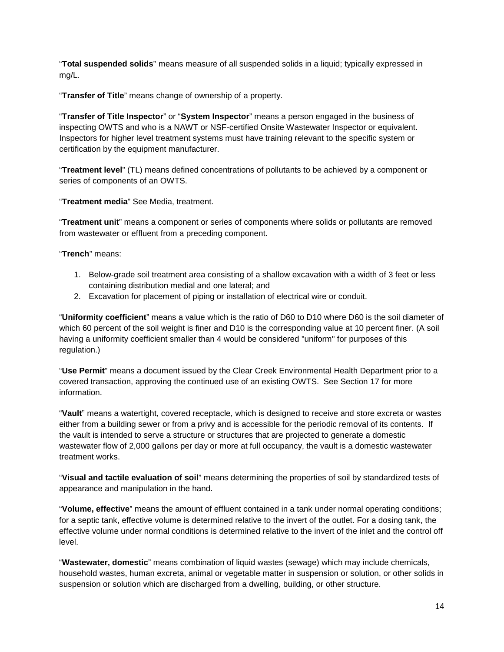"**Total suspended solids**" means measure of all suspended solids in a liquid; typically expressed in mg/L.

"**Transfer of Title**" means change of ownership of a property.

"**Transfer of Title Inspector**" or "**System Inspector**" means a person engaged in the business of inspecting OWTS and who is a NAWT or NSF-certified Onsite Wastewater Inspector or equivalent. Inspectors for higher level treatment systems must have training relevant to the specific system or certification by the equipment manufacturer.

"**Treatment level**" (TL) means defined concentrations of pollutants to be achieved by a component or series of components of an OWTS.

"**Treatment media**" See Media, treatment.

"**Treatment unit**" means a component or series of components where solids or pollutants are removed from wastewater or effluent from a preceding component.

"**Trench**" means:

- 1. Below-grade soil treatment area consisting of a shallow excavation with a width of 3 feet or less containing distribution medial and one lateral; and
- 2. Excavation for placement of piping or installation of electrical wire or conduit.

"**Uniformity coefficient**" means a value which is the ratio of D60 to D10 where D60 is the soil diameter of which 60 percent of the soil weight is finer and D10 is the corresponding value at 10 percent finer. (A soil having a uniformity coefficient smaller than 4 would be considered "uniform" for purposes of this regulation.)

"**Use Permit**" means a document issued by the Clear Creek Environmental Health Department prior to a covered transaction, approving the continued use of an existing OWTS. See Section 17 for more information.

"**Vault**" means a watertight, covered receptacle, which is designed to receive and store excreta or wastes either from a building sewer or from a privy and is accessible for the periodic removal of its contents. If the vault is intended to serve a structure or structures that are projected to generate a domestic wastewater flow of 2,000 gallons per day or more at full occupancy, the vault is a domestic wastewater treatment works.

"**Visual and tactile evaluation of soil**" means determining the properties of soil by standardized tests of appearance and manipulation in the hand.

"**Volume, effective**" means the amount of effluent contained in a tank under normal operating conditions; for a septic tank, effective volume is determined relative to the invert of the outlet. For a dosing tank, the effective volume under normal conditions is determined relative to the invert of the inlet and the control off level.

"**Wastewater, domestic**" means combination of liquid wastes (sewage) which may include chemicals, household wastes, human excreta, animal or vegetable matter in suspension or solution, or other solids in suspension or solution which are discharged from a dwelling, building, or other structure.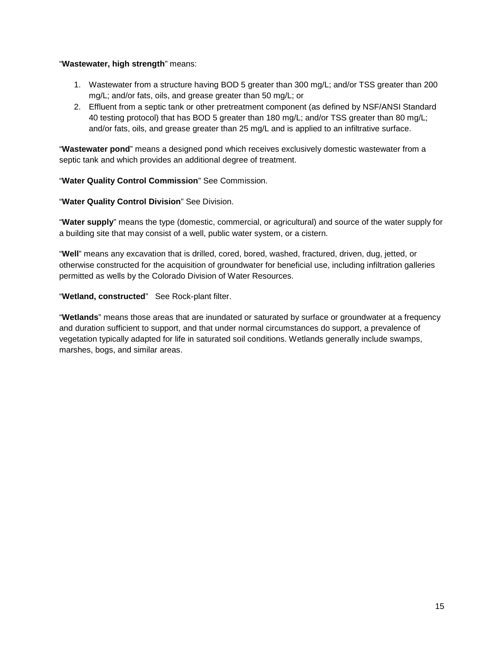### "**Wastewater, high strength**" means:

- 1. Wastewater from a structure having BOD 5 greater than 300 mg/L; and/or TSS greater than 200 mg/L; and/or fats, oils, and grease greater than 50 mg/L; or
- 2. Effluent from a septic tank or other pretreatment component (as defined by NSF/ANSI Standard 40 testing protocol) that has BOD 5 greater than 180 mg/L; and/or TSS greater than 80 mg/L; and/or fats, oils, and grease greater than 25 mg/L and is applied to an infiltrative surface.

"**Wastewater pond**" means a designed pond which receives exclusively domestic wastewater from a septic tank and which provides an additional degree of treatment.

### "**Water Quality Control Commission**" See Commission.

### "**Water Quality Control Division**" See Division.

"**Water supply**" means the type (domestic, commercial, or agricultural) and source of the water supply for a building site that may consist of a well, public water system, or a cistern.

"**Well**" means any excavation that is drilled, cored, bored, washed, fractured, driven, dug, jetted, or otherwise constructed for the acquisition of groundwater for beneficial use, including infiltration galleries permitted as wells by the Colorado Division of Water Resources.

### "**Wetland, constructed**" See Rock-plant filter.

"**Wetlands**" means those areas that are inundated or saturated by surface or groundwater at a frequency and duration sufficient to support, and that under normal circumstances do support, a prevalence of vegetation typically adapted for life in saturated soil conditions. Wetlands generally include swamps, marshes, bogs, and similar areas.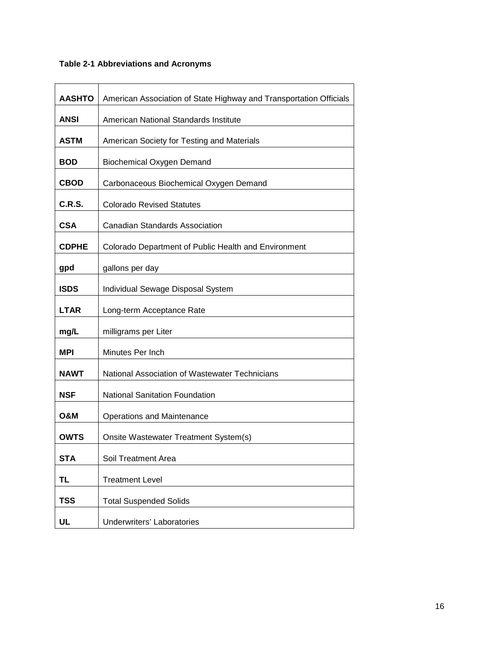### **Table 2-1 Abbreviations and Acronyms**

| <b>AASHTO</b> | American Association of State Highway and Transportation Officials |
|---------------|--------------------------------------------------------------------|
| <b>ANSI</b>   | American National Standards Institute                              |
| <b>ASTM</b>   | American Society for Testing and Materials                         |
| <b>BOD</b>    | <b>Biochemical Oxygen Demand</b>                                   |
| <b>CBOD</b>   | Carbonaceous Biochemical Oxygen Demand                             |
| C.R.S.        | <b>Colorado Revised Statutes</b>                                   |
| <b>CSA</b>    | <b>Canadian Standards Association</b>                              |
| <b>CDPHE</b>  | Colorado Department of Public Health and Environment               |
| gpd           | gallons per day                                                    |
| <b>ISDS</b>   | Individual Sewage Disposal System                                  |
| <b>LTAR</b>   | Long-term Acceptance Rate                                          |
| mg/L          | milligrams per Liter                                               |
| <b>MPI</b>    | Minutes Per Inch                                                   |
| <b>NAWT</b>   | National Association of Wastewater Technicians                     |
| <b>NSF</b>    | <b>National Sanitation Foundation</b>                              |
| O&M           | <b>Operations and Maintenance</b>                                  |
| <b>OWTS</b>   | Onsite Wastewater Treatment System(s)                              |
| <b>STA</b>    | Soil Treatment Area                                                |
| TL            | <b>Treatment Level</b>                                             |
| <b>TSS</b>    | <b>Total Suspended Solids</b>                                      |
| UL            | <b>Underwriters' Laboratories</b>                                  |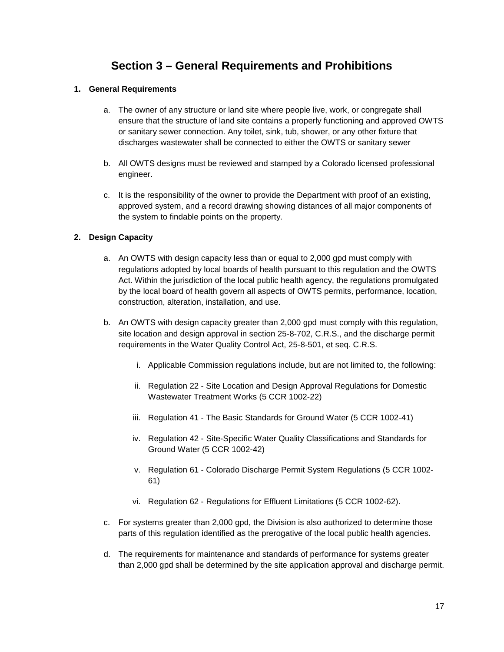# **Section 3 – General Requirements and Prohibitions**

### **1. General Requirements**

- a. The owner of any structure or land site where people live, work, or congregate shall ensure that the structure of land site contains a properly functioning and approved OWTS or sanitary sewer connection. Any toilet, sink, tub, shower, or any other fixture that discharges wastewater shall be connected to either the OWTS or sanitary sewer
- b. All OWTS designs must be reviewed and stamped by a Colorado licensed professional engineer.
- c. It is the responsibility of the owner to provide the Department with proof of an existing, approved system, and a record drawing showing distances of all major components of the system to findable points on the property.

### **2. Design Capacity**

- a. An OWTS with design capacity less than or equal to 2,000 gpd must comply with regulations adopted by local boards of health pursuant to this regulation and the OWTS Act. Within the jurisdiction of the local public health agency, the regulations promulgated by the local board of health govern all aspects of OWTS permits, performance, location, construction, alteration, installation, and use.
- b. An OWTS with design capacity greater than 2,000 gpd must comply with this regulation, site location and design approval in section 25-8-702, C.R.S., and the discharge permit requirements in the Water Quality Control Act, 25-8-501, et seq. C.R.S.
	- i. Applicable Commission regulations include, but are not limited to, the following:
	- ii. Regulation 22 Site Location and Design Approval Regulations for Domestic Wastewater Treatment Works (5 CCR 1002-22)
	- iii. Regulation 41 The Basic Standards for Ground Water (5 CCR 1002-41)
	- iv. Regulation 42 Site-Specific Water Quality Classifications and Standards for Ground Water (5 CCR 1002-42)
	- v. Regulation 61 Colorado Discharge Permit System Regulations (5 CCR 1002- 61)
	- vi. Regulation 62 Regulations for Effluent Limitations (5 CCR 1002-62).
- c. For systems greater than 2,000 gpd, the Division is also authorized to determine those parts of this regulation identified as the prerogative of the local public health agencies.
- d. The requirements for maintenance and standards of performance for systems greater than 2,000 gpd shall be determined by the site application approval and discharge permit.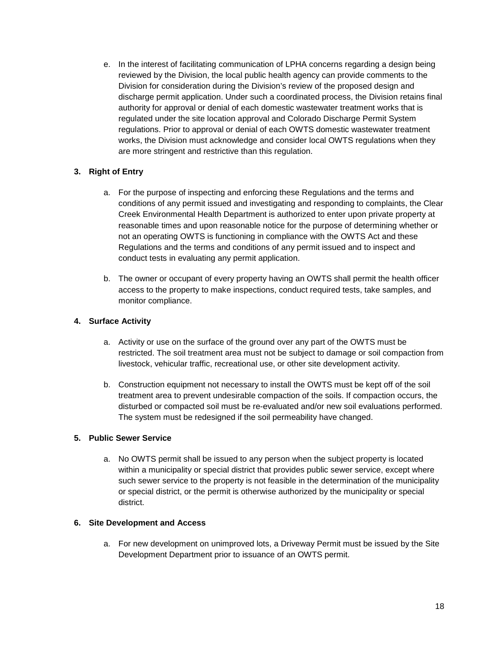e. In the interest of facilitating communication of LPHA concerns regarding a design being reviewed by the Division, the local public health agency can provide comments to the Division for consideration during the Division's review of the proposed design and discharge permit application. Under such a coordinated process, the Division retains final authority for approval or denial of each domestic wastewater treatment works that is regulated under the site location approval and Colorado Discharge Permit System regulations. Prior to approval or denial of each OWTS domestic wastewater treatment works, the Division must acknowledge and consider local OWTS regulations when they are more stringent and restrictive than this regulation.

### **3. Right of Entry**

- a. For the purpose of inspecting and enforcing these Regulations and the terms and conditions of any permit issued and investigating and responding to complaints, the Clear Creek Environmental Health Department is authorized to enter upon private property at reasonable times and upon reasonable notice for the purpose of determining whether or not an operating OWTS is functioning in compliance with the OWTS Act and these Regulations and the terms and conditions of any permit issued and to inspect and conduct tests in evaluating any permit application.
- b. The owner or occupant of every property having an OWTS shall permit the health officer access to the property to make inspections, conduct required tests, take samples, and monitor compliance.

### **4. Surface Activity**

- a. Activity or use on the surface of the ground over any part of the OWTS must be restricted. The soil treatment area must not be subject to damage or soil compaction from livestock, vehicular traffic, recreational use, or other site development activity.
- b. Construction equipment not necessary to install the OWTS must be kept off of the soil treatment area to prevent undesirable compaction of the soils. If compaction occurs, the disturbed or compacted soil must be re-evaluated and/or new soil evaluations performed. The system must be redesigned if the soil permeability have changed.

### **5. Public Sewer Service**

a. No OWTS permit shall be issued to any person when the subject property is located within a municipality or special district that provides public sewer service, except where such sewer service to the property is not feasible in the determination of the municipality or special district, or the permit is otherwise authorized by the municipality or special district.

### **6. Site Development and Access**

a. For new development on unimproved lots, a Driveway Permit must be issued by the Site Development Department prior to issuance of an OWTS permit.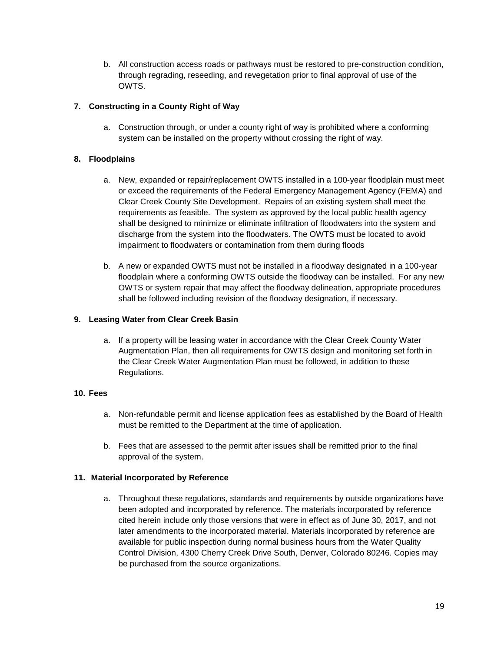b. All construction access roads or pathways must be restored to pre-construction condition, through regrading, reseeding, and revegetation prior to final approval of use of the OWTS.

### **7. Constructing in a County Right of Way**

a. Construction through, or under a county right of way is prohibited where a conforming system can be installed on the property without crossing the right of way.

### **8. Floodplains**

- a. New, expanded or repair/replacement OWTS installed in a 100-year floodplain must meet or exceed the requirements of the Federal Emergency Management Agency (FEMA) and Clear Creek County Site Development. Repairs of an existing system shall meet the requirements as feasible. The system as approved by the local public health agency shall be designed to minimize or eliminate infiltration of floodwaters into the system and discharge from the system into the floodwaters. The OWTS must be located to avoid impairment to floodwaters or contamination from them during floods
- b. A new or expanded OWTS must not be installed in a floodway designated in a 100-year floodplain where a conforming OWTS outside the floodway can be installed. For any new OWTS or system repair that may affect the floodway delineation, appropriate procedures shall be followed including revision of the floodway designation, if necessary.

### **9. Leasing Water from Clear Creek Basin**

a. If a property will be leasing water in accordance with the Clear Creek County Water Augmentation Plan, then all requirements for OWTS design and monitoring set forth in the Clear Creek Water Augmentation Plan must be followed, in addition to these Regulations.

### **10. Fees**

- a. Non-refundable permit and license application fees as established by the Board of Health must be remitted to the Department at the time of application.
- b. Fees that are assessed to the permit after issues shall be remitted prior to the final approval of the system.

### **11. Material Incorporated by Reference**

a. Throughout these regulations, standards and requirements by outside organizations have been adopted and incorporated by reference. The materials incorporated by reference cited herein include only those versions that were in effect as of June 30, 2017, and not later amendments to the incorporated material. Materials incorporated by reference are available for public inspection during normal business hours from the Water Quality Control Division, 4300 Cherry Creek Drive South, Denver, Colorado 80246. Copies may be purchased from the source organizations.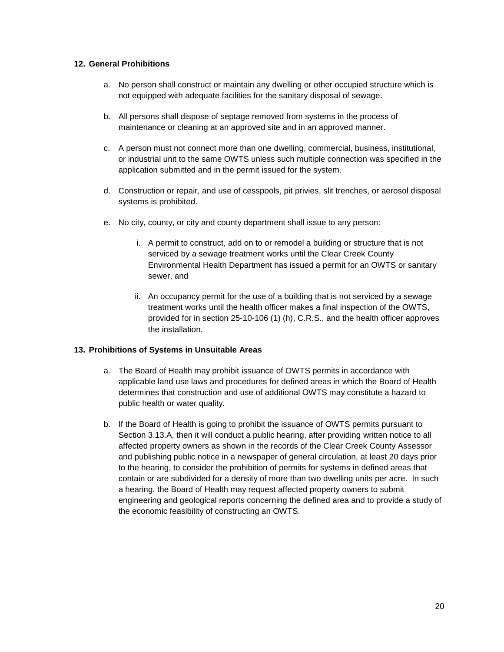### **12. General Prohibitions**

- a. No person shall construct or maintain any dwelling or other occupied structure which is not equipped with adequate facilities for the sanitary disposal of sewage.
- b. All persons shall dispose of septage removed from systems in the process of maintenance or cleaning at an approved site and in an approved manner.
- c. A person must not connect more than one dwelling, commercial, business, institutional, or industrial unit to the same OWTS unless such multiple connection was specified in the application submitted and in the permit issued for the system.
- d. Construction or repair, and use of cesspools, pit privies, slit trenches, or aerosol disposal systems is prohibited.
- e. No city, county, or city and county department shall issue to any person:
	- i. A permit to construct, add on to or remodel a building or structure that is not serviced by a sewage treatment works until the Clear Creek County Environmental Health Department has issued a permit for an OWTS or sanitary sewer, and
	- ii. An occupancy permit for the use of a building that is not serviced by a sewage treatment works until the health officer makes a final inspection of the OWTS, provided for in section 25-10-106 (1) (h), C.R.S., and the health officer approves the installation.

### **13. Prohibitions of Systems in Unsuitable Areas**

- a. The Board of Health may prohibit issuance of OWTS permits in accordance with applicable land use laws and procedures for defined areas in which the Board of Health determines that construction and use of additional OWTS may constitute a hazard to public health or water quality.
- b. If the Board of Health is going to prohibit the issuance of OWTS permits pursuant to Section 3.13.A, then it will conduct a public hearing, after providing written notice to all affected property owners as shown in the records of the Clear Creek County Assessor and publishing public notice in a newspaper of general circulation, at least 20 days prior to the hearing, to consider the prohibition of permits for systems in defined areas that contain or are subdivided for a density of more than two dwelling units per acre. In such a hearing, the Board of Health may request affected property owners to submit engineering and geological reports concerning the defined area and to provide a study of the economic feasibility of constructing an OWTS.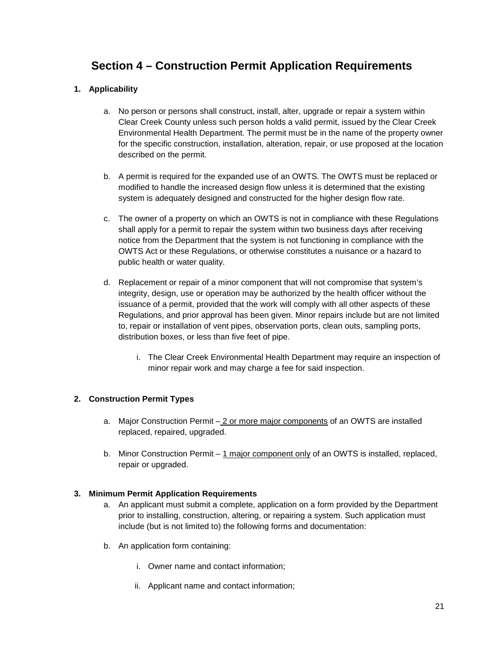# **Section 4 – Construction Permit Application Requirements**

### **1. Applicability**

- a. No person or persons shall construct, install, alter, upgrade or repair a system within Clear Creek County unless such person holds a valid permit, issued by the Clear Creek Environmental Health Department. The permit must be in the name of the property owner for the specific construction, installation, alteration, repair, or use proposed at the location described on the permit.
- b. A permit is required for the expanded use of an OWTS. The OWTS must be replaced or modified to handle the increased design flow unless it is determined that the existing system is adequately designed and constructed for the higher design flow rate.
- c. The owner of a property on which an OWTS is not in compliance with these Regulations shall apply for a permit to repair the system within two business days after receiving notice from the Department that the system is not functioning in compliance with the OWTS Act or these Regulations, or otherwise constitutes a nuisance or a hazard to public health or water quality.
- d. Replacement or repair of a minor component that will not compromise that system's integrity, design, use or operation may be authorized by the health officer without the issuance of a permit, provided that the work will comply with all other aspects of these Regulations, and prior approval has been given. Minor repairs include but are not limited to, repair or installation of vent pipes, observation ports, clean outs, sampling ports, distribution boxes, or less than five feet of pipe.
	- i. The Clear Creek Environmental Health Department may require an inspection of minor repair work and may charge a fee for said inspection.

### **2. Construction Permit Types**

- a. Major Construction Permit 2 or more major components of an OWTS are installed replaced, repaired, upgraded.
- b. Minor Construction Permit 1 major component only of an OWTS is installed, replaced, repair or upgraded.

### **3. Minimum Permit Application Requirements**

- a. An applicant must submit a complete, application on a form provided by the Department prior to installing, construction, altering, or repairing a system. Such application must include (but is not limited to) the following forms and documentation:
- b. An application form containing:
	- i. Owner name and contact information;
	- ii. Applicant name and contact information;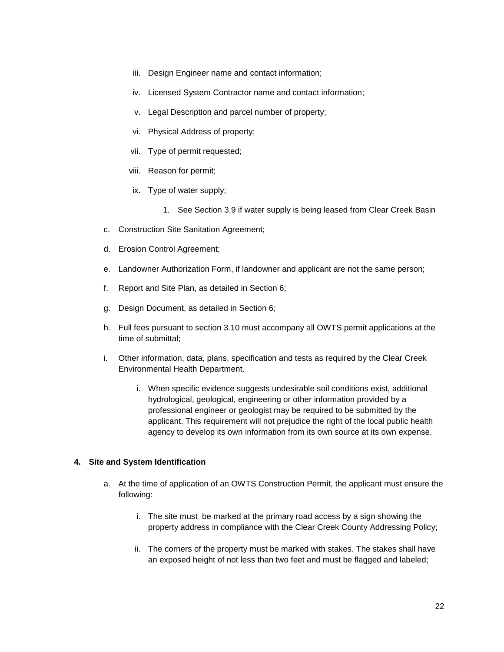- iii. Design Engineer name and contact information;
- iv. Licensed System Contractor name and contact information;
- v. Legal Description and parcel number of property;
- vi. Physical Address of property;
- vii. Type of permit requested;
- viii. Reason for permit;
- ix. Type of water supply;
	- 1. See Section 3.9 if water supply is being leased from Clear Creek Basin
- c. Construction Site Sanitation Agreement;
- d. Erosion Control Agreement;
- e. Landowner Authorization Form, if landowner and applicant are not the same person;
- f. Report and Site Plan, as detailed in Section 6;
- g. Design Document, as detailed in Section 6;
- h. Full fees pursuant to section 3.10 must accompany all OWTS permit applications at the time of submittal;
- i. Other information, data, plans, specification and tests as required by the Clear Creek Environmental Health Department.
	- i. When specific evidence suggests undesirable soil conditions exist, additional hydrological, geological, engineering or other information provided by a professional engineer or geologist may be required to be submitted by the applicant. This requirement will not prejudice the right of the local public health agency to develop its own information from its own source at its own expense.

### **4. Site and System Identification**

- a. At the time of application of an OWTS Construction Permit, the applicant must ensure the following:
	- i. The site must be marked at the primary road access by a sign showing the property address in compliance with the Clear Creek County Addressing Policy;
	- ii. The corners of the property must be marked with stakes. The stakes shall have an exposed height of not less than two feet and must be flagged and labeled;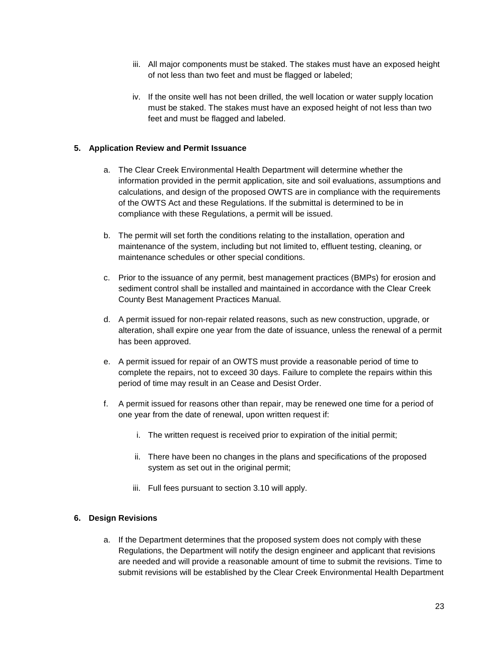- iii. All major components must be staked. The stakes must have an exposed height of not less than two feet and must be flagged or labeled;
- iv. If the onsite well has not been drilled, the well location or water supply location must be staked. The stakes must have an exposed height of not less than two feet and must be flagged and labeled.

### **5. Application Review and Permit Issuance**

- a. The Clear Creek Environmental Health Department will determine whether the information provided in the permit application, site and soil evaluations, assumptions and calculations, and design of the proposed OWTS are in compliance with the requirements of the OWTS Act and these Regulations. If the submittal is determined to be in compliance with these Regulations, a permit will be issued.
- b. The permit will set forth the conditions relating to the installation, operation and maintenance of the system, including but not limited to, effluent testing, cleaning, or maintenance schedules or other special conditions.
- c. Prior to the issuance of any permit, best management practices (BMPs) for erosion and sediment control shall be installed and maintained in accordance with the Clear Creek County Best Management Practices Manual.
- d. A permit issued for non-repair related reasons, such as new construction, upgrade, or alteration, shall expire one year from the date of issuance, unless the renewal of a permit has been approved.
- e. A permit issued for repair of an OWTS must provide a reasonable period of time to complete the repairs, not to exceed 30 days. Failure to complete the repairs within this period of time may result in an Cease and Desist Order.
- f. A permit issued for reasons other than repair, may be renewed one time for a period of one year from the date of renewal, upon written request if:
	- i. The written request is received prior to expiration of the initial permit;
	- ii. There have been no changes in the plans and specifications of the proposed system as set out in the original permit;
	- iii. Full fees pursuant to section 3.10 will apply.

### **6. Design Revisions**

a. If the Department determines that the proposed system does not comply with these Regulations, the Department will notify the design engineer and applicant that revisions are needed and will provide a reasonable amount of time to submit the revisions. Time to submit revisions will be established by the Clear Creek Environmental Health Department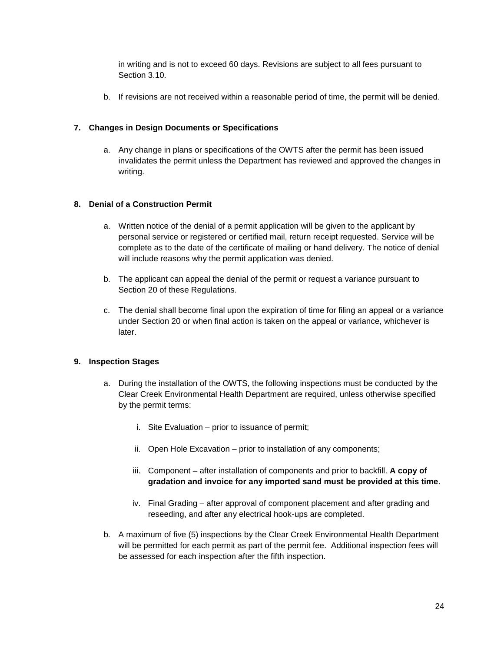in writing and is not to exceed 60 days. Revisions are subject to all fees pursuant to Section 3.10.

b. If revisions are not received within a reasonable period of time, the permit will be denied.

### **7. Changes in Design Documents or Specifications**

a. Any change in plans or specifications of the OWTS after the permit has been issued invalidates the permit unless the Department has reviewed and approved the changes in writing.

### **8. Denial of a Construction Permit**

- a. Written notice of the denial of a permit application will be given to the applicant by personal service or registered or certified mail, return receipt requested. Service will be complete as to the date of the certificate of mailing or hand delivery. The notice of denial will include reasons why the permit application was denied.
- b. The applicant can appeal the denial of the permit or request a variance pursuant to Section 20 of these Regulations.
- c. The denial shall become final upon the expiration of time for filing an appeal or a variance under Section 20 or when final action is taken on the appeal or variance, whichever is later.

### **9. Inspection Stages**

- a. During the installation of the OWTS, the following inspections must be conducted by the Clear Creek Environmental Health Department are required, unless otherwise specified by the permit terms:
	- i. Site Evaluation prior to issuance of permit;
	- ii. Open Hole Excavation prior to installation of any components;
	- iii. Component after installation of components and prior to backfill. **A copy of gradation and invoice for any imported sand must be provided at this time**.
	- iv. Final Grading after approval of component placement and after grading and reseeding, and after any electrical hook-ups are completed.
- b. A maximum of five (5) inspections by the Clear Creek Environmental Health Department will be permitted for each permit as part of the permit fee. Additional inspection fees will be assessed for each inspection after the fifth inspection.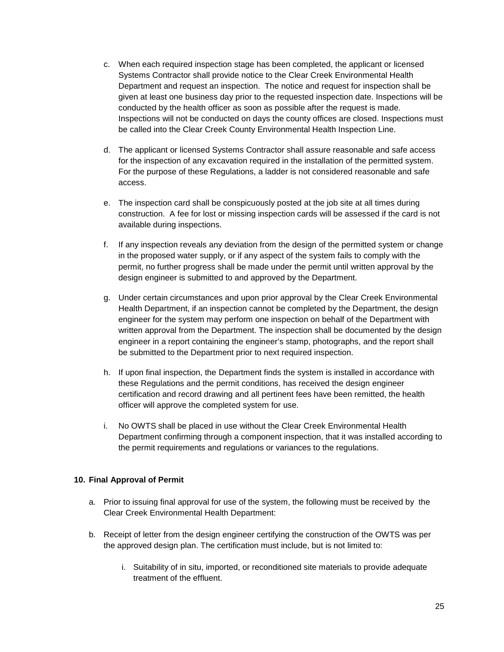- c. When each required inspection stage has been completed, the applicant or licensed Systems Contractor shall provide notice to the Clear Creek Environmental Health Department and request an inspection. The notice and request for inspection shall be given at least one business day prior to the requested inspection date. Inspections will be conducted by the health officer as soon as possible after the request is made. Inspections will not be conducted on days the county offices are closed. Inspections must be called into the Clear Creek County Environmental Health Inspection Line.
- d. The applicant or licensed Systems Contractor shall assure reasonable and safe access for the inspection of any excavation required in the installation of the permitted system. For the purpose of these Regulations, a ladder is not considered reasonable and safe access.
- e. The inspection card shall be conspicuously posted at the job site at all times during construction. A fee for lost or missing inspection cards will be assessed if the card is not available during inspections.
- f. If any inspection reveals any deviation from the design of the permitted system or change in the proposed water supply, or if any aspect of the system fails to comply with the permit, no further progress shall be made under the permit until written approval by the design engineer is submitted to and approved by the Department.
- g. Under certain circumstances and upon prior approval by the Clear Creek Environmental Health Department, if an inspection cannot be completed by the Department, the design engineer for the system may perform one inspection on behalf of the Department with written approval from the Department. The inspection shall be documented by the design engineer in a report containing the engineer's stamp, photographs, and the report shall be submitted to the Department prior to next required inspection.
- h. If upon final inspection, the Department finds the system is installed in accordance with these Regulations and the permit conditions, has received the design engineer certification and record drawing and all pertinent fees have been remitted, the health officer will approve the completed system for use.
- i. No OWTS shall be placed in use without the Clear Creek Environmental Health Department confirming through a component inspection, that it was installed according to the permit requirements and regulations or variances to the regulations.

### **10. Final Approval of Permit**

- a. Prior to issuing final approval for use of the system, the following must be received by the Clear Creek Environmental Health Department:
- b. Receipt of letter from the design engineer certifying the construction of the OWTS was per the approved design plan. The certification must include, but is not limited to:
	- i. Suitability of in situ, imported, or reconditioned site materials to provide adequate treatment of the effluent.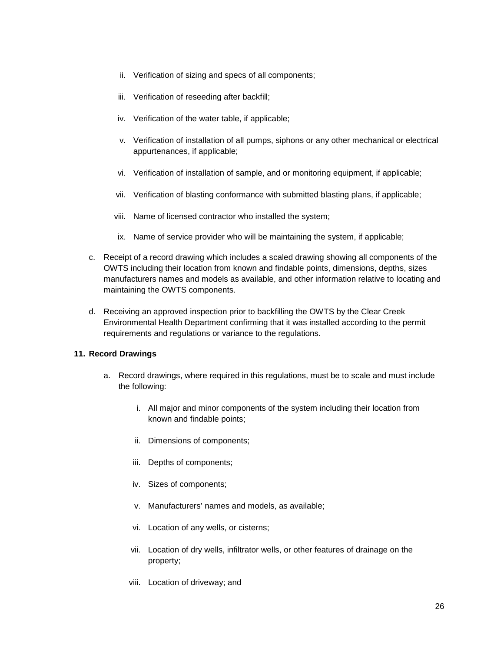- ii. Verification of sizing and specs of all components;
- iii. Verification of reseeding after backfill;
- iv. Verification of the water table, if applicable;
- v. Verification of installation of all pumps, siphons or any other mechanical or electrical appurtenances, if applicable;
- vi. Verification of installation of sample, and or monitoring equipment, if applicable;
- vii. Verification of blasting conformance with submitted blasting plans, if applicable;
- viii. Name of licensed contractor who installed the system;
- ix. Name of service provider who will be maintaining the system, if applicable;
- c. Receipt of a record drawing which includes a scaled drawing showing all components of the OWTS including their location from known and findable points, dimensions, depths, sizes manufacturers names and models as available, and other information relative to locating and maintaining the OWTS components.
- d. Receiving an approved inspection prior to backfilling the OWTS by the Clear Creek Environmental Health Department confirming that it was installed according to the permit requirements and regulations or variance to the regulations.

### **11. Record Drawings**

- a. Record drawings, where required in this regulations, must be to scale and must include the following:
	- i. All major and minor components of the system including their location from known and findable points;
	- ii. Dimensions of components;
	- iii. Depths of components;
	- iv. Sizes of components;
	- v. Manufacturers' names and models, as available;
	- vi. Location of any wells, or cisterns;
	- vii. Location of dry wells, infiltrator wells, or other features of drainage on the property;
	- viii. Location of driveway; and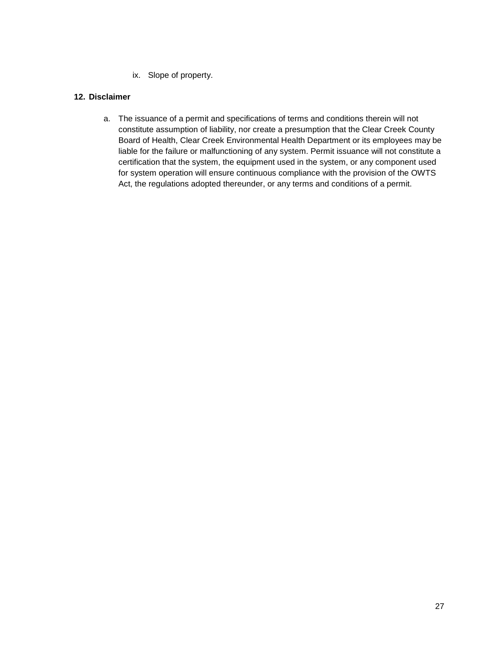ix. Slope of property.

### **12. Disclaimer**

a. The issuance of a permit and specifications of terms and conditions therein will not constitute assumption of liability, nor create a presumption that the Clear Creek County Board of Health, Clear Creek Environmental Health Department or its employees may be liable for the failure or malfunctioning of any system. Permit issuance will not constitute a certification that the system, the equipment used in the system, or any component used for system operation will ensure continuous compliance with the provision of the OWTS Act, the regulations adopted thereunder, or any terms and conditions of a permit.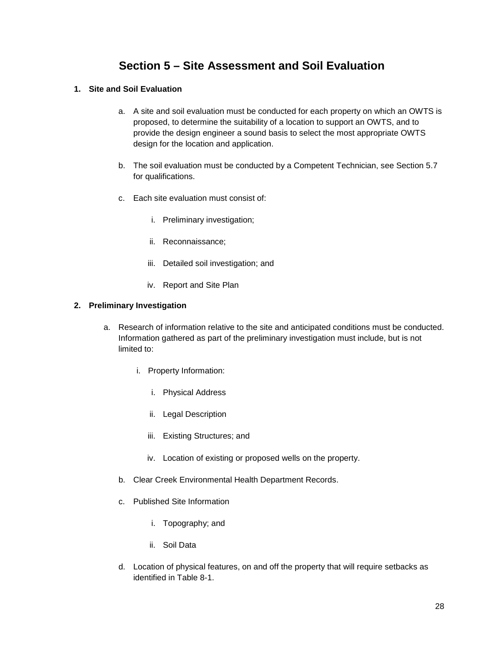# **Section 5 – Site Assessment and Soil Evaluation**

### **1. Site and Soil Evaluation**

- a. A site and soil evaluation must be conducted for each property on which an OWTS is proposed, to determine the suitability of a location to support an OWTS, and to provide the design engineer a sound basis to select the most appropriate OWTS design for the location and application.
- b. The soil evaluation must be conducted by a Competent Technician, see Section 5.7 for qualifications.
- c. Each site evaluation must consist of:
	- i. Preliminary investigation;
	- ii. Reconnaissance;
	- iii. Detailed soil investigation; and
	- iv. Report and Site Plan

### **2. Preliminary Investigation**

- a. Research of information relative to the site and anticipated conditions must be conducted. Information gathered as part of the preliminary investigation must include, but is not limited to:
	- i. Property Information:
		- i. Physical Address
		- ii. Legal Description
		- iii. Existing Structures; and
		- iv. Location of existing or proposed wells on the property.
	- b. Clear Creek Environmental Health Department Records.
	- c. Published Site Information
		- i. Topography; and
		- ii. Soil Data
	- d. Location of physical features, on and off the property that will require setbacks as identified in Table 8-1.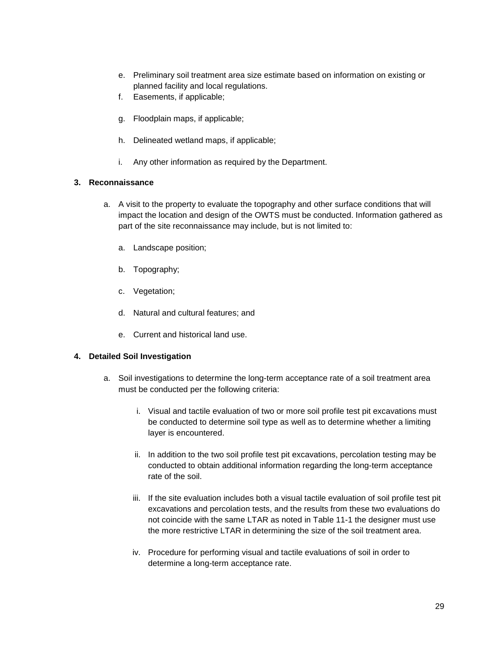- e. Preliminary soil treatment area size estimate based on information on existing or planned facility and local regulations.
- f. Easements, if applicable;
- g. Floodplain maps, if applicable;
- h. Delineated wetland maps, if applicable;
- i. Any other information as required by the Department.

### **3. Reconnaissance**

- a. A visit to the property to evaluate the topography and other surface conditions that will impact the location and design of the OWTS must be conducted. Information gathered as part of the site reconnaissance may include, but is not limited to:
	- a. Landscape position;
	- b. Topography;
	- c. Vegetation;
	- d. Natural and cultural features; and
	- e. Current and historical land use.

### **4. Detailed Soil Investigation**

- a. Soil investigations to determine the long-term acceptance rate of a soil treatment area must be conducted per the following criteria:
	- i. Visual and tactile evaluation of two or more soil profile test pit excavations must be conducted to determine soil type as well as to determine whether a limiting layer is encountered.
	- ii. In addition to the two soil profile test pit excavations, percolation testing may be conducted to obtain additional information regarding the long-term acceptance rate of the soil.
	- iii. If the site evaluation includes both a visual tactile evaluation of soil profile test pit excavations and percolation tests, and the results from these two evaluations do not coincide with the same LTAR as noted in Table 11-1 the designer must use the more restrictive LTAR in determining the size of the soil treatment area.
	- iv. Procedure for performing visual and tactile evaluations of soil in order to determine a long-term acceptance rate.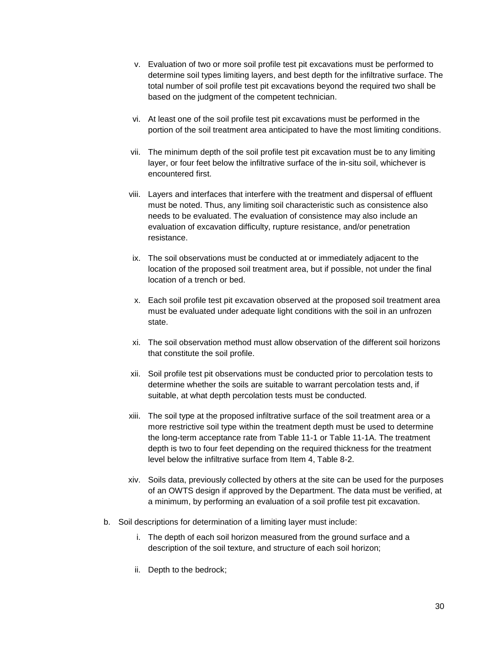- v. Evaluation of two or more soil profile test pit excavations must be performed to determine soil types limiting layers, and best depth for the infiltrative surface. The total number of soil profile test pit excavations beyond the required two shall be based on the judgment of the competent technician.
- vi. At least one of the soil profile test pit excavations must be performed in the portion of the soil treatment area anticipated to have the most limiting conditions.
- vii. The minimum depth of the soil profile test pit excavation must be to any limiting layer, or four feet below the infiltrative surface of the in-situ soil, whichever is encountered first.
- viii. Layers and interfaces that interfere with the treatment and dispersal of effluent must be noted. Thus, any limiting soil characteristic such as consistence also needs to be evaluated. The evaluation of consistence may also include an evaluation of excavation difficulty, rupture resistance, and/or penetration resistance.
- ix. The soil observations must be conducted at or immediately adjacent to the location of the proposed soil treatment area, but if possible, not under the final location of a trench or bed.
- x. Each soil profile test pit excavation observed at the proposed soil treatment area must be evaluated under adequate light conditions with the soil in an unfrozen state.
- xi. The soil observation method must allow observation of the different soil horizons that constitute the soil profile.
- xii. Soil profile test pit observations must be conducted prior to percolation tests to determine whether the soils are suitable to warrant percolation tests and, if suitable, at what depth percolation tests must be conducted.
- xiii. The soil type at the proposed infiltrative surface of the soil treatment area or a more restrictive soil type within the treatment depth must be used to determine the long-term acceptance rate from Table 11-1 or Table 11-1A. The treatment depth is two to four feet depending on the required thickness for the treatment level below the infiltrative surface from Item 4, Table 8-2.
- xiv. Soils data, previously collected by others at the site can be used for the purposes of an OWTS design if approved by the Department. The data must be verified, at a minimum, by performing an evaluation of a soil profile test pit excavation.
- b. Soil descriptions for determination of a limiting layer must include:
	- i. The depth of each soil horizon measured from the ground surface and a description of the soil texture, and structure of each soil horizon;
	- ii. Depth to the bedrock;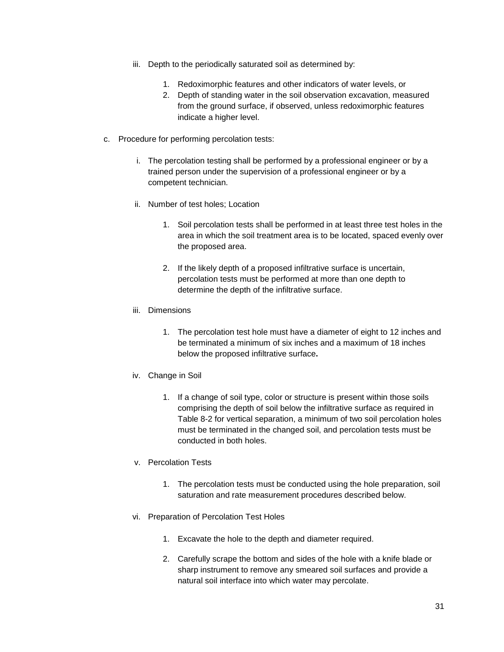- iii. Depth to the periodically saturated soil as determined by:
	- 1. Redoximorphic features and other indicators of water levels, or
	- 2. Depth of standing water in the soil observation excavation, measured from the ground surface, if observed, unless redoximorphic features indicate a higher level.
- c. Procedure for performing percolation tests:
	- i. The percolation testing shall be performed by a professional engineer or by a trained person under the supervision of a professional engineer or by a competent technician.
	- ii. Number of test holes; Location
		- 1. Soil percolation tests shall be performed in at least three test holes in the area in which the soil treatment area is to be located, spaced evenly over the proposed area.
		- 2. If the likely depth of a proposed infiltrative surface is uncertain, percolation tests must be performed at more than one depth to determine the depth of the infiltrative surface.
	- iii. Dimensions
		- 1. The percolation test hole must have a diameter of eight to 12 inches and be terminated a minimum of six inches and a maximum of 18 inches below the proposed infiltrative surface**.**
	- iv. Change in Soil
		- 1. If a change of soil type, color or structure is present within those soils comprising the depth of soil below the infiltrative surface as required in Table 8-2 for vertical separation, a minimum of two soil percolation holes must be terminated in the changed soil, and percolation tests must be conducted in both holes.
	- v. Percolation Tests
		- 1. The percolation tests must be conducted using the hole preparation, soil saturation and rate measurement procedures described below.
	- vi. Preparation of Percolation Test Holes
		- 1. Excavate the hole to the depth and diameter required.
		- 2. Carefully scrape the bottom and sides of the hole with a knife blade or sharp instrument to remove any smeared soil surfaces and provide a natural soil interface into which water may percolate.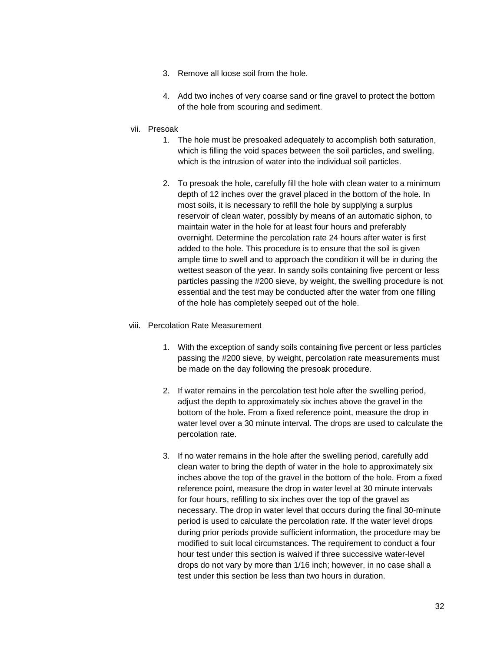- 3. Remove all loose soil from the hole.
- 4. Add two inches of very coarse sand or fine gravel to protect the bottom of the hole from scouring and sediment.
- vii. Presoak
	- 1. The hole must be presoaked adequately to accomplish both saturation, which is filling the void spaces between the soil particles, and swelling, which is the intrusion of water into the individual soil particles.
	- 2. To presoak the hole, carefully fill the hole with clean water to a minimum depth of 12 inches over the gravel placed in the bottom of the hole. In most soils, it is necessary to refill the hole by supplying a surplus reservoir of clean water, possibly by means of an automatic siphon, to maintain water in the hole for at least four hours and preferably overnight. Determine the percolation rate 24 hours after water is first added to the hole. This procedure is to ensure that the soil is given ample time to swell and to approach the condition it will be in during the wettest season of the year. In sandy soils containing five percent or less particles passing the #200 sieve, by weight, the swelling procedure is not essential and the test may be conducted after the water from one filling of the hole has completely seeped out of the hole.

### viii. Percolation Rate Measurement

- 1. With the exception of sandy soils containing five percent or less particles passing the #200 sieve, by weight, percolation rate measurements must be made on the day following the presoak procedure.
- 2. If water remains in the percolation test hole after the swelling period, adjust the depth to approximately six inches above the gravel in the bottom of the hole. From a fixed reference point, measure the drop in water level over a 30 minute interval. The drops are used to calculate the percolation rate.
- 3. If no water remains in the hole after the swelling period, carefully add clean water to bring the depth of water in the hole to approximately six inches above the top of the gravel in the bottom of the hole. From a fixed reference point, measure the drop in water level at 30 minute intervals for four hours, refilling to six inches over the top of the gravel as necessary. The drop in water level that occurs during the final 30-minute period is used to calculate the percolation rate. If the water level drops during prior periods provide sufficient information, the procedure may be modified to suit local circumstances. The requirement to conduct a four hour test under this section is waived if three successive water-level drops do not vary by more than 1/16 inch; however, in no case shall a test under this section be less than two hours in duration.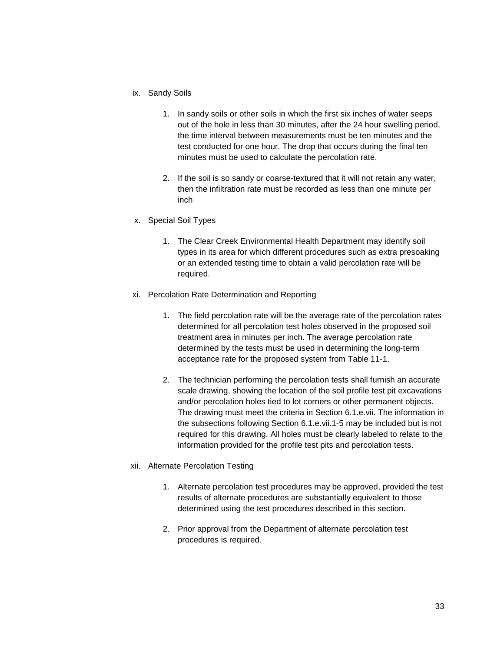- ix. Sandy Soils
	- 1. In sandy soils or other soils in which the first six inches of water seeps out of the hole in less than 30 minutes, after the 24 hour swelling period, the time interval between measurements must be ten minutes and the test conducted for one hour. The drop that occurs during the final ten minutes must be used to calculate the percolation rate.
	- 2. If the soil is so sandy or coarse-textured that it will not retain any water, then the infiltration rate must be recorded as less than one minute per inch
- x. Special Soil Types
	- 1. The Clear Creek Environmental Health Department may identify soil types in its area for which different procedures such as extra presoaking or an extended testing time to obtain a valid percolation rate will be required.
- xi. Percolation Rate Determination and Reporting
	- 1. The field percolation rate will be the average rate of the percolation rates determined for all percolation test holes observed in the proposed soil treatment area in minutes per inch. The average percolation rate determined by the tests must be used in determining the long-term acceptance rate for the proposed system from Table 11-1.
	- 2. The technician performing the percolation tests shall furnish an accurate scale drawing, showing the location of the soil profile test pit excavations and/or percolation holes tied to lot corners or other permanent objects. The drawing must meet the criteria in Section 6.1.e.vii. The information in the subsections following Section 6.1.e.vii.1-5 may be included but is not required for this drawing. All holes must be clearly labeled to relate to the information provided for the profile test pits and percolation tests.
- xii. Alternate Percolation Testing
	- 1. Alternate percolation test procedures may be approved, provided the test results of alternate procedures are substantially equivalent to those determined using the test procedures described in this section.
	- 2. Prior approval from the Department of alternate percolation test procedures is required.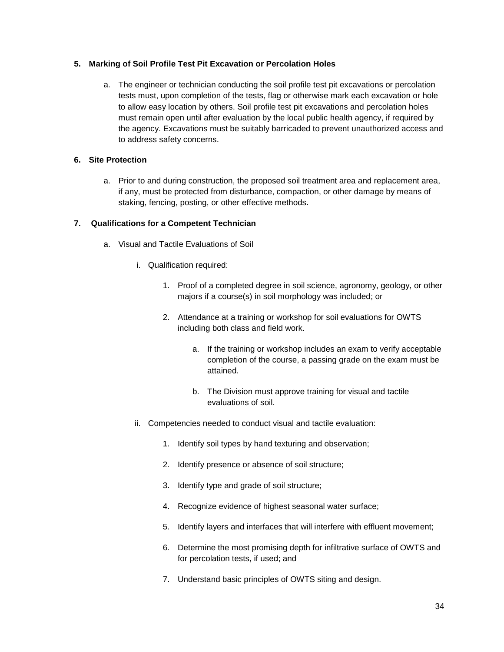### **5. Marking of Soil Profile Test Pit Excavation or Percolation Holes**

a. The engineer or technician conducting the soil profile test pit excavations or percolation tests must, upon completion of the tests, flag or otherwise mark each excavation or hole to allow easy location by others. Soil profile test pit excavations and percolation holes must remain open until after evaluation by the local public health agency, if required by the agency. Excavations must be suitably barricaded to prevent unauthorized access and to address safety concerns.

### **6. Site Protection**

a. Prior to and during construction, the proposed soil treatment area and replacement area, if any, must be protected from disturbance, compaction, or other damage by means of staking, fencing, posting, or other effective methods.

### **7. Qualifications for a Competent Technician**

- a. Visual and Tactile Evaluations of Soil
	- i. Qualification required:
		- 1. Proof of a completed degree in soil science, agronomy, geology, or other majors if a course(s) in soil morphology was included; or
		- 2. Attendance at a training or workshop for soil evaluations for OWTS including both class and field work.
			- a. If the training or workshop includes an exam to verify acceptable completion of the course, a passing grade on the exam must be attained.
			- b. The Division must approve training for visual and tactile evaluations of soil.
	- ii. Competencies needed to conduct visual and tactile evaluation:
		- 1. Identify soil types by hand texturing and observation;
		- 2. Identify presence or absence of soil structure;
		- 3. Identify type and grade of soil structure;
		- 4. Recognize evidence of highest seasonal water surface;
		- 5. Identify layers and interfaces that will interfere with effluent movement;
		- 6. Determine the most promising depth for infiltrative surface of OWTS and for percolation tests, if used; and
		- 7. Understand basic principles of OWTS siting and design.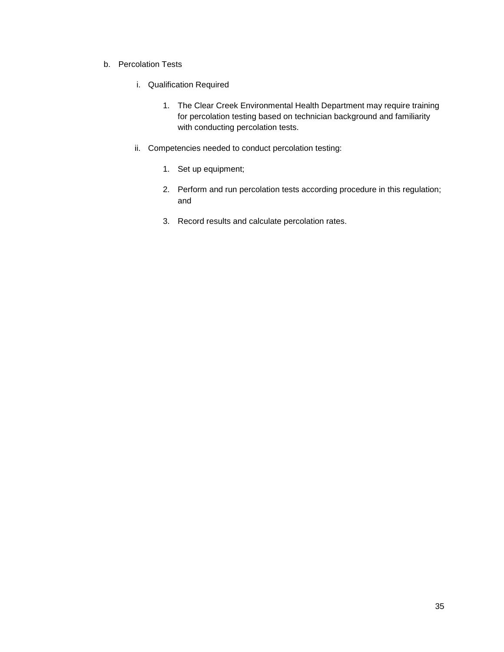- b. Percolation Tests
	- i. Qualification Required
		- 1. The Clear Creek Environmental Health Department may require training for percolation testing based on technician background and familiarity with conducting percolation tests.
	- ii. Competencies needed to conduct percolation testing:
		- 1. Set up equipment;
		- 2. Perform and run percolation tests according procedure in this regulation; and
		- 3. Record results and calculate percolation rates.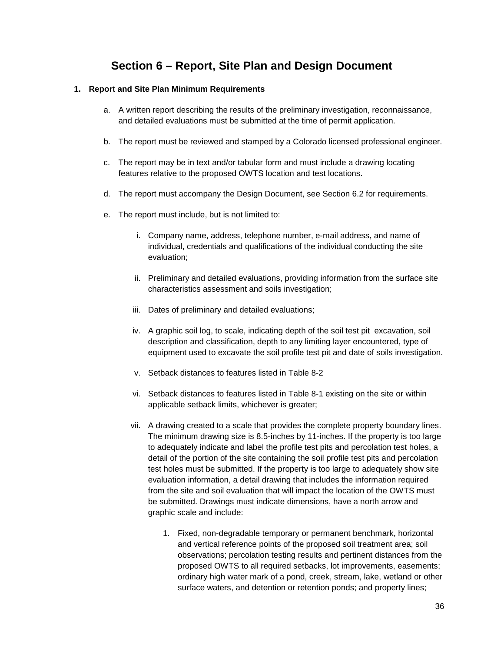### **Section 6 – Report, Site Plan and Design Document**

#### **1. Report and Site Plan Minimum Requirements**

- a. A written report describing the results of the preliminary investigation, reconnaissance, and detailed evaluations must be submitted at the time of permit application.
- b. The report must be reviewed and stamped by a Colorado licensed professional engineer.
- c. The report may be in text and/or tabular form and must include a drawing locating features relative to the proposed OWTS location and test locations.
- d. The report must accompany the Design Document, see Section 6.2 for requirements.
- e. The report must include, but is not limited to:
	- i. Company name, address, telephone number, e-mail address, and name of individual, credentials and qualifications of the individual conducting the site evaluation;
	- ii. Preliminary and detailed evaluations, providing information from the surface site characteristics assessment and soils investigation;
	- iii. Dates of preliminary and detailed evaluations;
	- iv. A graphic soil log, to scale, indicating depth of the soil test pit excavation, soil description and classification, depth to any limiting layer encountered, type of equipment used to excavate the soil profile test pit and date of soils investigation.
	- v. Setback distances to features listed in Table 8-2
	- vi. Setback distances to features listed in Table 8-1 existing on the site or within applicable setback limits, whichever is greater;
	- vii. A drawing created to a scale that provides the complete property boundary lines. The minimum drawing size is 8.5-inches by 11-inches. If the property is too large to adequately indicate and label the profile test pits and percolation test holes, a detail of the portion of the site containing the soil profile test pits and percolation test holes must be submitted. If the property is too large to adequately show site evaluation information, a detail drawing that includes the information required from the site and soil evaluation that will impact the location of the OWTS must be submitted. Drawings must indicate dimensions, have a north arrow and graphic scale and include:
		- 1. Fixed, non-degradable temporary or permanent benchmark, horizontal and vertical reference points of the proposed soil treatment area; soil observations; percolation testing results and pertinent distances from the proposed OWTS to all required setbacks, lot improvements, easements; ordinary high water mark of a pond, creek, stream, lake, wetland or other surface waters, and detention or retention ponds; and property lines;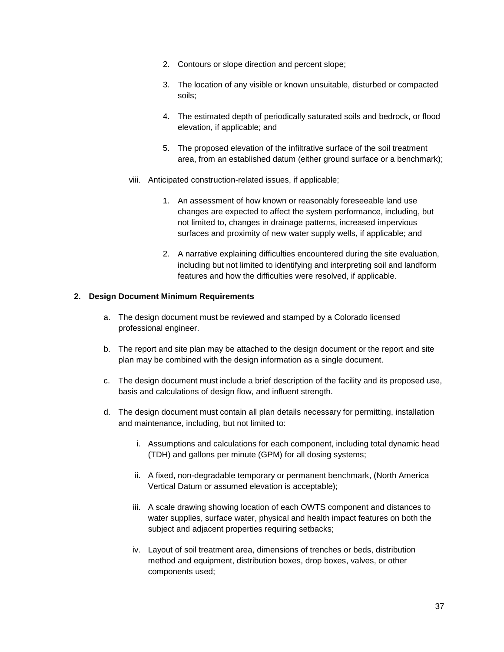- 2. Contours or slope direction and percent slope;
- 3. The location of any visible or known unsuitable, disturbed or compacted soils;
- 4. The estimated depth of periodically saturated soils and bedrock, or flood elevation, if applicable; and
- 5. The proposed elevation of the infiltrative surface of the soil treatment area, from an established datum (either ground surface or a benchmark);
- viii. Anticipated construction-related issues, if applicable;
	- 1. An assessment of how known or reasonably foreseeable land use changes are expected to affect the system performance, including, but not limited to, changes in drainage patterns, increased impervious surfaces and proximity of new water supply wells, if applicable; and
	- 2. A narrative explaining difficulties encountered during the site evaluation, including but not limited to identifying and interpreting soil and landform features and how the difficulties were resolved, if applicable.

#### **2. Design Document Minimum Requirements**

- a. The design document must be reviewed and stamped by a Colorado licensed professional engineer.
- b. The report and site plan may be attached to the design document or the report and site plan may be combined with the design information as a single document.
- c. The design document must include a brief description of the facility and its proposed use, basis and calculations of design flow, and influent strength.
- d. The design document must contain all plan details necessary for permitting, installation and maintenance, including, but not limited to:
	- i. Assumptions and calculations for each component, including total dynamic head (TDH) and gallons per minute (GPM) for all dosing systems;
	- ii. A fixed, non-degradable temporary or permanent benchmark, (North America Vertical Datum or assumed elevation is acceptable);
	- iii. A scale drawing showing location of each OWTS component and distances to water supplies, surface water, physical and health impact features on both the subject and adjacent properties requiring setbacks;
	- iv. Layout of soil treatment area, dimensions of trenches or beds, distribution method and equipment, distribution boxes, drop boxes, valves, or other components used;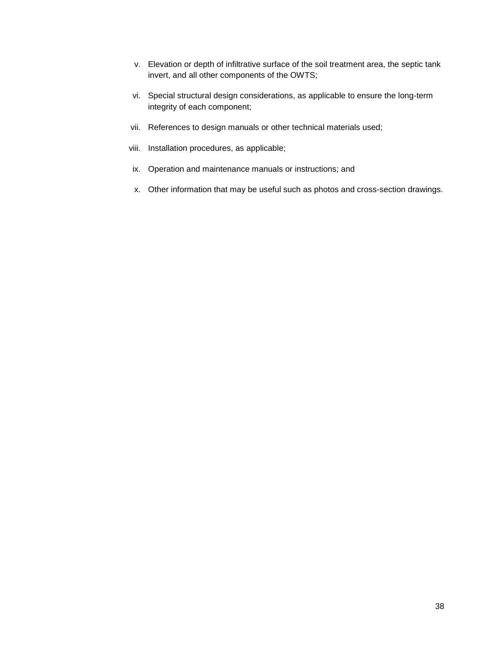- v. Elevation or depth of infiltrative surface of the soil treatment area, the septic tank invert, and all other components of the OWTS;
- vi. Special structural design considerations, as applicable to ensure the long-term integrity of each component;
- vii. References to design manuals or other technical materials used;
- viii. Installation procedures, as applicable;
- ix. Operation and maintenance manuals or instructions; and
- x. Other information that may be useful such as photos and cross-section drawings.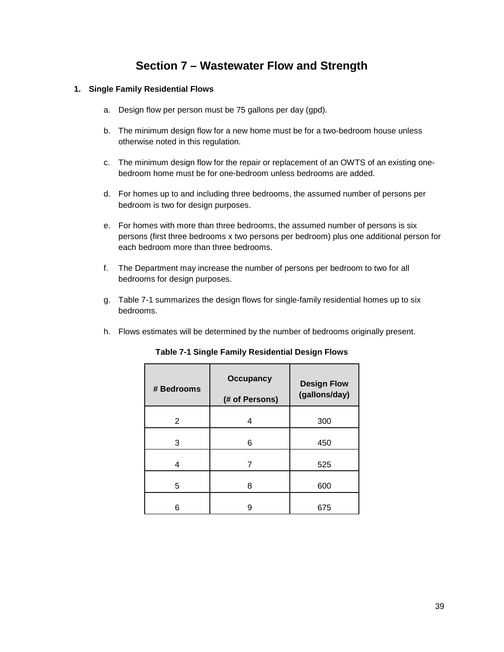### **Section 7 – Wastewater Flow and Strength**

#### **1. Single Family Residential Flows**

- a. Design flow per person must be 75 gallons per day (gpd).
- b. The minimum design flow for a new home must be for a two-bedroom house unless otherwise noted in this regulation.
- c. The minimum design flow for the repair or replacement of an OWTS of an existing onebedroom home must be for one-bedroom unless bedrooms are added.
- d. For homes up to and including three bedrooms, the assumed number of persons per bedroom is two for design purposes.
- e. For homes with more than three bedrooms, the assumed number of persons is six persons (first three bedrooms x two persons per bedroom) plus one additional person for each bedroom more than three bedrooms.
- f. The Department may increase the number of persons per bedroom to two for all bedrooms for design purposes.
- g. Table 7-1 summarizes the design flows for single-family residential homes up to six bedrooms.
- h. Flows estimates will be determined by the number of bedrooms originally present.

| # Bedrooms | <b>Occupancy</b><br>(# of Persons) | <b>Design Flow</b><br>(gallons/day) |
|------------|------------------------------------|-------------------------------------|
| 2          | 4                                  | 300                                 |
| 3          | 6                                  | 450                                 |
| 4          |                                    | 525                                 |
| 5          | 8                                  | 600                                 |
| 6          | g                                  | 675                                 |

**Table 7-1 Single Family Residential Design Flows**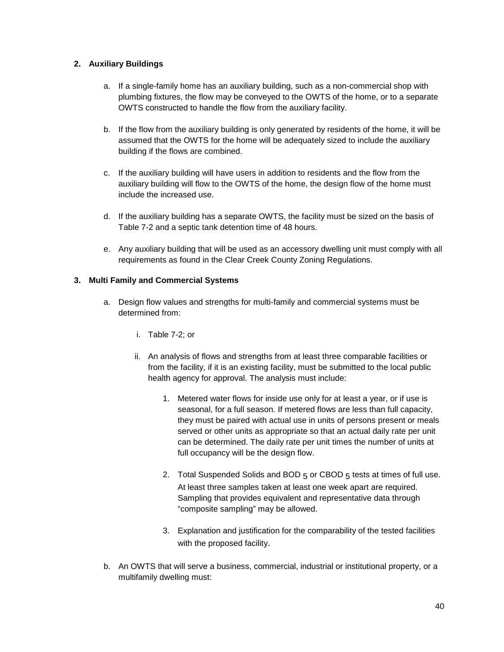#### **2. Auxiliary Buildings**

- a. If a single-family home has an auxiliary building, such as a non-commercial shop with plumbing fixtures, the flow may be conveyed to the OWTS of the home, or to a separate OWTS constructed to handle the flow from the auxiliary facility.
- b. If the flow from the auxiliary building is only generated by residents of the home, it will be assumed that the OWTS for the home will be adequately sized to include the auxiliary building if the flows are combined.
- c. If the auxiliary building will have users in addition to residents and the flow from the auxiliary building will flow to the OWTS of the home, the design flow of the home must include the increased use.
- d. If the auxiliary building has a separate OWTS, the facility must be sized on the basis of Table 7-2 and a septic tank detention time of 48 hours.
- e. Any auxiliary building that will be used as an accessory dwelling unit must comply with all requirements as found in the Clear Creek County Zoning Regulations.

#### **3. Multi Family and Commercial Systems**

- a. Design flow values and strengths for multi-family and commercial systems must be determined from:
	- i. Table 7-2; or
	- ii. An analysis of flows and strengths from at least three comparable facilities or from the facility, if it is an existing facility, must be submitted to the local public health agency for approval. The analysis must include:
		- 1. Metered water flows for inside use only for at least a year, or if use is seasonal, for a full season. If metered flows are less than full capacity, they must be paired with actual use in units of persons present or meals served or other units as appropriate so that an actual daily rate per unit can be determined. The daily rate per unit times the number of units at full occupancy will be the design flow.
		- 2. Total Suspended Solids and BOD  $5$  or CBOD  $5$  tests at times of full use. At least three samples taken at least one week apart are required. Sampling that provides equivalent and representative data through "composite sampling" may be allowed.
		- 3. Explanation and justification for the comparability of the tested facilities with the proposed facility.
- b. An OWTS that will serve a business, commercial, industrial or institutional property, or a multifamily dwelling must: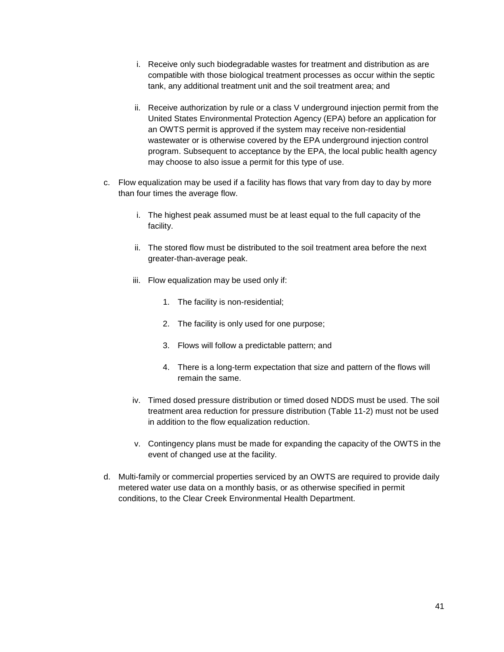- i. Receive only such biodegradable wastes for treatment and distribution as are compatible with those biological treatment processes as occur within the septic tank, any additional treatment unit and the soil treatment area; and
- ii. Receive authorization by rule or a class V underground injection permit from the United States Environmental Protection Agency (EPA) before an application for an OWTS permit is approved if the system may receive non-residential wastewater or is otherwise covered by the EPA underground injection control program. Subsequent to acceptance by the EPA, the local public health agency may choose to also issue a permit for this type of use.
- c. Flow equalization may be used if a facility has flows that vary from day to day by more than four times the average flow.
	- i. The highest peak assumed must be at least equal to the full capacity of the facility.
	- ii. The stored flow must be distributed to the soil treatment area before the next greater-than-average peak.
	- iii. Flow equalization may be used only if:
		- 1. The facility is non-residential;
		- 2. The facility is only used for one purpose;
		- 3. Flows will follow a predictable pattern; and
		- 4. There is a long-term expectation that size and pattern of the flows will remain the same.
	- iv. Timed dosed pressure distribution or timed dosed NDDS must be used. The soil treatment area reduction for pressure distribution (Table 11-2) must not be used in addition to the flow equalization reduction.
	- v. Contingency plans must be made for expanding the capacity of the OWTS in the event of changed use at the facility.
- d. Multi-family or commercial properties serviced by an OWTS are required to provide daily metered water use data on a monthly basis, or as otherwise specified in permit conditions, to the Clear Creek Environmental Health Department.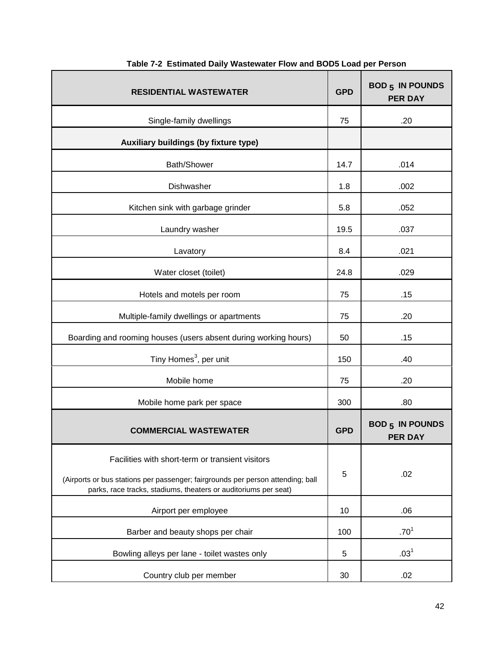| <b>RESIDENTIAL WASTEWATER</b>                                                                                                                                                                          | <b>GPD</b> | <b>BOD 5 IN POUNDS</b><br><b>PER DAY</b> |
|--------------------------------------------------------------------------------------------------------------------------------------------------------------------------------------------------------|------------|------------------------------------------|
| Single-family dwellings                                                                                                                                                                                | 75         | .20                                      |
| Auxiliary buildings (by fixture type)                                                                                                                                                                  |            |                                          |
| Bath/Shower                                                                                                                                                                                            | 14.7       | .014                                     |
| Dishwasher                                                                                                                                                                                             | 1.8        | .002                                     |
| Kitchen sink with garbage grinder                                                                                                                                                                      | 5.8        | .052                                     |
| Laundry washer                                                                                                                                                                                         | 19.5       | .037                                     |
| Lavatory                                                                                                                                                                                               | 8.4        | .021                                     |
| Water closet (toilet)                                                                                                                                                                                  | 24.8       | .029                                     |
| Hotels and motels per room                                                                                                                                                                             | 75         | .15                                      |
| Multiple-family dwellings or apartments                                                                                                                                                                | 75         | .20                                      |
| Boarding and rooming houses (users absent during working hours)                                                                                                                                        | 50         | .15                                      |
| Tiny Homes <sup>3</sup> , per unit                                                                                                                                                                     | 150        | .40                                      |
| Mobile home                                                                                                                                                                                            | 75         | .20                                      |
| Mobile home park per space                                                                                                                                                                             | 300        | .80                                      |
| <b>COMMERCIAL WASTEWATER</b>                                                                                                                                                                           | <b>GPD</b> | <b>BOD 5 IN POUNDS</b><br><b>PER DAY</b> |
| Facilities with short-term or transient visitors<br>(Airports or bus stations per passenger; fairgrounds per person attending; ball<br>parks, race tracks, stadiums, theaters or auditoriums per seat) | 5          | .02                                      |
| Airport per employee                                                                                                                                                                                   | 10         | .06                                      |
| Barber and beauty shops per chair                                                                                                                                                                      | 100        | .70 <sup>1</sup>                         |
| Bowling alleys per lane - toilet wastes only                                                                                                                                                           | 5          | .03 <sup>1</sup>                         |
| Country club per member                                                                                                                                                                                | 30         | .02                                      |

### **Table 7-2 Estimated Daily Wastewater Flow and BOD5 Load per Person**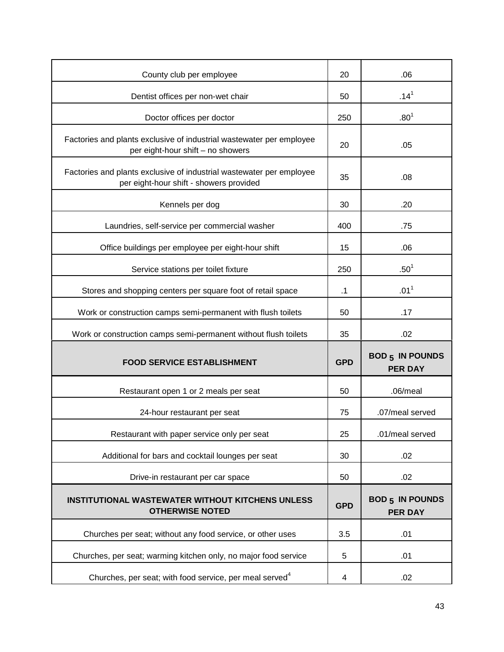| County club per employee                                                                                        | 20         | .06                                      |
|-----------------------------------------------------------------------------------------------------------------|------------|------------------------------------------|
| Dentist offices per non-wet chair                                                                               | 50         | $.14^{1}$                                |
| Doctor offices per doctor                                                                                       | 250        | .80 <sup>1</sup>                         |
| Factories and plants exclusive of industrial wastewater per employee<br>per eight-hour shift - no showers       | 20         | .05                                      |
| Factories and plants exclusive of industrial wastewater per employee<br>per eight-hour shift - showers provided | 35         | .08                                      |
| Kennels per dog                                                                                                 | 30         | .20                                      |
| Laundries, self-service per commercial washer                                                                   | 400        | .75                                      |
| Office buildings per employee per eight-hour shift                                                              | 15         | .06                                      |
| Service stations per toilet fixture                                                                             | 250        | $.50^{1}$                                |
| Stores and shopping centers per square foot of retail space                                                     | $\cdot$ 1  | .01 <sup>1</sup>                         |
| Work or construction camps semi-permanent with flush toilets                                                    | 50         | .17                                      |
|                                                                                                                 |            |                                          |
| Work or construction camps semi-permanent without flush toilets                                                 | 35         | .02                                      |
| <b>FOOD SERVICE ESTABLISHMENT</b>                                                                               | <b>GPD</b> | <b>BOD 5 IN POUNDS</b><br><b>PER DAY</b> |
| Restaurant open 1 or 2 meals per seat                                                                           | 50         | $.06/m$ eal                              |
| 24-hour restaurant per seat                                                                                     | 75         | .07/meal served                          |
| Restaurant with paper service only per seat                                                                     | 25         | .01/meal served                          |
| Additional for bars and cocktail lounges per seat                                                               | 30         | .02                                      |
| Drive-in restaurant per car space                                                                               | 50         | .02                                      |
| <b>INSTITUTIONAL WASTEWATER WITHOUT KITCHENS UNLESS</b><br><b>OTHERWISE NOTED</b>                               | <b>GPD</b> | <b>BOD 5 IN POUNDS</b><br><b>PER DAY</b> |
| Churches per seat; without any food service, or other uses                                                      | 3.5        | .01                                      |
| Churches, per seat; warming kitchen only, no major food service                                                 | 5          | .01                                      |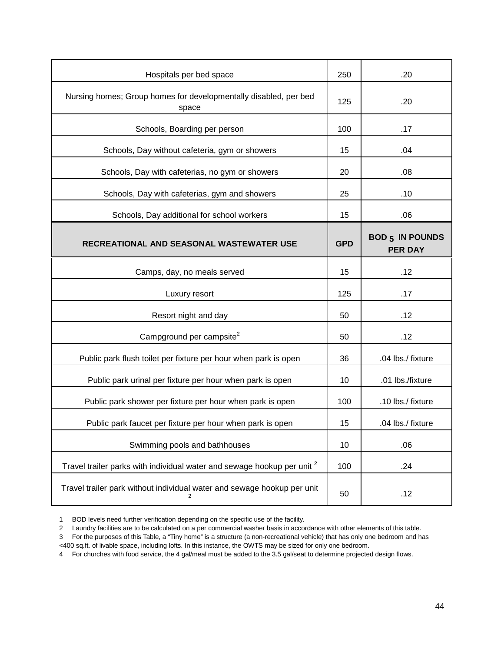| Hospitals per bed space                                                            | 250        | .20                                      |
|------------------------------------------------------------------------------------|------------|------------------------------------------|
| Nursing homes; Group homes for developmentally disabled, per bed<br>space          | 125        | .20                                      |
| Schools, Boarding per person                                                       | 100        | .17                                      |
| Schools, Day without cafeteria, gym or showers                                     | 15         | .04                                      |
| Schools, Day with cafeterias, no gym or showers                                    | 20         | .08                                      |
| Schools, Day with cafeterias, gym and showers                                      | 25         | .10                                      |
| Schools, Day additional for school workers                                         | 15         | .06                                      |
| RECREATIONAL AND SEASONAL WASTEWATER USE                                           | <b>GPD</b> | <b>BOD 5 IN POUNDS</b><br><b>PER DAY</b> |
| Camps, day, no meals served                                                        | 15         | .12                                      |
|                                                                                    | 125        |                                          |
| Luxury resort                                                                      |            | .17                                      |
| Resort night and day                                                               | 50         | .12                                      |
| Campground per campsite <sup>2</sup>                                               | 50         | .12                                      |
| Public park flush toilet per fixture per hour when park is open                    | 36         | .04 lbs./ fixture                        |
| Public park urinal per fixture per hour when park is open                          | 10         | .01 lbs./fixture                         |
| Public park shower per fixture per hour when park is open                          | 100        | .10 lbs./ fixture                        |
| Public park faucet per fixture per hour when park is open                          | 15         | .04 lbs./ fixture                        |
| Swimming pools and bathhouses                                                      | 10         | .06                                      |
| Travel trailer parks with individual water and sewage hookup per unit <sup>2</sup> | 100        | .24                                      |

1 BOD levels need further verification depending on the specific use of the facility.

3 For the purposes of this Table, a "Tiny home" is a structure (a non-recreational vehicle) that has only one bedroom and has

<400 sq.ft. of livable space, including lofts. In this instance, the OWTS may be sized for only one bedroom.

4 For churches with food service, the 4 gal/meal must be added to the 3.5 gal/seat to determine projected design flows.

<sup>2</sup> Laundry facilities are to be calculated on a per commercial washer basis in accordance with other elements of this table.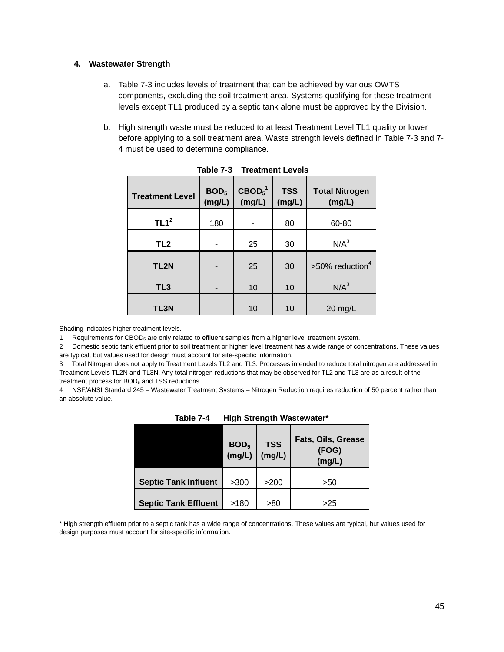#### **4. Wastewater Strength**

- a. Table 7-3 includes levels of treatment that can be achieved by various OWTS components, excluding the soil treatment area. Systems qualifying for these treatment levels except TL1 produced by a septic tank alone must be approved by the Division.
- b. High strength waste must be reduced to at least Treatment Level TL1 quality or lower before applying to a soil treatment area. Waste strength levels defined in Table 7-3 and 7- 4 must be used to determine compliance.

| <b>Treatment Level</b> | BOD <sub>5</sub><br>(mg/L) | $\text{CBOD}_5^1$<br>(mg/L) | <b>TSS</b><br>(mg/L) | <b>Total Nitrogen</b><br>(mg/L) |
|------------------------|----------------------------|-----------------------------|----------------------|---------------------------------|
| TL1 <sup>2</sup>       | 180                        |                             | 80                   | 60-80                           |
| TL <sub>2</sub>        |                            | 25                          | 30                   | N/A <sup>3</sup>                |
| TL2N                   |                            | 25                          | 30                   | $>50\%$ reduction <sup>4</sup>  |
| TL <sub>3</sub>        | -                          | 10                          | 10                   | N/A <sup>3</sup>                |
| TL3N                   |                            | 10                          | 10                   | 20 mg/L                         |

| Table 7-3 | <b>Treatment Levels</b> |  |
|-----------|-------------------------|--|
|           |                         |  |

Shading indicates higher treatment levels.

1 Requirements for  $CBOD<sub>5</sub>$  are only related to effluent samples from a higher level treatment system.

2 Domestic septic tank effluent prior to soil treatment or higher level treatment has a wide range of concentrations. These values are typical, but values used for design must account for site-specific information.

3 Total Nitrogen does not apply to Treatment Levels TL2 and TL3. Processes intended to reduce total nitrogen are addressed in Treatment Levels TL2N and TL3N. Any total nitrogen reductions that may be observed for TL2 and TL3 are as a result of the treatment process for BOD<sub>5</sub> and TSS reductions.

4 NSF/ANSI Standard 245 – Wastewater Treatment Systems – Nitrogen Reduction requires reduction of 50 percent rather than an absolute value.

|                             | BOD <sub>5</sub><br>(mg/L) | <b>TSS</b><br>(mg/L) | Fats, Oils, Grease<br>(FOG)<br>(mg/L) |
|-----------------------------|----------------------------|----------------------|---------------------------------------|
| <b>Septic Tank Influent</b> | >300                       | >200                 | >50                                   |
| <b>Septic Tank Effluent</b> | >180                       | >80                  | >25                                   |

**Table 7-4 High Strength Wastewater\***

\* High strength effluent prior to a septic tank has a wide range of concentrations. These values are typical, but values used for design purposes must account for site-specific information.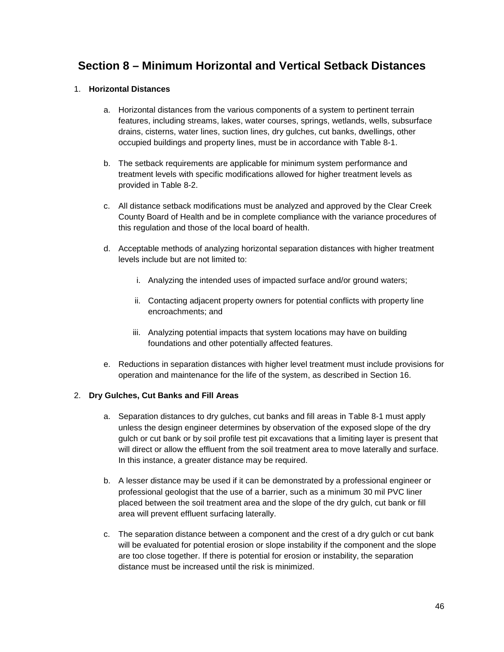## **Section 8 – Minimum Horizontal and Vertical Setback Distances**

#### 1. **Horizontal Distances**

- a. Horizontal distances from the various components of a system to pertinent terrain features, including streams, lakes, water courses, springs, wetlands, wells, subsurface drains, cisterns, water lines, suction lines, dry gulches, cut banks, dwellings, other occupied buildings and property lines, must be in accordance with Table 8-1.
- b. The setback requirements are applicable for minimum system performance and treatment levels with specific modifications allowed for higher treatment levels as provided in Table 8-2.
- c. All distance setback modifications must be analyzed and approved by the Clear Creek County Board of Health and be in complete compliance with the variance procedures of this regulation and those of the local board of health.
- d. Acceptable methods of analyzing horizontal separation distances with higher treatment levels include but are not limited to:
	- i. Analyzing the intended uses of impacted surface and/or ground waters;
	- ii. Contacting adjacent property owners for potential conflicts with property line encroachments; and
	- iii. Analyzing potential impacts that system locations may have on building foundations and other potentially affected features.
- e. Reductions in separation distances with higher level treatment must include provisions for operation and maintenance for the life of the system, as described in Section 16.

### 2. **Dry Gulches, Cut Banks and Fill Areas**

- a. Separation distances to dry gulches, cut banks and fill areas in Table 8-1 must apply unless the design engineer determines by observation of the exposed slope of the dry gulch or cut bank or by soil profile test pit excavations that a limiting layer is present that will direct or allow the effluent from the soil treatment area to move laterally and surface. In this instance, a greater distance may be required.
- b. A lesser distance may be used if it can be demonstrated by a professional engineer or professional geologist that the use of a barrier, such as a minimum 30 mil PVC liner placed between the soil treatment area and the slope of the dry gulch, cut bank or fill area will prevent effluent surfacing laterally.
- c. The separation distance between a component and the crest of a dry gulch or cut bank will be evaluated for potential erosion or slope instability if the component and the slope are too close together. If there is potential for erosion or instability, the separation distance must be increased until the risk is minimized.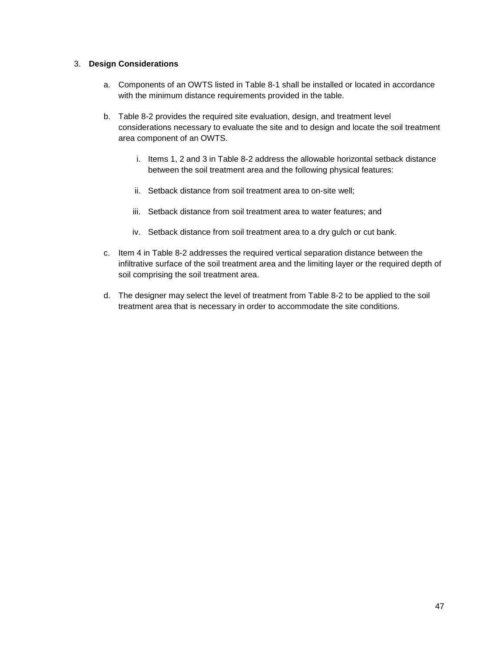#### 3. **Design Considerations**

- a. Components of an OWTS listed in Table 8-1 shall be installed or located in accordance with the minimum distance requirements provided in the table.
- b. Table 8-2 provides the required site evaluation, design, and treatment level considerations necessary to evaluate the site and to design and locate the soil treatment area component of an OWTS.
	- i. Items 1, 2 and 3 in Table 8-2 address the allowable horizontal setback distance between the soil treatment area and the following physical features:
	- ii. Setback distance from soil treatment area to on-site well;
	- iii. Setback distance from soil treatment area to water features; and
	- iv. Setback distance from soil treatment area to a dry gulch or cut bank.
- c. Item 4 in Table 8-2 addresses the required vertical separation distance between the infiltrative surface of the soil treatment area and the limiting layer or the required depth of soil comprising the soil treatment area.
- d. The designer may select the level of treatment from Table 8-2 to be applied to the soil treatment area that is necessary in order to accommodate the site conditions.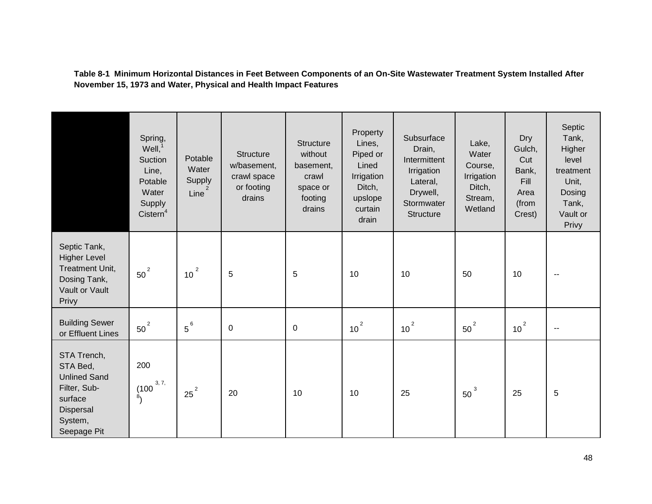**Table 8-1 Minimum Horizontal Distances in Feet Between Components of an On-Site Wastewater Treatment System Installed After November 15, 1973 and Water, Physical and Health Impact Features**

|                                                                                                                  | Spring,<br>Well <sub>1</sub> <sup>1</sup><br>Suction<br>Line,<br>Potable<br>Water<br>Supply<br>Cistern <sup>4</sup> | Potable<br>Water<br>Supply<br>Line | <b>Structure</b><br>w/basement,<br>crawl space<br>or footing<br>drains | <b>Structure</b><br>without<br>basement,<br>crawl<br>space or<br>footing<br>drains | Property<br>Lines,<br>Piped or<br>Lined<br>Irrigation<br>Ditch,<br>upslope<br>curtain<br>drain | Subsurface<br>Drain,<br>Intermittent<br>Irrigation<br>Lateral,<br>Drywell,<br>Stormwater<br>Structure | Lake,<br>Water<br>Course,<br>Irrigation<br>Ditch,<br>Stream,<br>Wetland | Dry<br>Gulch,<br>Cut<br>Bank,<br>Fill<br>Area<br>(from<br>Crest) | Septic<br>Tank,<br>Higher<br>level<br>treatment<br>Unit,<br>Dosing<br>Tank,<br>Vault or<br>Privy |
|------------------------------------------------------------------------------------------------------------------|---------------------------------------------------------------------------------------------------------------------|------------------------------------|------------------------------------------------------------------------|------------------------------------------------------------------------------------|------------------------------------------------------------------------------------------------|-------------------------------------------------------------------------------------------------------|-------------------------------------------------------------------------|------------------------------------------------------------------|--------------------------------------------------------------------------------------------------|
| Septic Tank,<br><b>Higher Level</b><br><b>Treatment Unit,</b><br>Dosing Tank,<br>Vault or Vault<br>Privy         | $50^2$                                                                                                              | $\overline{2}$<br>10               | 5                                                                      | 5                                                                                  | 10                                                                                             | 10                                                                                                    | 50                                                                      | 10                                                               | $\sim$ $\sim$                                                                                    |
| <b>Building Sewer</b><br>or Effluent Lines                                                                       | $50^2$                                                                                                              | $5^6$                              | $\pmb{0}$                                                              | $\boldsymbol{0}$                                                                   | $10^2$                                                                                         | $10^2$                                                                                                | $50^2$                                                                  | $10^2$                                                           | $\sim$                                                                                           |
| STA Trench,<br>STA Bed,<br><b>Unlined Sand</b><br>Filter, Sub-<br>surface<br>Dispersal<br>System,<br>Seepage Pit | 200<br>3, 7,<br>(100)<br>$\ddot{\theta}$                                                                            | $25^2$                             | 20                                                                     | 10                                                                                 | 10                                                                                             | 25                                                                                                    | 50                                                                      | 25                                                               | 5                                                                                                |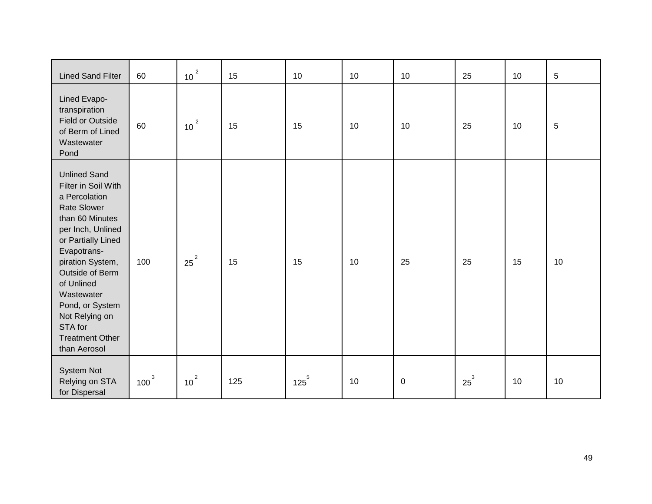| <b>Lined Sand Filter</b>                                                                                                                                                                                                                                                                                                    | 60      | $10^{2}$             | 15  | 10        | 10 | 10        | 25     | 10 | $\sqrt{5}$ |
|-----------------------------------------------------------------------------------------------------------------------------------------------------------------------------------------------------------------------------------------------------------------------------------------------------------------------------|---------|----------------------|-----|-----------|----|-----------|--------|----|------------|
| Lined Evapo-<br>transpiration<br><b>Field or Outside</b><br>of Berm of Lined<br>Wastewater<br>Pond                                                                                                                                                                                                                          | 60      | $\overline{2}$<br>10 | 15  | 15        | 10 | 10        | 25     | 10 | 5          |
| <b>Unlined Sand</b><br>Filter in Soil With<br>a Percolation<br><b>Rate Slower</b><br>than 60 Minutes<br>per Inch, Unlined<br>or Partially Lined<br>Evapotrans-<br>piration System,<br>Outside of Berm<br>of Unlined<br>Wastewater<br>Pond, or System<br>Not Relying on<br>STA for<br><b>Treatment Other</b><br>than Aerosol | 100     | $25^2$               | 15  | 15        | 10 | 25        | 25     | 15 | 10         |
| System Not<br>Relying on STA<br>for Dispersal                                                                                                                                                                                                                                                                               | $100^3$ | $10^{2}$             | 125 | $125^{5}$ | 10 | $\pmb{0}$ | $25^3$ | 10 | 10         |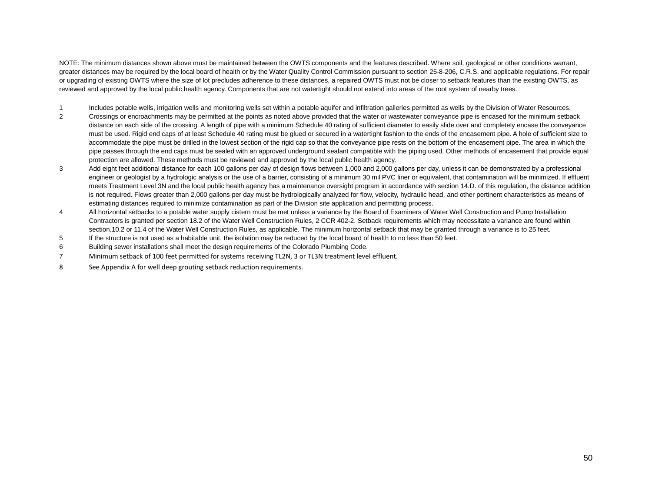NOTE: The minimum distances shown above must be maintained between the OWTS components and the features described. Where soil, geological or other conditions warrant, greater distances may be required by the local board of health or by the Water Quality Control Commission pursuant to section 25-8-206, C.R.S. and applicable regulations. For repair or upgrading of existing OWTS where the size of lot precludes adherence to these distances, a repaired OWTS must not be closer to setback features than the existing OWTS, as reviewed and approved by the local public health agency. Components that are not watertight should not extend into areas of the root system of nearby trees.

- 1 Includes potable wells, irrigation wells and monitoring wells set within a potable aquifer and infiltration galleries permitted as wells by the Division of Water Resources.<br>2 Crossings or encroachments may be permitted a
- 2 Crossings or encroachments may be permitted at the points as noted above provided that the water or wastewater conveyance pipe is encased for the minimum setback distance on each side of the crossing. A length of pipe with a minimum Schedule 40 rating of sufficient diameter to easily slide over and completely encase the conveyance must be used. Rigid end caps of at least Schedule 40 rating must be glued or secured in a watertight fashion to the ends of the encasement pipe. A hole of sufficient size to accommodate the pipe must be drilled in the lowest section of the rigid cap so that the conveyance pipe rests on the bottom of the encasement pipe. The area in which the pipe passes through the end caps must be sealed with an approved underground sealant compatible with the piping used. Other methods of encasement that provide equal protection are allowed. These methods must be reviewed and approved by the local public health agency.
- 3 Add eight feet additional distance for each 100 gallons per day of design flows between 1,000 and 2,000 gallons per day, unless it can be demonstrated by a professional engineer or geologist by a hydrologic analysis or the use of a barrier, consisting of a minimum 30 mil PVC liner or equivalent, that contamination will be minimized. If effluent meets Treatment Level 3N and the local public health agency has a maintenance oversight program in accordance with section 14.D. of this regulation, the distance addition is not required. Flows greater than 2,000 gallons per day must be hydrologically analyzed for flow, velocity, hydraulic head, and other pertinent characteristics as means of estimating distances required to minimize contamination as part of the Division site application and permitting process.
- 4 All horizontal setbacks to a potable water supply cistern must be met unless a variance by the Board of Examiners of Water Well Construction and Pump Installation Contractors is granted per section 18.2 of the Water Well Construction Rules, 2 CCR 402-2. Setback requirements which may necessitate a variance are found within section.10.2 or 11.4 of the Water Well Construction Rules, as applicable. The minimum horizontal setback that may be granted through a variance is to 25 feet.
- 5 If the structure is not used as a habitable unit, the isolation may be reduced by the local board of health to no less than 50 feet.
- 6 Building sewer installations shall meet the design requirements of the Colorado Plumbing Code.
- 7 Minimum setback of 100 feet permitted for systems receiving TL2N, 3 or TL3N treatment level effluent.
- 8 See Appendix A for well deep grouting setback reduction requirements.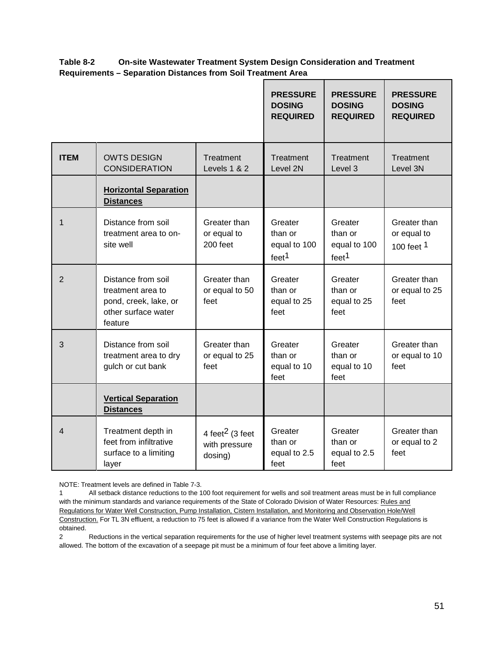**Table 8-2 On-site Wastewater Treatment System Design Consideration and Treatment Requirements – Separation Distances from Soil Treatment Area**

|                |                                                                                                    |                                                         | <b>PRESSURE</b><br><b>DOSING</b><br><b>REQUIRED</b>     | <b>PRESSURE</b><br><b>DOSING</b><br><b>REQUIRED</b>     | <b>PRESSURE</b><br><b>DOSING</b><br><b>REQUIRED</b>  |
|----------------|----------------------------------------------------------------------------------------------------|---------------------------------------------------------|---------------------------------------------------------|---------------------------------------------------------|------------------------------------------------------|
| <b>ITEM</b>    | <b>OWTS DESIGN</b><br><b>CONSIDERATION</b>                                                         | Treatment<br>Levels 1 & 2                               | Treatment<br>Level 2N                                   | Treatment<br>Level 3                                    | Treatment<br>Level 3N                                |
|                | <b>Horizontal Separation</b><br><b>Distances</b>                                                   |                                                         |                                                         |                                                         |                                                      |
| $\mathbf{1}$   | Distance from soil<br>treatment area to on-<br>site well                                           | Greater than<br>or equal to<br>200 feet                 | Greater<br>than or<br>equal to 100<br>feet <sup>1</sup> | Greater<br>than or<br>equal to 100<br>feet <sup>1</sup> | Greater than<br>or equal to<br>100 feet <sup>1</sup> |
| $\overline{2}$ | Distance from soil<br>treatment area to<br>pond, creek, lake, or<br>other surface water<br>feature | Greater than<br>or equal to 50<br>feet                  | Greater<br>than or<br>equal to 25<br>feet               | Greater<br>than or<br>equal to 25<br>feet               | Greater than<br>or equal to 25<br>feet               |
| 3              | Distance from soil<br>treatment area to dry<br>gulch or cut bank                                   | Greater than<br>or equal to 25<br>feet                  | Greater<br>than or<br>equal to 10<br>feet               | Greater<br>than or<br>equal to 10<br>feet               | Greater than<br>or equal to 10<br>feet               |
|                | <b>Vertical Separation</b><br><b>Distances</b>                                                     |                                                         |                                                         |                                                         |                                                      |
| 4              | Treatment depth in<br>feet from infiltrative<br>surface to a limiting<br>layer                     | 4 feet <sup>2</sup> (3 feet<br>with pressure<br>dosing) | Greater<br>than or<br>equal to 2.5<br>feet              | Greater<br>than or<br>equal to 2.5<br>feet              | Greater than<br>or equal to 2<br>feet                |

NOTE: Treatment levels are defined in Table 7-3.

1 All setback distance reductions to the 100 foot requirement for wells and soil treatment areas must be in full compliance with the minimum standards and variance requirements of the State of Colorado Division of Water Resources: Rules and Regulations for Water Well Construction, Pump Installation, Cistern Installation, and Monitoring and Observation Hole/Well Construction. For TL 3N effluent, a reduction to 75 feet is allowed if a variance from the Water Well Construction Regulations is obtained.

2 Reductions in the vertical separation requirements for the use of higher level treatment systems with seepage pits are not allowed. The bottom of the excavation of a seepage pit must be a minimum of four feet above a limiting layer.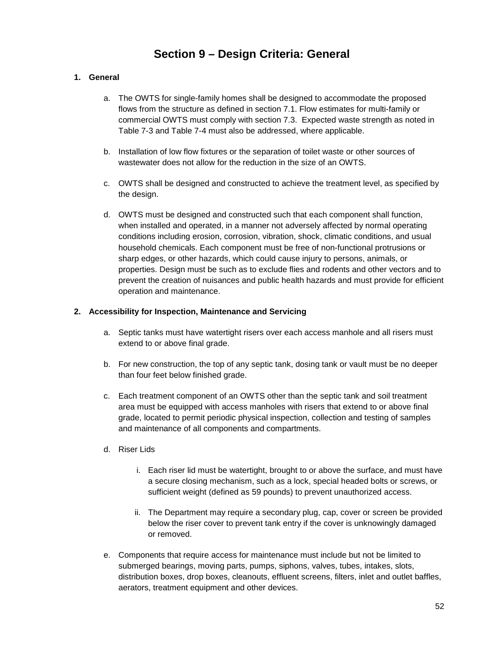## **Section 9 – Design Criteria: General**

#### **1. General**

- a. The OWTS for single-family homes shall be designed to accommodate the proposed flows from the structure as defined in section 7.1. Flow estimates for multi-family or commercial OWTS must comply with section 7.3. Expected waste strength as noted in Table 7-3 and Table 7-4 must also be addressed, where applicable.
- b. Installation of low flow fixtures or the separation of toilet waste or other sources of wastewater does not allow for the reduction in the size of an OWTS.
- c. OWTS shall be designed and constructed to achieve the treatment level, as specified by the design.
- d. OWTS must be designed and constructed such that each component shall function, when installed and operated, in a manner not adversely affected by normal operating conditions including erosion, corrosion, vibration, shock, climatic conditions, and usual household chemicals. Each component must be free of non-functional protrusions or sharp edges, or other hazards, which could cause injury to persons, animals, or properties. Design must be such as to exclude flies and rodents and other vectors and to prevent the creation of nuisances and public health hazards and must provide for efficient operation and maintenance.

#### **2. Accessibility for Inspection, Maintenance and Servicing**

- a. Septic tanks must have watertight risers over each access manhole and all risers must extend to or above final grade.
- b. For new construction, the top of any septic tank, dosing tank or vault must be no deeper than four feet below finished grade.
- c. Each treatment component of an OWTS other than the septic tank and soil treatment area must be equipped with access manholes with risers that extend to or above final grade, located to permit periodic physical inspection, collection and testing of samples and maintenance of all components and compartments.
- d. Riser Lids
	- i. Each riser lid must be watertight, brought to or above the surface, and must have a secure closing mechanism, such as a lock, special headed bolts or screws, or sufficient weight (defined as 59 pounds) to prevent unauthorized access.
	- ii. The Department may require a secondary plug, cap, cover or screen be provided below the riser cover to prevent tank entry if the cover is unknowingly damaged or removed.
- e. Components that require access for maintenance must include but not be limited to submerged bearings, moving parts, pumps, siphons, valves, tubes, intakes, slots, distribution boxes, drop boxes, cleanouts, effluent screens, filters, inlet and outlet baffles, aerators, treatment equipment and other devices.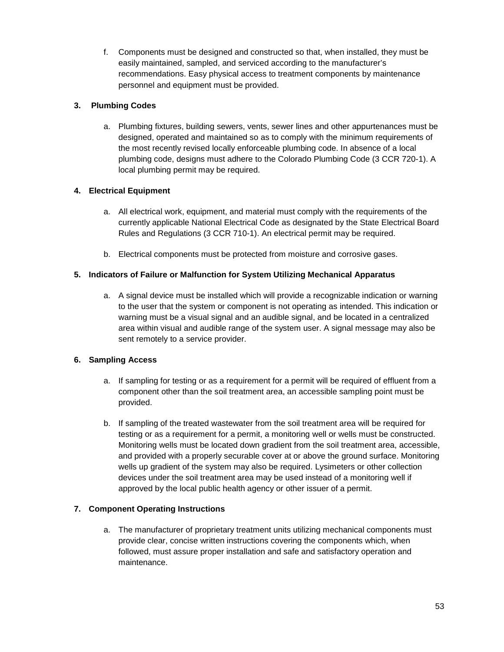f. Components must be designed and constructed so that, when installed, they must be easily maintained, sampled, and serviced according to the manufacturer's recommendations. Easy physical access to treatment components by maintenance personnel and equipment must be provided.

#### **3. Plumbing Codes**

a. Plumbing fixtures, building sewers, vents, sewer lines and other appurtenances must be designed, operated and maintained so as to comply with the minimum requirements of the most recently revised locally enforceable plumbing code. In absence of a local plumbing code, designs must adhere to the Colorado Plumbing Code (3 CCR 720-1). A local plumbing permit may be required.

#### **4. Electrical Equipment**

- a. All electrical work, equipment, and material must comply with the requirements of the currently applicable National Electrical Code as designated by the State Electrical Board Rules and Regulations (3 CCR 710-1). An electrical permit may be required.
- b. Electrical components must be protected from moisture and corrosive gases.

#### **5. Indicators of Failure or Malfunction for System Utilizing Mechanical Apparatus**

a. A signal device must be installed which will provide a recognizable indication or warning to the user that the system or component is not operating as intended. This indication or warning must be a visual signal and an audible signal, and be located in a centralized area within visual and audible range of the system user. A signal message may also be sent remotely to a service provider.

#### **6. Sampling Access**

- a. If sampling for testing or as a requirement for a permit will be required of effluent from a component other than the soil treatment area, an accessible sampling point must be provided.
- b. If sampling of the treated wastewater from the soil treatment area will be required for testing or as a requirement for a permit, a monitoring well or wells must be constructed. Monitoring wells must be located down gradient from the soil treatment area, accessible, and provided with a properly securable cover at or above the ground surface. Monitoring wells up gradient of the system may also be required. Lysimeters or other collection devices under the soil treatment area may be used instead of a monitoring well if approved by the local public health agency or other issuer of a permit.

#### **7. Component Operating Instructions**

a. The manufacturer of proprietary treatment units utilizing mechanical components must provide clear, concise written instructions covering the components which, when followed, must assure proper installation and safe and satisfactory operation and maintenance.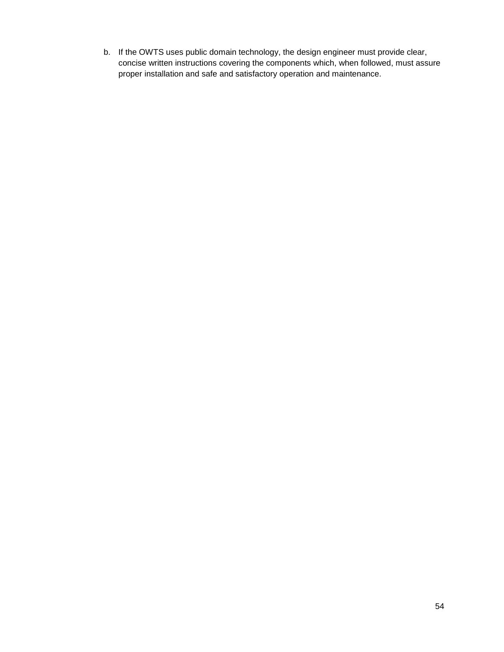b. If the OWTS uses public domain technology, the design engineer must provide clear, concise written instructions covering the components which, when followed, must assure proper installation and safe and satisfactory operation and maintenance.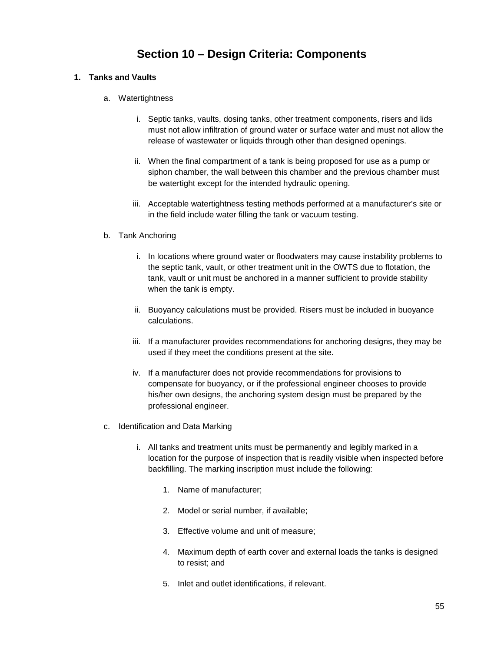# **Section 10 – Design Criteria: Components**

#### **1. Tanks and Vaults**

- a. Watertightness
	- i. Septic tanks, vaults, dosing tanks, other treatment components, risers and lids must not allow infiltration of ground water or surface water and must not allow the release of wastewater or liquids through other than designed openings.
	- ii. When the final compartment of a tank is being proposed for use as a pump or siphon chamber, the wall between this chamber and the previous chamber must be watertight except for the intended hydraulic opening.
	- iii. Acceptable watertightness testing methods performed at a manufacturer's site or in the field include water filling the tank or vacuum testing.
- b. Tank Anchoring
	- i. In locations where ground water or floodwaters may cause instability problems to the septic tank, vault, or other treatment unit in the OWTS due to flotation, the tank, vault or unit must be anchored in a manner sufficient to provide stability when the tank is empty.
	- ii. Buoyancy calculations must be provided. Risers must be included in buoyance calculations.
	- iii. If a manufacturer provides recommendations for anchoring designs, they may be used if they meet the conditions present at the site.
	- iv. If a manufacturer does not provide recommendations for provisions to compensate for buoyancy, or if the professional engineer chooses to provide his/her own designs, the anchoring system design must be prepared by the professional engineer.
- c. Identification and Data Marking
	- i. All tanks and treatment units must be permanently and legibly marked in a location for the purpose of inspection that is readily visible when inspected before backfilling. The marking inscription must include the following:
		- 1. Name of manufacturer;
		- 2. Model or serial number, if available;
		- 3. Effective volume and unit of measure;
		- 4. Maximum depth of earth cover and external loads the tanks is designed to resist; and
		- 5. Inlet and outlet identifications, if relevant.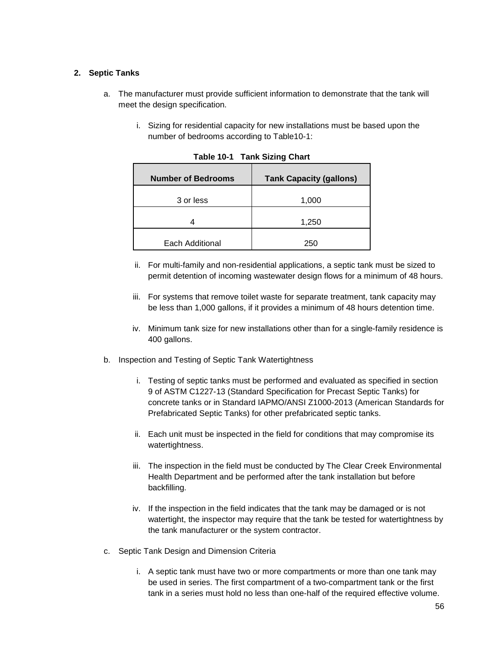#### **2. Septic Tanks**

- a. The manufacturer must provide sufficient information to demonstrate that the tank will meet the design specification.
	- i. Sizing for residential capacity for new installations must be based upon the number of bedrooms according to Table10-1:

| <b>Number of Bedrooms</b> | <b>Tank Capacity (gallons)</b> |
|---------------------------|--------------------------------|
| 3 or less                 | 1,000                          |
| 4                         | 1,250                          |
| Each Additional           | 250                            |

**Table 10-1 Tank Sizing Chart**

- ii. For multi-family and non-residential applications, a septic tank must be sized to permit detention of incoming wastewater design flows for a minimum of 48 hours.
- iii. For systems that remove toilet waste for separate treatment, tank capacity may be less than 1,000 gallons, if it provides a minimum of 48 hours detention time.
- iv. Minimum tank size for new installations other than for a single-family residence is 400 gallons.
- b. Inspection and Testing of Septic Tank Watertightness
	- i. Testing of septic tanks must be performed and evaluated as specified in section 9 of ASTM C1227-13 (Standard Specification for Precast Septic Tanks) for concrete tanks or in Standard IAPMO/ANSI Z1000-2013 (American Standards for Prefabricated Septic Tanks) for other prefabricated septic tanks.
	- ii. Each unit must be inspected in the field for conditions that may compromise its watertightness.
	- iii. The inspection in the field must be conducted by The Clear Creek Environmental Health Department and be performed after the tank installation but before backfilling.
	- iv. If the inspection in the field indicates that the tank may be damaged or is not watertight, the inspector may require that the tank be tested for watertightness by the tank manufacturer or the system contractor.
- c. Septic Tank Design and Dimension Criteria
	- i. A septic tank must have two or more compartments or more than one tank may be used in series. The first compartment of a two-compartment tank or the first tank in a series must hold no less than one-half of the required effective volume.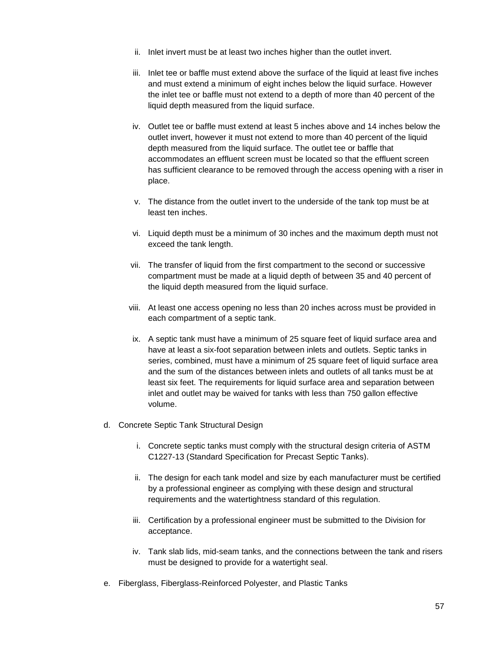- ii. Inlet invert must be at least two inches higher than the outlet invert.
- iii. Inlet tee or baffle must extend above the surface of the liquid at least five inches and must extend a minimum of eight inches below the liquid surface. However the inlet tee or baffle must not extend to a depth of more than 40 percent of the liquid depth measured from the liquid surface.
- iv. Outlet tee or baffle must extend at least 5 inches above and 14 inches below the outlet invert, however it must not extend to more than 40 percent of the liquid depth measured from the liquid surface. The outlet tee or baffle that accommodates an effluent screen must be located so that the effluent screen has sufficient clearance to be removed through the access opening with a riser in place.
- v. The distance from the outlet invert to the underside of the tank top must be at least ten inches.
- vi. Liquid depth must be a minimum of 30 inches and the maximum depth must not exceed the tank length.
- vii. The transfer of liquid from the first compartment to the second or successive compartment must be made at a liquid depth of between 35 and 40 percent of the liquid depth measured from the liquid surface.
- viii. At least one access opening no less than 20 inches across must be provided in each compartment of a septic tank.
- ix. A septic tank must have a minimum of 25 square feet of liquid surface area and have at least a six-foot separation between inlets and outlets. Septic tanks in series, combined, must have a minimum of 25 square feet of liquid surface area and the sum of the distances between inlets and outlets of all tanks must be at least six feet. The requirements for liquid surface area and separation between inlet and outlet may be waived for tanks with less than 750 gallon effective volume.
- d. Concrete Septic Tank Structural Design
	- i. Concrete septic tanks must comply with the structural design criteria of ASTM C1227-13 (Standard Specification for Precast Septic Tanks).
	- ii. The design for each tank model and size by each manufacturer must be certified by a professional engineer as complying with these design and structural requirements and the watertightness standard of this regulation.
	- iii. Certification by a professional engineer must be submitted to the Division for acceptance.
	- iv. Tank slab lids, mid-seam tanks, and the connections between the tank and risers must be designed to provide for a watertight seal.
- e. Fiberglass, Fiberglass-Reinforced Polyester, and Plastic Tanks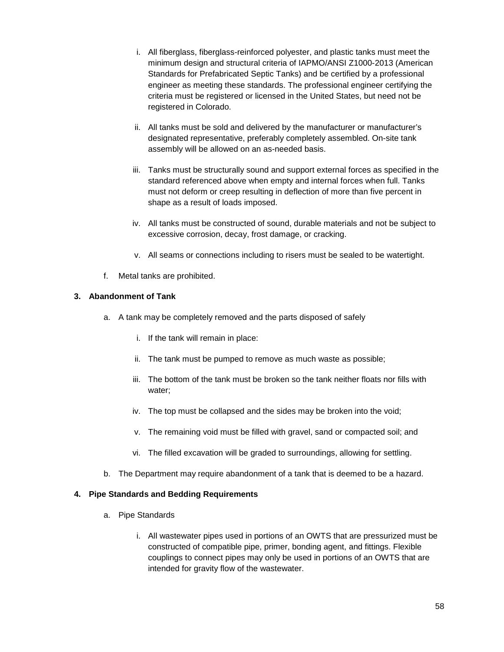- i. All fiberglass, fiberglass-reinforced polyester, and plastic tanks must meet the minimum design and structural criteria of IAPMO/ANSI Z1000-2013 (American Standards for Prefabricated Septic Tanks) and be certified by a professional engineer as meeting these standards. The professional engineer certifying the criteria must be registered or licensed in the United States, but need not be registered in Colorado.
- ii. All tanks must be sold and delivered by the manufacturer or manufacturer's designated representative, preferably completely assembled. On-site tank assembly will be allowed on an as-needed basis.
- iii. Tanks must be structurally sound and support external forces as specified in the standard referenced above when empty and internal forces when full. Tanks must not deform or creep resulting in deflection of more than five percent in shape as a result of loads imposed.
- iv. All tanks must be constructed of sound, durable materials and not be subject to excessive corrosion, decay, frost damage, or cracking.
- v. All seams or connections including to risers must be sealed to be watertight.
- f. Metal tanks are prohibited.

#### **3. Abandonment of Tank**

- a. A tank may be completely removed and the parts disposed of safely
	- i. If the tank will remain in place:
	- ii. The tank must be pumped to remove as much waste as possible;
	- iii. The bottom of the tank must be broken so the tank neither floats nor fills with water;
	- iv. The top must be collapsed and the sides may be broken into the void;
	- v. The remaining void must be filled with gravel, sand or compacted soil; and
	- vi. The filled excavation will be graded to surroundings, allowing for settling.
- b. The Department may require abandonment of a tank that is deemed to be a hazard.

#### **4. Pipe Standards and Bedding Requirements**

- a. Pipe Standards
	- i. All wastewater pipes used in portions of an OWTS that are pressurized must be constructed of compatible pipe, primer, bonding agent, and fittings. Flexible couplings to connect pipes may only be used in portions of an OWTS that are intended for gravity flow of the wastewater.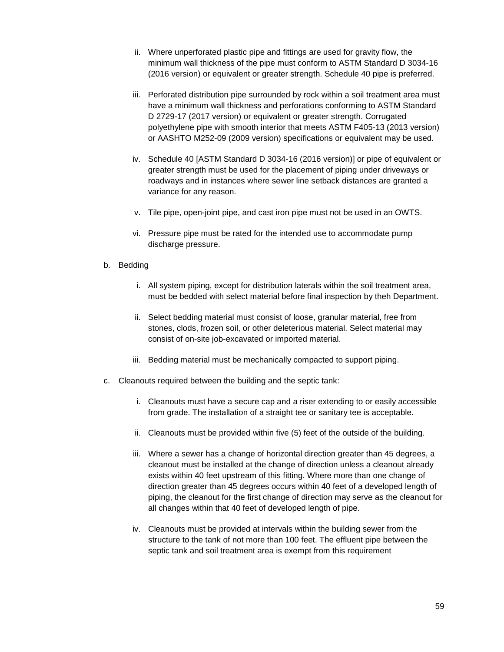- ii. Where unperforated plastic pipe and fittings are used for gravity flow, the minimum wall thickness of the pipe must conform to ASTM Standard D 3034-16 (2016 version) or equivalent or greater strength. Schedule 40 pipe is preferred.
- iii. Perforated distribution pipe surrounded by rock within a soil treatment area must have a minimum wall thickness and perforations conforming to ASTM Standard D 2729-17 (2017 version) or equivalent or greater strength. Corrugated polyethylene pipe with smooth interior that meets ASTM F405-13 (2013 version) or AASHTO M252-09 (2009 version) specifications or equivalent may be used.
- iv. Schedule 40 [ASTM Standard D 3034-16 (2016 version)] or pipe of equivalent or greater strength must be used for the placement of piping under driveways or roadways and in instances where sewer line setback distances are granted a variance for any reason.
- v. Tile pipe, open-joint pipe, and cast iron pipe must not be used in an OWTS.
- vi. Pressure pipe must be rated for the intended use to accommodate pump discharge pressure.
- b. Bedding
	- i. All system piping, except for distribution laterals within the soil treatment area, must be bedded with select material before final inspection by theh Department.
	- ii. Select bedding material must consist of loose, granular material, free from stones, clods, frozen soil, or other deleterious material. Select material may consist of on-site job-excavated or imported material.
	- iii. Bedding material must be mechanically compacted to support piping.
- c. Cleanouts required between the building and the septic tank:
	- i. Cleanouts must have a secure cap and a riser extending to or easily accessible from grade. The installation of a straight tee or sanitary tee is acceptable.
	- ii. Cleanouts must be provided within five (5) feet of the outside of the building.
	- iii. Where a sewer has a change of horizontal direction greater than 45 degrees, a cleanout must be installed at the change of direction unless a cleanout already exists within 40 feet upstream of this fitting. Where more than one change of direction greater than 45 degrees occurs within 40 feet of a developed length of piping, the cleanout for the first change of direction may serve as the cleanout for all changes within that 40 feet of developed length of pipe.
	- iv. Cleanouts must be provided at intervals within the building sewer from the structure to the tank of not more than 100 feet. The effluent pipe between the septic tank and soil treatment area is exempt from this requirement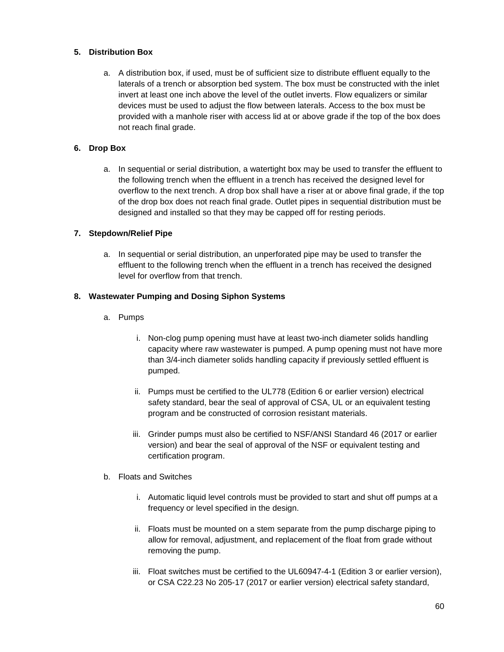#### **5. Distribution Box**

a. A distribution box, if used, must be of sufficient size to distribute effluent equally to the laterals of a trench or absorption bed system. The box must be constructed with the inlet invert at least one inch above the level of the outlet inverts. Flow equalizers or similar devices must be used to adjust the flow between laterals. Access to the box must be provided with a manhole riser with access lid at or above grade if the top of the box does not reach final grade.

#### **6. Drop Box**

a. In sequential or serial distribution, a watertight box may be used to transfer the effluent to the following trench when the effluent in a trench has received the designed level for overflow to the next trench. A drop box shall have a riser at or above final grade, if the top of the drop box does not reach final grade. Outlet pipes in sequential distribution must be designed and installed so that they may be capped off for resting periods.

#### **7. Stepdown/Relief Pipe**

a. In sequential or serial distribution, an unperforated pipe may be used to transfer the effluent to the following trench when the effluent in a trench has received the designed level for overflow from that trench.

#### **8. Wastewater Pumping and Dosing Siphon Systems**

- a. Pumps
	- i. Non-clog pump opening must have at least two-inch diameter solids handling capacity where raw wastewater is pumped. A pump opening must not have more than 3/4-inch diameter solids handling capacity if previously settled effluent is pumped.
	- ii. Pumps must be certified to the UL778 (Edition 6 or earlier version) electrical safety standard, bear the seal of approval of CSA, UL or an equivalent testing program and be constructed of corrosion resistant materials.
	- iii. Grinder pumps must also be certified to NSF/ANSI Standard 46 (2017 or earlier version) and bear the seal of approval of the NSF or equivalent testing and certification program.
- b. Floats and Switches
	- i. Automatic liquid level controls must be provided to start and shut off pumps at a frequency or level specified in the design.
	- ii. Floats must be mounted on a stem separate from the pump discharge piping to allow for removal, adjustment, and replacement of the float from grade without removing the pump.
	- iii. Float switches must be certified to the UL60947-4-1 (Edition 3 or earlier version), or CSA C22.23 No 205-17 (2017 or earlier version) electrical safety standard,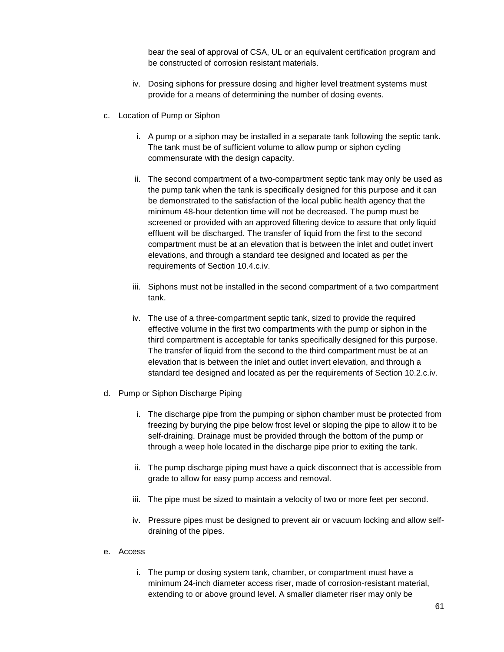bear the seal of approval of CSA, UL or an equivalent certification program and be constructed of corrosion resistant materials.

- iv. Dosing siphons for pressure dosing and higher level treatment systems must provide for a means of determining the number of dosing events.
- c. Location of Pump or Siphon
	- i. A pump or a siphon may be installed in a separate tank following the septic tank. The tank must be of sufficient volume to allow pump or siphon cycling commensurate with the design capacity.
	- ii. The second compartment of a two-compartment septic tank may only be used as the pump tank when the tank is specifically designed for this purpose and it can be demonstrated to the satisfaction of the local public health agency that the minimum 48-hour detention time will not be decreased. The pump must be screened or provided with an approved filtering device to assure that only liquid effluent will be discharged. The transfer of liquid from the first to the second compartment must be at an elevation that is between the inlet and outlet invert elevations, and through a standard tee designed and located as per the requirements of Section 10.4.c.iv.
	- iii. Siphons must not be installed in the second compartment of a two compartment tank.
	- iv. The use of a three-compartment septic tank, sized to provide the required effective volume in the first two compartments with the pump or siphon in the third compartment is acceptable for tanks specifically designed for this purpose. The transfer of liquid from the second to the third compartment must be at an elevation that is between the inlet and outlet invert elevation, and through a standard tee designed and located as per the requirements of Section 10.2.c.iv.
- d. Pump or Siphon Discharge Piping
	- i. The discharge pipe from the pumping or siphon chamber must be protected from freezing by burying the pipe below frost level or sloping the pipe to allow it to be self-draining. Drainage must be provided through the bottom of the pump or through a weep hole located in the discharge pipe prior to exiting the tank.
	- ii. The pump discharge piping must have a quick disconnect that is accessible from grade to allow for easy pump access and removal.
	- iii. The pipe must be sized to maintain a velocity of two or more feet per second.
	- iv. Pressure pipes must be designed to prevent air or vacuum locking and allow selfdraining of the pipes.
- e. Access
	- i. The pump or dosing system tank, chamber, or compartment must have a minimum 24-inch diameter access riser, made of corrosion-resistant material, extending to or above ground level. A smaller diameter riser may only be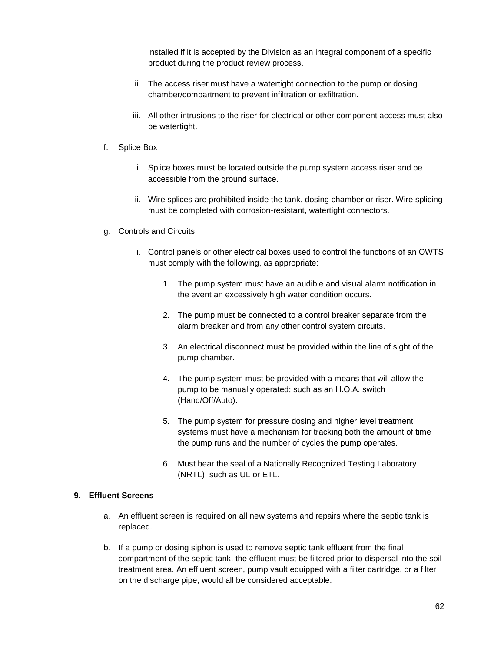installed if it is accepted by the Division as an integral component of a specific product during the product review process.

- ii. The access riser must have a watertight connection to the pump or dosing chamber/compartment to prevent infiltration or exfiltration.
- iii. All other intrusions to the riser for electrical or other component access must also be watertight.
- f. Splice Box
	- i. Splice boxes must be located outside the pump system access riser and be accessible from the ground surface.
	- ii. Wire splices are prohibited inside the tank, dosing chamber or riser. Wire splicing must be completed with corrosion-resistant, watertight connectors.
- g. Controls and Circuits
	- i. Control panels or other electrical boxes used to control the functions of an OWTS must comply with the following, as appropriate:
		- 1. The pump system must have an audible and visual alarm notification in the event an excessively high water condition occurs.
		- 2. The pump must be connected to a control breaker separate from the alarm breaker and from any other control system circuits.
		- 3. An electrical disconnect must be provided within the line of sight of the pump chamber.
		- 4. The pump system must be provided with a means that will allow the pump to be manually operated; such as an H.O.A. switch (Hand/Off/Auto).
		- 5. The pump system for pressure dosing and higher level treatment systems must have a mechanism for tracking both the amount of time the pump runs and the number of cycles the pump operates.
		- 6. Must bear the seal of a Nationally Recognized Testing Laboratory (NRTL), such as UL or ETL.

#### **9. Effluent Screens**

- a. An effluent screen is required on all new systems and repairs where the septic tank is replaced.
- b. If a pump or dosing siphon is used to remove septic tank effluent from the final compartment of the septic tank, the effluent must be filtered prior to dispersal into the soil treatment area. An effluent screen, pump vault equipped with a filter cartridge, or a filter on the discharge pipe, would all be considered acceptable.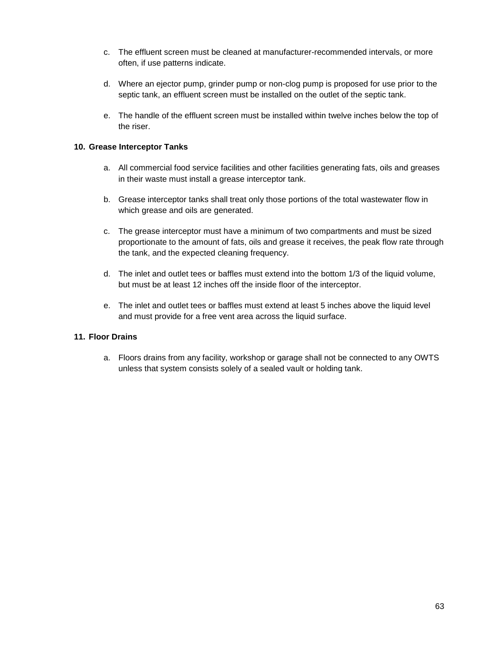- c. The effluent screen must be cleaned at manufacturer-recommended intervals, or more often, if use patterns indicate.
- d. Where an ejector pump, grinder pump or non-clog pump is proposed for use prior to the septic tank, an effluent screen must be installed on the outlet of the septic tank.
- e. The handle of the effluent screen must be installed within twelve inches below the top of the riser.

#### **10. Grease Interceptor Tanks**

- a. All commercial food service facilities and other facilities generating fats, oils and greases in their waste must install a grease interceptor tank.
- b. Grease interceptor tanks shall treat only those portions of the total wastewater flow in which grease and oils are generated.
- c. The grease interceptor must have a minimum of two compartments and must be sized proportionate to the amount of fats, oils and grease it receives, the peak flow rate through the tank, and the expected cleaning frequency.
- d. The inlet and outlet tees or baffles must extend into the bottom 1/3 of the liquid volume, but must be at least 12 inches off the inside floor of the interceptor.
- e. The inlet and outlet tees or baffles must extend at least 5 inches above the liquid level and must provide for a free vent area across the liquid surface.

#### **11. Floor Drains**

a. Floors drains from any facility, workshop or garage shall not be connected to any OWTS unless that system consists solely of a sealed vault or holding tank.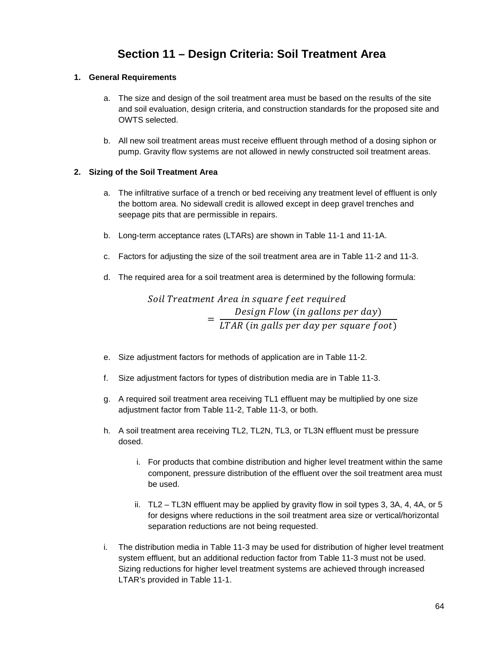# **Section 11 – Design Criteria: Soil Treatment Area**

#### **1. General Requirements**

- a. The size and design of the soil treatment area must be based on the results of the site and soil evaluation, design criteria, and construction standards for the proposed site and OWTS selected.
- b. All new soil treatment areas must receive effluent through method of a dosing siphon or pump. Gravity flow systems are not allowed in newly constructed soil treatment areas.

#### **2. Sizing of the Soil Treatment Area**

- a. The infiltrative surface of a trench or bed receiving any treatment level of effluent is only the bottom area. No sidewall credit is allowed except in deep gravel trenches and seepage pits that are permissible in repairs.
- b. Long-term acceptance rates (LTARs) are shown in Table 11-1 and 11-1A.
- c. Factors for adjusting the size of the soil treatment area are in Table 11-2 and 11-3.
- d. The required area for a soil treatment area is determined by the following formula:

Soil Treatment Area in square feet required  $=$   $\frac{$  Design Flow (in gallons per day)<br> $=$   $\frac{1}{1}$  TAR (in galls per day per square for LTAR (in galls per day per square foot)

- e. Size adjustment factors for methods of application are in Table 11-2.
- f. Size adjustment factors for types of distribution media are in Table 11-3.
- g. A required soil treatment area receiving TL1 effluent may be multiplied by one size adjustment factor from Table 11-2, Table 11-3, or both.
- h. A soil treatment area receiving TL2, TL2N, TL3, or TL3N effluent must be pressure dosed.
	- i. For products that combine distribution and higher level treatment within the same component, pressure distribution of the effluent over the soil treatment area must be used.
	- ii.  $TL2 TL3N$  effluent may be applied by gravity flow in soil types 3, 3A, 4, 4A, or 5 for designs where reductions in the soil treatment area size or vertical/horizontal separation reductions are not being requested.
- i. The distribution media in Table 11-3 may be used for distribution of higher level treatment system effluent, but an additional reduction factor from Table 11-3 must not be used. Sizing reductions for higher level treatment systems are achieved through increased LTAR's provided in Table 11-1.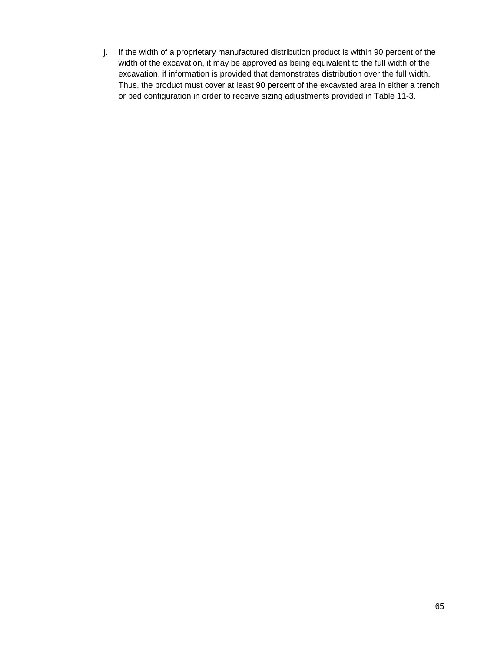j. If the width of a proprietary manufactured distribution product is within 90 percent of the width of the excavation, it may be approved as being equivalent to the full width of the excavation, if information is provided that demonstrates distribution over the full width. Thus, the product must cover at least 90 percent of the excavated area in either a trench or bed configuration in order to receive sizing adjustments provided in Table 11-3.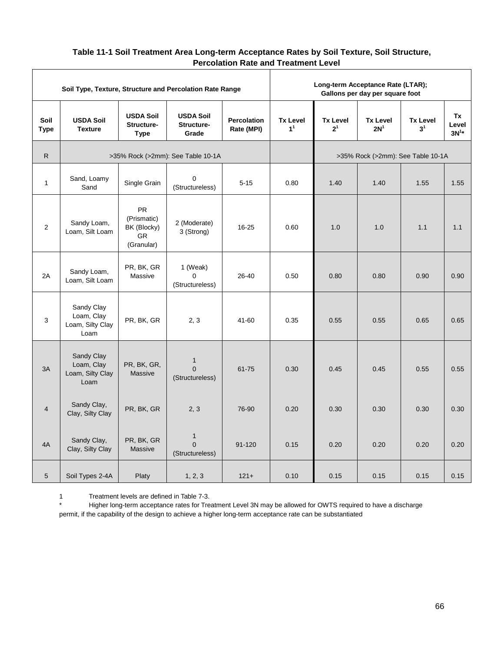### **Table 11-1 Soil Treatment Area Long-term Acceptance Rates by Soil Texture, Soil Structure, Percolation Rate and Treatment Level**

|                     | Soil Type, Texture, Structure and Percolation Rate Range |                                                                    |                                             |                                  |                                   | Long-term Acceptance Rate (LTAR); | Gallons per day per square foot    |                                   |                          |
|---------------------|----------------------------------------------------------|--------------------------------------------------------------------|---------------------------------------------|----------------------------------|-----------------------------------|-----------------------------------|------------------------------------|-----------------------------------|--------------------------|
| Soil<br><b>Type</b> | <b>USDA Soil</b><br><b>Texture</b>                       | <b>USDA Soil</b><br>Structure-<br><b>Type</b>                      | <b>USDA Soil</b><br>Structure-<br>Grade     | <b>Percolation</b><br>Rate (MPI) | <b>Tx Level</b><br>1 <sup>1</sup> | <b>Tx Level</b><br>2 <sup>1</sup> | <b>Tx Level</b><br>2N <sup>1</sup> | <b>Tx Level</b><br>3 <sup>1</sup> | Tx<br>Level<br>$3N^{1*}$ |
| $\mathsf{R}$        |                                                          |                                                                    | >35% Rock (>2mm): See Table 10-1A           |                                  |                                   |                                   | >35% Rock (>2mm): See Table 10-1A  |                                   |                          |
| $\mathbf{1}$        | Sand, Loamy<br>Sand                                      | Single Grain                                                       | $\mathbf 0$<br>(Structureless)              | $5 - 15$                         | 0.80                              | 1.40                              | 1.40                               | 1.55                              | 1.55                     |
| 2                   | Sandy Loam,<br>Loam, Silt Loam                           | <b>PR</b><br>(Prismatic)<br>BK (Blocky)<br><b>GR</b><br>(Granular) | 2 (Moderate)<br>3 (Strong)                  | 16-25                            | 0.60                              | 1.0                               | 1.0                                | 1.1                               | 1.1                      |
| 2A                  | Sandy Loam,<br>Loam, Silt Loam                           | PR, BK, GR<br>Massive                                              | 1 (Weak)<br>$\Omega$<br>(Structureless)     | 26-40                            | 0.50                              | 0.80                              | 0.80                               | 0.90                              | 0.90                     |
| 3                   | Sandy Clay<br>Loam, Clay<br>Loam, Silty Clay<br>Loam     | PR, BK, GR                                                         | 2, 3                                        | 41-60                            | 0.35                              | 0.55                              | 0.55                               | 0.65                              | 0.65                     |
| 3A                  | Sandy Clay<br>Loam, Clay<br>Loam, Silty Clay<br>Loam     | PR, BK, GR,<br>Massive                                             | $\mathbf{1}$<br>$\Omega$<br>(Structureless) | 61-75                            | 0.30                              | 0.45                              | 0.45                               | 0.55                              | 0.55                     |
| $\overline{4}$      | Sandy Clay,<br>Clay, Silty Clay                          | PR, BK, GR                                                         | 2, 3                                        | 76-90                            | 0.20                              | 0.30                              | 0.30                               | 0.30                              | 0.30                     |
| 4A                  | Sandy Clay,<br>Clay, Silty Clay                          | PR, BK, GR<br>Massive                                              | $\mathbf{1}$<br>$\Omega$<br>(Structureless) | 91-120                           | 0.15                              | 0.20                              | 0.20                               | 0.20                              | 0.20                     |
| $\sqrt{5}$          | Soil Types 2-4A                                          | Platy                                                              | 1, 2, 3                                     | $121 +$                          | 0.10                              | 0.15                              | 0.15                               | 0.15                              | 0.15                     |

1 Treatment levels are defined in Table 7-3.

Higher long-term acceptance rates for Treatment Level 3N may be allowed for OWTS required to have a discharge permit, if the capability of the design to achieve a higher long-term acceptance rate can be substantiated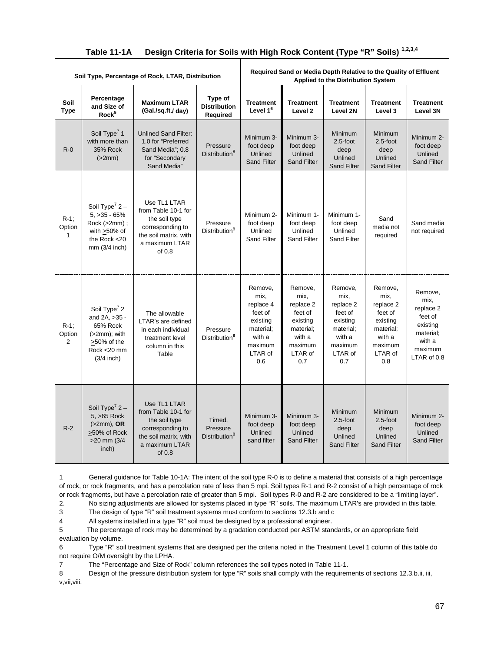| Soil Type, Percentage of Rock, LTAR, Distribution |                                                                                                                        |                                                                                                                                 |                                                 | Required Sand or Media Depth Relative to the Quality of Effluent<br><b>Applied to the Distribution System</b> |                                                                                                         |                                                                                                         |                                                                                                         |                                                                                                      |
|---------------------------------------------------|------------------------------------------------------------------------------------------------------------------------|---------------------------------------------------------------------------------------------------------------------------------|-------------------------------------------------|---------------------------------------------------------------------------------------------------------------|---------------------------------------------------------------------------------------------------------|---------------------------------------------------------------------------------------------------------|---------------------------------------------------------------------------------------------------------|------------------------------------------------------------------------------------------------------|
| Soil<br><b>Type</b>                               | Percentage<br>and Size of<br>Rock <sup>5</sup>                                                                         | <b>Maximum LTAR</b><br>(Gal./sq.ft./ day)                                                                                       | Type of<br><b>Distribution</b><br>Required      | <b>Treatment</b><br>Level 1 <sup>6</sup>                                                                      | <b>Treatment</b><br>Level <sub>2</sub>                                                                  | <b>Treatment</b><br>Level 2N                                                                            | <b>Treatment</b><br>Level 3                                                                             | <b>Treatment</b><br>Level 3N                                                                         |
| $R - 0$                                           | Soil Type <sup>7</sup> 1<br>with more than<br>35% Rock<br>(>2mm)                                                       | <b>Unlined Sand Filter:</b><br>1.0 for "Preferred<br>Sand Media"; 0.8<br>for "Secondary<br>Sand Media"                          | Pressure<br>Distribution <sup>8</sup>           | Minimum 3-<br>foot deep<br>Unlined<br><b>Sand Filter</b>                                                      | Minimum 3-<br>foot deep<br>Unlined<br><b>Sand Filter</b>                                                | Minimum<br>$2.5$ -foot<br>deep<br>Unlined<br><b>Sand Filter</b>                                         | Minimum<br>$2.5$ -foot<br>deep<br>Unlined<br><b>Sand Filter</b>                                         | Minimum 2-<br>foot deep<br>Unlined<br><b>Sand Filter</b>                                             |
| $R-1$ :<br>Option<br>$\mathbf{1}$                 | Soil Type <sup>7</sup> $2 -$<br>$5, >35 - 65%$<br>Rock (>2mm) ;<br>with $>50\%$ of<br>the Rock <20<br>mm (3/4 inch)    | Use TL1 LTAR<br>from Table 10-1 for<br>the soil type<br>corresponding to<br>the soil matrix, with<br>a maximum LTAR<br>of 0.8   | Pressure<br>Distribution <sup>8</sup>           | Minimum 2-<br>foot deep<br>Unlined<br><b>Sand Filter</b>                                                      | Minimum 1-<br>foot deep<br>Unlined<br><b>Sand Filter</b>                                                | Minimum 1-<br>foot deep<br>Unlined<br><b>Sand Filter</b>                                                | Sand<br>media not<br>required                                                                           | Sand media<br>not required                                                                           |
| $R-1$ :<br>Option<br>2                            | Soil Type <sup>7</sup> 2<br>and 2A, >35 -<br>65% Rock<br>$(>2mm)$ ; with<br>>50% of the<br>Rock <20 mm<br>$(3/4$ inch) | The allowable<br>LTAR's are defined<br>in each individual<br>treatment level<br>column in this<br>Table                         | Pressure<br>Distribution <sup>8</sup>           | Remove.<br>mix,<br>replace 4<br>feet of<br>existing<br>material;<br>with a<br>maximum<br>LTAR of<br>0.6       | Remove.<br>mix,<br>replace 2<br>feet of<br>existing<br>material;<br>with a<br>maximum<br>LTAR of<br>0.7 | Remove,<br>mix,<br>replace 2<br>feet of<br>existing<br>material;<br>with a<br>maximum<br>LTAR of<br>0.7 | Remove.<br>mix,<br>replace 2<br>feet of<br>existing<br>material;<br>with a<br>maximum<br>LTAR of<br>0.8 | Remove,<br>mix,<br>replace 2<br>feet of<br>existing<br>material;<br>with a<br>maximum<br>LTAR of 0.8 |
| $R-2$                                             | Soil Type <sup>7</sup> 2 –<br>5, >65 Rock<br>$(>2mm)$ , OR<br>>50% of Rock<br>$>20$ mm $(3/4)$<br>inch)                | Use TL1 LTAR<br>from Table 10-1 for<br>the soil type<br>corresponding to<br>the soil matrix, with<br>a maximum LTAR<br>of $0.8$ | Timed.<br>Pressure<br>Distribution <sup>8</sup> | Minimum 3-<br>foot deep<br>Unlined<br>sand filter                                                             | Minimum 3-<br>foot deep<br>Unlined<br><b>Sand Filter</b>                                                | Minimum<br>$2.5$ -foot<br>deep<br>Unlined<br><b>Sand Filter</b>                                         | Minimum<br>$2.5$ -foot<br>deep<br>Unlined<br><b>Sand Filter</b>                                         | Minimum 2-<br>foot deep<br>Unlined<br><b>Sand Filter</b>                                             |

### **Table 11-1A Design Criteria for Soils with High Rock Content (Type "R" Soils) 1,2,3,4**

1 General guidance for Table 10-1A: The intent of the soil type R-0 is to define a material that consists of a high percentage of rock, or rock fragments, and has a percolation rate of less than 5 mpi. Soil types R-1 and R-2 consist of a high percentage of rock or rock fragments, but have a percolation rate of greater than 5 mpi. Soil types R-0 and R-2 are considered to be a "limiting layer".

2. No sizing adjustments are allowed for systems placed in type "R" soils. The maximum LTAR's are provided in this table.<br>3 The design of type "R" soil treatment systems must conform to sections 12.3.b and c The design of type "R" soil treatment systems must conform to sections 12.3.b and c

4 All systems installed in a type "R" soil must be designed by a professional engineer.

5 The percentage of rock may be determined by a gradation conducted per ASTM standards, or an appropriate field evaluation by volume.

6 Type "R" soil treatment systems that are designed per the criteria noted in the Treatment Level 1 column of this table do not require O/M oversight by the LPHA.

7 The "Percentage and Size of Rock" column references the soil types noted in Table 11-1.

8 Design of the pressure distribution system for type "R" soils shall comply with the requirements of sections 12.3.b.ii, iii, v,vii,viii.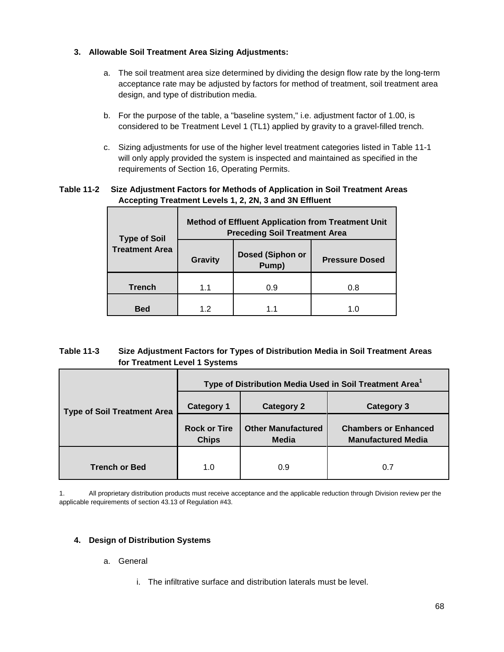#### **3. Allowable Soil Treatment Area Sizing Adjustments:**

- a. The soil treatment area size determined by dividing the design flow rate by the long-term acceptance rate may be adjusted by factors for method of treatment, soil treatment area design, and type of distribution media.
- b. For the purpose of the table, a "baseline system," i.e. adjustment factor of 1.00, is considered to be Treatment Level 1 (TL1) applied by gravity to a gravel-filled trench.
- c. Sizing adjustments for use of the higher level treatment categories listed in Table 11-1 will only apply provided the system is inspected and maintained as specified in the requirements of Section 16, Operating Permits.

#### **Table 11-2 Size Adjustment Factors for Methods of Application in Soil Treatment Areas Accepting Treatment Levels 1, 2, 2N, 3 and 3N Effluent**

| <b>Type of Soil</b>   | <b>Method of Effluent Application from Treatment Unit</b><br><b>Preceding Soil Treatment Area</b> |                                  |                       |  |  |  |  |
|-----------------------|---------------------------------------------------------------------------------------------------|----------------------------------|-----------------------|--|--|--|--|
| <b>Treatment Area</b> | <b>Gravity</b>                                                                                    | <b>Dosed (Siphon or</b><br>Pump) | <b>Pressure Dosed</b> |  |  |  |  |
| <b>Trench</b>         | 1.1                                                                                               | 0.9                              | 0.8                   |  |  |  |  |
| <b>Bed</b>            | 12                                                                                                | 11                               | 1.0                   |  |  |  |  |

#### **Table 11-3 Size Adjustment Factors for Types of Distribution Media in Soil Treatment Areas for Treatment Level 1 Systems**

|                                    | Type of Distribution Media Used in Soil Treatment Area <sup>1</sup> |                                    |                                                          |  |  |  |
|------------------------------------|---------------------------------------------------------------------|------------------------------------|----------------------------------------------------------|--|--|--|
| <b>Type of Soil Treatment Area</b> | <b>Category 1</b>                                                   | <b>Category 2</b>                  | Category 3                                               |  |  |  |
|                                    | <b>Rock or Tire</b><br><b>Chips</b>                                 | <b>Other Manufactured</b><br>Media | <b>Chambers or Enhanced</b><br><b>Manufactured Media</b> |  |  |  |
| <b>Trench or Bed</b>               | 1.0                                                                 | 0.9                                | 0.7                                                      |  |  |  |

1. All proprietary distribution products must receive acceptance and the applicable reduction through Division review per the applicable requirements of section 43.13 of Regulation #43.

#### **4. Design of Distribution Systems**

- a. General
	- i. The infiltrative surface and distribution laterals must be level.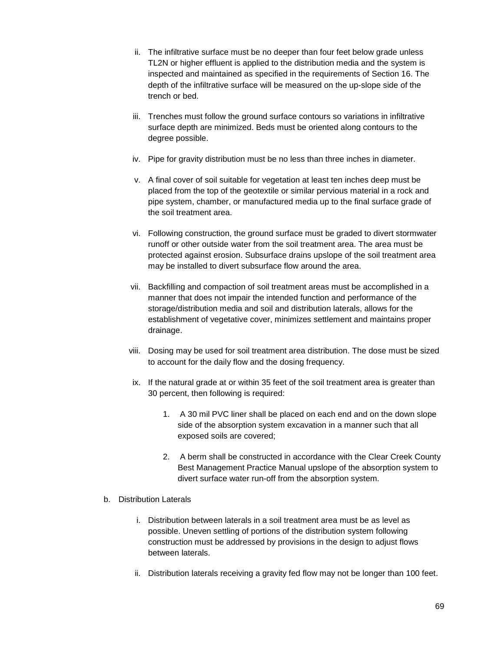- ii. The infiltrative surface must be no deeper than four feet below grade unless TL2N or higher effluent is applied to the distribution media and the system is inspected and maintained as specified in the requirements of Section 16. The depth of the infiltrative surface will be measured on the up-slope side of the trench or bed.
- iii. Trenches must follow the ground surface contours so variations in infiltrative surface depth are minimized. Beds must be oriented along contours to the degree possible.
- iv. Pipe for gravity distribution must be no less than three inches in diameter.
- v. A final cover of soil suitable for vegetation at least ten inches deep must be placed from the top of the geotextile or similar pervious material in a rock and pipe system, chamber, or manufactured media up to the final surface grade of the soil treatment area.
- vi. Following construction, the ground surface must be graded to divert stormwater runoff or other outside water from the soil treatment area. The area must be protected against erosion. Subsurface drains upslope of the soil treatment area may be installed to divert subsurface flow around the area.
- vii. Backfilling and compaction of soil treatment areas must be accomplished in a manner that does not impair the intended function and performance of the storage/distribution media and soil and distribution laterals, allows for the establishment of vegetative cover, minimizes settlement and maintains proper drainage.
- viii. Dosing may be used for soil treatment area distribution. The dose must be sized to account for the daily flow and the dosing frequency.
- ix. If the natural grade at or within 35 feet of the soil treatment area is greater than 30 percent, then following is required:
	- 1. A 30 mil PVC liner shall be placed on each end and on the down slope side of the absorption system excavation in a manner such that all exposed soils are covered;
	- 2. A berm shall be constructed in accordance with the Clear Creek County Best Management Practice Manual upslope of the absorption system to divert surface water run-off from the absorption system.
- b. Distribution Laterals
	- i. Distribution between laterals in a soil treatment area must be as level as possible. Uneven settling of portions of the distribution system following construction must be addressed by provisions in the design to adjust flows between laterals.
	- ii. Distribution laterals receiving a gravity fed flow may not be longer than 100 feet.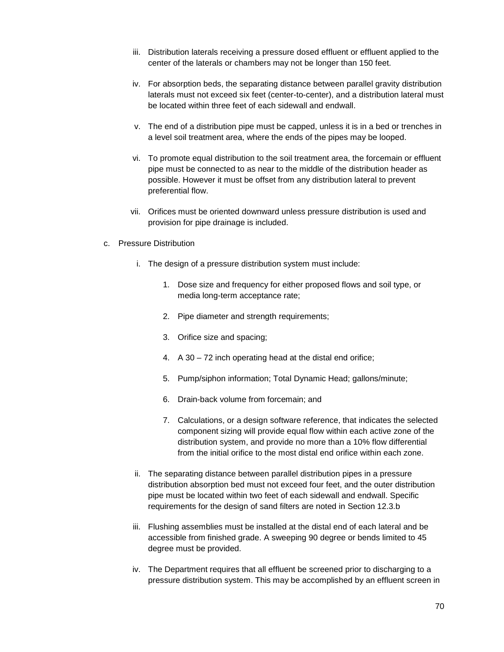- iii. Distribution laterals receiving a pressure dosed effluent or effluent applied to the center of the laterals or chambers may not be longer than 150 feet.
- iv. For absorption beds, the separating distance between parallel gravity distribution laterals must not exceed six feet (center-to-center), and a distribution lateral must be located within three feet of each sidewall and endwall.
- v. The end of a distribution pipe must be capped, unless it is in a bed or trenches in a level soil treatment area, where the ends of the pipes may be looped.
- vi. To promote equal distribution to the soil treatment area, the forcemain or effluent pipe must be connected to as near to the middle of the distribution header as possible. However it must be offset from any distribution lateral to prevent preferential flow.
- vii. Orifices must be oriented downward unless pressure distribution is used and provision for pipe drainage is included.
- c. Pressure Distribution
	- i. The design of a pressure distribution system must include:
		- 1. Dose size and frequency for either proposed flows and soil type, or media long-term acceptance rate;
		- 2. Pipe diameter and strength requirements;
		- 3. Orifice size and spacing;
		- 4. A 30 72 inch operating head at the distal end orifice;
		- 5. Pump/siphon information; Total Dynamic Head; gallons/minute;
		- 6. Drain-back volume from forcemain; and
		- 7. Calculations, or a design software reference, that indicates the selected component sizing will provide equal flow within each active zone of the distribution system, and provide no more than a 10% flow differential from the initial orifice to the most distal end orifice within each zone.
	- ii. The separating distance between parallel distribution pipes in a pressure distribution absorption bed must not exceed four feet, and the outer distribution pipe must be located within two feet of each sidewall and endwall. Specific requirements for the design of sand filters are noted in Section 12.3.b
	- iii. Flushing assemblies must be installed at the distal end of each lateral and be accessible from finished grade. A sweeping 90 degree or bends limited to 45 degree must be provided.
	- iv. The Department requires that all effluent be screened prior to discharging to a pressure distribution system. This may be accomplished by an effluent screen in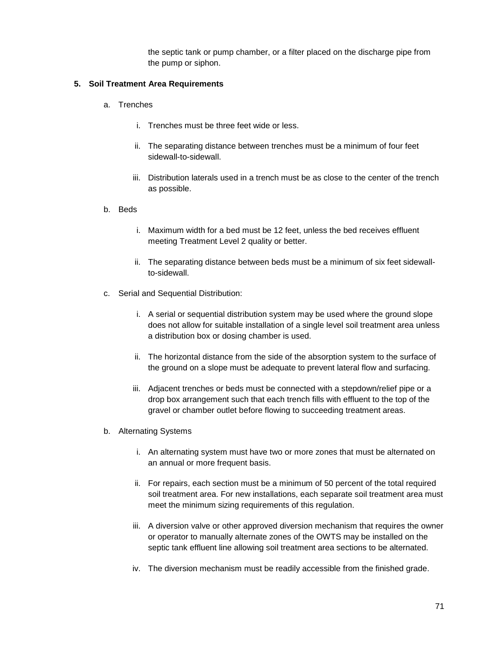the septic tank or pump chamber, or a filter placed on the discharge pipe from the pump or siphon.

#### **5. Soil Treatment Area Requirements**

- a. Trenches
	- i. Trenches must be three feet wide or less.
	- ii. The separating distance between trenches must be a minimum of four feet sidewall-to-sidewall.
	- iii. Distribution laterals used in a trench must be as close to the center of the trench as possible.
- b. Beds
	- i. Maximum width for a bed must be 12 feet, unless the bed receives effluent meeting Treatment Level 2 quality or better.
	- ii. The separating distance between beds must be a minimum of six feet sidewallto-sidewall.
- c. Serial and Sequential Distribution:
	- i. A serial or sequential distribution system may be used where the ground slope does not allow for suitable installation of a single level soil treatment area unless a distribution box or dosing chamber is used.
	- ii. The horizontal distance from the side of the absorption system to the surface of the ground on a slope must be adequate to prevent lateral flow and surfacing.
	- iii. Adjacent trenches or beds must be connected with a stepdown/relief pipe or a drop box arrangement such that each trench fills with effluent to the top of the gravel or chamber outlet before flowing to succeeding treatment areas.
- b. Alternating Systems
	- i. An alternating system must have two or more zones that must be alternated on an annual or more frequent basis.
	- ii. For repairs, each section must be a minimum of 50 percent of the total required soil treatment area. For new installations, each separate soil treatment area must meet the minimum sizing requirements of this regulation.
	- iii. A diversion valve or other approved diversion mechanism that requires the owner or operator to manually alternate zones of the OWTS may be installed on the septic tank effluent line allowing soil treatment area sections to be alternated.
	- iv. The diversion mechanism must be readily accessible from the finished grade.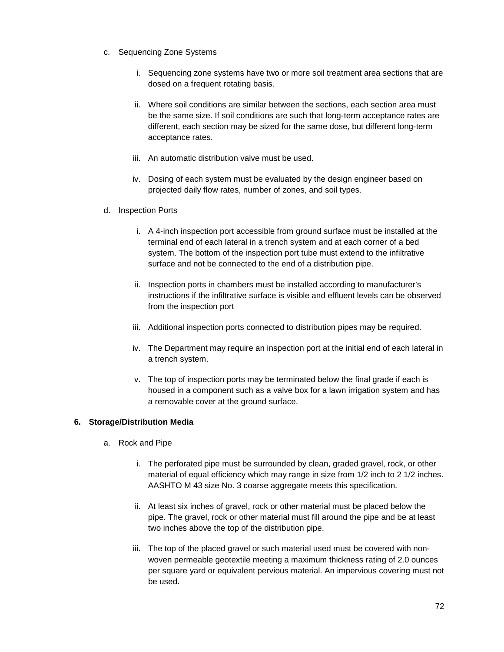- c. Sequencing Zone Systems
	- i. Sequencing zone systems have two or more soil treatment area sections that are dosed on a frequent rotating basis.
	- ii. Where soil conditions are similar between the sections, each section area must be the same size. If soil conditions are such that long-term acceptance rates are different, each section may be sized for the same dose, but different long-term acceptance rates.
	- iii. An automatic distribution valve must be used.
	- iv. Dosing of each system must be evaluated by the design engineer based on projected daily flow rates, number of zones, and soil types.
- d. Inspection Ports
	- i. A 4-inch inspection port accessible from ground surface must be installed at the terminal end of each lateral in a trench system and at each corner of a bed system. The bottom of the inspection port tube must extend to the infiltrative surface and not be connected to the end of a distribution pipe.
	- ii. Inspection ports in chambers must be installed according to manufacturer's instructions if the infiltrative surface is visible and effluent levels can be observed from the inspection port
	- iii. Additional inspection ports connected to distribution pipes may be required.
	- iv. The Department may require an inspection port at the initial end of each lateral in a trench system.
	- v. The top of inspection ports may be terminated below the final grade if each is housed in a component such as a valve box for a lawn irrigation system and has a removable cover at the ground surface.

# **6. Storage/Distribution Media**

- a. Rock and Pipe
	- i. The perforated pipe must be surrounded by clean, graded gravel, rock, or other material of equal efficiency which may range in size from 1/2 inch to 2 1/2 inches. AASHTO M 43 size No. 3 coarse aggregate meets this specification.
	- ii. At least six inches of gravel, rock or other material must be placed below the pipe. The gravel, rock or other material must fill around the pipe and be at least two inches above the top of the distribution pipe.
	- iii. The top of the placed gravel or such material used must be covered with nonwoven permeable geotextile meeting a maximum thickness rating of 2.0 ounces per square yard or equivalent pervious material. An impervious covering must not be used.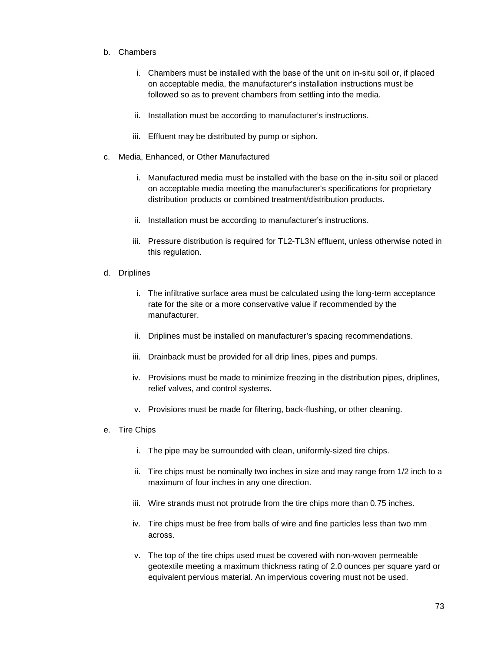## b. Chambers

- i. Chambers must be installed with the base of the unit on in-situ soil or, if placed on acceptable media, the manufacturer's installation instructions must be followed so as to prevent chambers from settling into the media.
- ii. Installation must be according to manufacturer's instructions.
- iii. Effluent may be distributed by pump or siphon.
- c. Media, Enhanced, or Other Manufactured
	- i. Manufactured media must be installed with the base on the in-situ soil or placed on acceptable media meeting the manufacturer's specifications for proprietary distribution products or combined treatment/distribution products.
	- ii. Installation must be according to manufacturer's instructions.
	- iii. Pressure distribution is required for TL2-TL3N effluent, unless otherwise noted in this regulation.
- d. Driplines
	- i. The infiltrative surface area must be calculated using the long-term acceptance rate for the site or a more conservative value if recommended by the manufacturer.
	- ii. Driplines must be installed on manufacturer's spacing recommendations.
	- iii. Drainback must be provided for all drip lines, pipes and pumps.
	- iv. Provisions must be made to minimize freezing in the distribution pipes, driplines, relief valves, and control systems.
	- v. Provisions must be made for filtering, back-flushing, or other cleaning.
- e. Tire Chips
	- i. The pipe may be surrounded with clean, uniformly-sized tire chips.
	- ii. Tire chips must be nominally two inches in size and may range from 1/2 inch to a maximum of four inches in any one direction.
	- iii. Wire strands must not protrude from the tire chips more than 0.75 inches.
	- iv. Tire chips must be free from balls of wire and fine particles less than two mm across.
	- v. The top of the tire chips used must be covered with non-woven permeable geotextile meeting a maximum thickness rating of 2.0 ounces per square yard or equivalent pervious material. An impervious covering must not be used.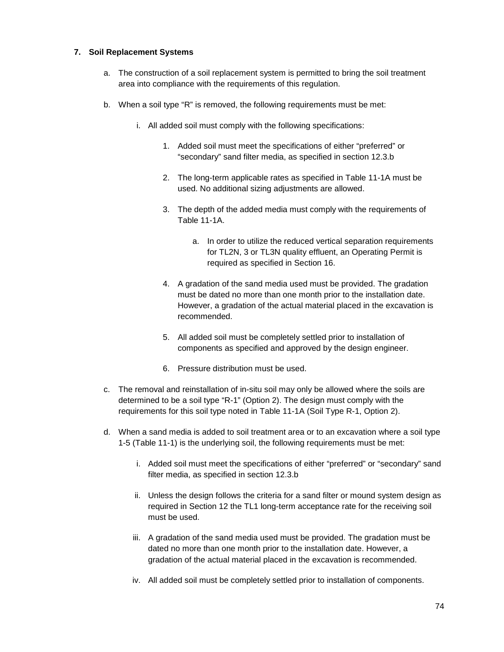## **7. Soil Replacement Systems**

- a. The construction of a soil replacement system is permitted to bring the soil treatment area into compliance with the requirements of this regulation.
- b. When a soil type "R" is removed, the following requirements must be met:
	- i. All added soil must comply with the following specifications:
		- 1. Added soil must meet the specifications of either "preferred" or "secondary" sand filter media, as specified in section 12.3.b
		- 2. The long-term applicable rates as specified in Table 11-1A must be used. No additional sizing adjustments are allowed.
		- 3. The depth of the added media must comply with the requirements of Table 11-1A.
			- a. In order to utilize the reduced vertical separation requirements for TL2N, 3 or TL3N quality effluent, an Operating Permit is required as specified in Section 16.
		- 4. A gradation of the sand media used must be provided. The gradation must be dated no more than one month prior to the installation date. However, a gradation of the actual material placed in the excavation is recommended.
		- 5. All added soil must be completely settled prior to installation of components as specified and approved by the design engineer.
		- 6. Pressure distribution must be used.
- c. The removal and reinstallation of in-situ soil may only be allowed where the soils are determined to be a soil type "R-1" (Option 2). The design must comply with the requirements for this soil type noted in Table 11-1A (Soil Type R-1, Option 2).
- d. When a sand media is added to soil treatment area or to an excavation where a soil type 1-5 (Table 11-1) is the underlying soil, the following requirements must be met:
	- i. Added soil must meet the specifications of either "preferred" or "secondary" sand filter media, as specified in section 12.3.b
	- ii. Unless the design follows the criteria for a sand filter or mound system design as required in Section 12 the TL1 long-term acceptance rate for the receiving soil must be used.
	- iii. A gradation of the sand media used must be provided. The gradation must be dated no more than one month prior to the installation date. However, a gradation of the actual material placed in the excavation is recommended.
	- iv. All added soil must be completely settled prior to installation of components.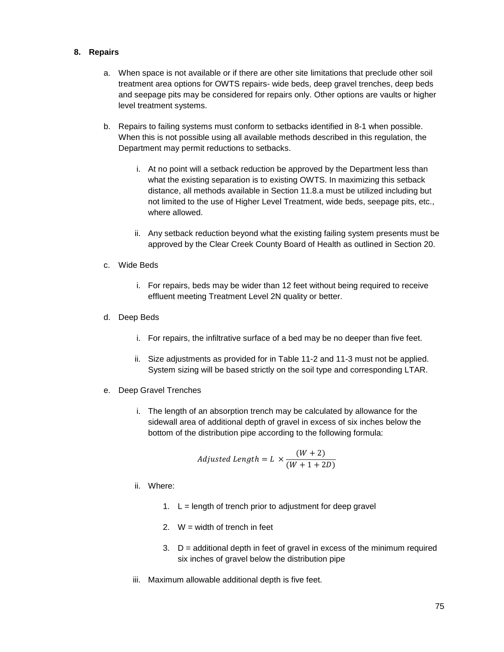#### **8. Repairs**

- a. When space is not available or if there are other site limitations that preclude other soil treatment area options for OWTS repairs- wide beds, deep gravel trenches, deep beds and seepage pits may be considered for repairs only. Other options are vaults or higher level treatment systems.
- b. Repairs to failing systems must conform to setbacks identified in 8-1 when possible. When this is not possible using all available methods described in this regulation, the Department may permit reductions to setbacks.
	- i. At no point will a setback reduction be approved by the Department less than what the existing separation is to existing OWTS. In maximizing this setback distance, all methods available in Section 11.8.a must be utilized including but not limited to the use of Higher Level Treatment, wide beds, seepage pits, etc., where allowed.
	- ii. Any setback reduction beyond what the existing failing system presents must be approved by the Clear Creek County Board of Health as outlined in Section 20.
- c. Wide Beds
	- i. For repairs, beds may be wider than 12 feet without being required to receive effluent meeting Treatment Level 2N quality or better.
- d. Deep Beds
	- i. For repairs, the infiltrative surface of a bed may be no deeper than five feet.
	- ii. Size adjustments as provided for in Table 11-2 and 11-3 must not be applied. System sizing will be based strictly on the soil type and corresponding LTAR.
- e. Deep Gravel Trenches
	- i. The length of an absorption trench may be calculated by allowance for the sidewall area of additional depth of gravel in excess of six inches below the bottom of the distribution pipe according to the following formula:

$$
adjusted \ Length = L \times \frac{(W+2)}{(W+1+2D)}
$$

- ii. Where:
	- 1.  $L =$  length of trench prior to adjustment for deep gravel
	- 2.  $W = \text{width of }\text{trench}$  in feet
	- 3.  $D =$  additional depth in feet of gravel in excess of the minimum required six inches of gravel below the distribution pipe
- iii. Maximum allowable additional depth is five feet.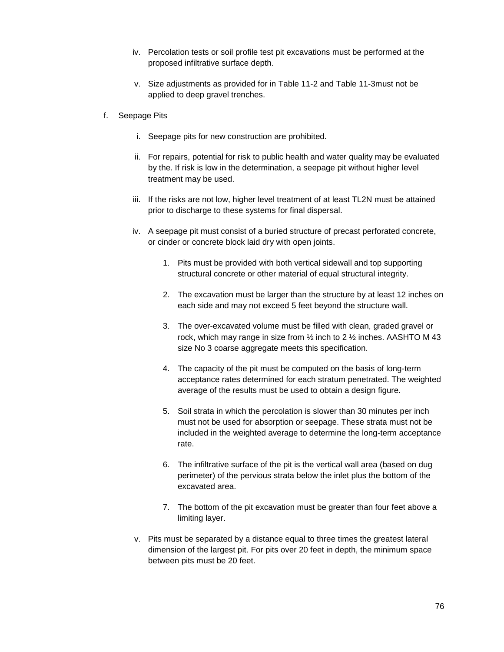- iv. Percolation tests or soil profile test pit excavations must be performed at the proposed infiltrative surface depth.
- v. Size adjustments as provided for in Table 11-2 and Table 11-3must not be applied to deep gravel trenches.
- f. Seepage Pits
	- i. Seepage pits for new construction are prohibited.
	- ii. For repairs, potential for risk to public health and water quality may be evaluated by the. If risk is low in the determination, a seepage pit without higher level treatment may be used.
	- iii. If the risks are not low, higher level treatment of at least TL2N must be attained prior to discharge to these systems for final dispersal.
	- iv. A seepage pit must consist of a buried structure of precast perforated concrete, or cinder or concrete block laid dry with open joints.
		- 1. Pits must be provided with both vertical sidewall and top supporting structural concrete or other material of equal structural integrity.
		- 2. The excavation must be larger than the structure by at least 12 inches on each side and may not exceed 5 feet beyond the structure wall.
		- 3. The over-excavated volume must be filled with clean, graded gravel or rock, which may range in size from ½ inch to 2 ½ inches. AASHTO M 43 size No 3 coarse aggregate meets this specification.
		- 4. The capacity of the pit must be computed on the basis of long-term acceptance rates determined for each stratum penetrated. The weighted average of the results must be used to obtain a design figure.
		- 5. Soil strata in which the percolation is slower than 30 minutes per inch must not be used for absorption or seepage. These strata must not be included in the weighted average to determine the long-term acceptance rate.
		- 6. The infiltrative surface of the pit is the vertical wall area (based on dug perimeter) of the pervious strata below the inlet plus the bottom of the excavated area.
		- 7. The bottom of the pit excavation must be greater than four feet above a limiting layer.
	- v. Pits must be separated by a distance equal to three times the greatest lateral dimension of the largest pit. For pits over 20 feet in depth, the minimum space between pits must be 20 feet.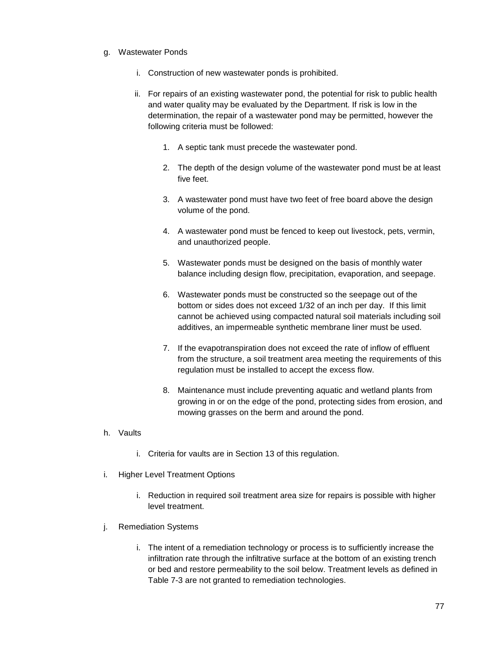#### g. Wastewater Ponds

- i. Construction of new wastewater ponds is prohibited.
- ii. For repairs of an existing wastewater pond, the potential for risk to public health and water quality may be evaluated by the Department. If risk is low in the determination, the repair of a wastewater pond may be permitted, however the following criteria must be followed:
	- 1. A septic tank must precede the wastewater pond.
	- 2. The depth of the design volume of the wastewater pond must be at least five feet.
	- 3. A wastewater pond must have two feet of free board above the design volume of the pond.
	- 4. A wastewater pond must be fenced to keep out livestock, pets, vermin, and unauthorized people.
	- 5. Wastewater ponds must be designed on the basis of monthly water balance including design flow, precipitation, evaporation, and seepage.
	- 6. Wastewater ponds must be constructed so the seepage out of the bottom or sides does not exceed 1/32 of an inch per day. If this limit cannot be achieved using compacted natural soil materials including soil additives, an impermeable synthetic membrane liner must be used.
	- 7. If the evapotranspiration does not exceed the rate of inflow of effluent from the structure, a soil treatment area meeting the requirements of this regulation must be installed to accept the excess flow.
	- 8. Maintenance must include preventing aquatic and wetland plants from growing in or on the edge of the pond, protecting sides from erosion, and mowing grasses on the berm and around the pond.
- h. Vaults
	- i. Criteria for vaults are in Section 13 of this regulation.
- i. Higher Level Treatment Options
	- i. Reduction in required soil treatment area size for repairs is possible with higher level treatment.
- j. Remediation Systems
	- i. The intent of a remediation technology or process is to sufficiently increase the infiltration rate through the infiltrative surface at the bottom of an existing trench or bed and restore permeability to the soil below. Treatment levels as defined in Table 7-3 are not granted to remediation technologies.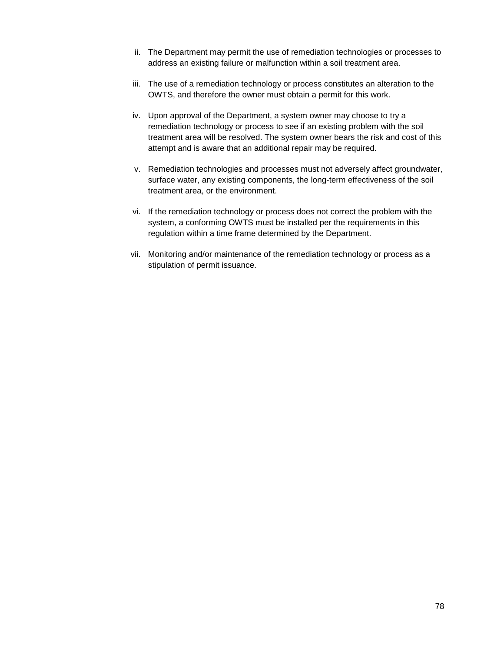- ii. The Department may permit the use of remediation technologies or processes to address an existing failure or malfunction within a soil treatment area.
- iii. The use of a remediation technology or process constitutes an alteration to the OWTS, and therefore the owner must obtain a permit for this work.
- iv. Upon approval of the Department, a system owner may choose to try a remediation technology or process to see if an existing problem with the soil treatment area will be resolved. The system owner bears the risk and cost of this attempt and is aware that an additional repair may be required.
- v. Remediation technologies and processes must not adversely affect groundwater, surface water, any existing components, the long-term effectiveness of the soil treatment area, or the environment.
- vi. If the remediation technology or process does not correct the problem with the system, a conforming OWTS must be installed per the requirements in this regulation within a time frame determined by the Department.
- vii. Monitoring and/or maintenance of the remediation technology or process as a stipulation of permit issuance.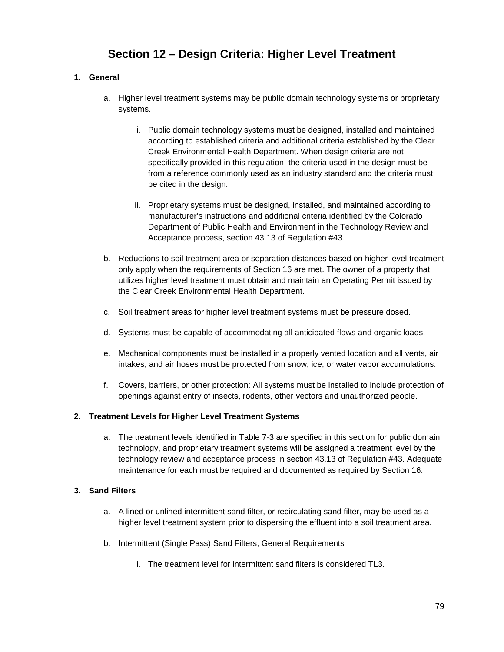# **Section 12 – Design Criteria: Higher Level Treatment**

# **1. General**

- a. Higher level treatment systems may be public domain technology systems or proprietary systems.
	- i. Public domain technology systems must be designed, installed and maintained according to established criteria and additional criteria established by the Clear Creek Environmental Health Department. When design criteria are not specifically provided in this regulation, the criteria used in the design must be from a reference commonly used as an industry standard and the criteria must be cited in the design.
	- ii. Proprietary systems must be designed, installed, and maintained according to manufacturer's instructions and additional criteria identified by the Colorado Department of Public Health and Environment in the Technology Review and Acceptance process, section 43.13 of Regulation #43.
- b. Reductions to soil treatment area or separation distances based on higher level treatment only apply when the requirements of Section 16 are met. The owner of a property that utilizes higher level treatment must obtain and maintain an Operating Permit issued by the Clear Creek Environmental Health Department.
- c. Soil treatment areas for higher level treatment systems must be pressure dosed.
- d. Systems must be capable of accommodating all anticipated flows and organic loads.
- e. Mechanical components must be installed in a properly vented location and all vents, air intakes, and air hoses must be protected from snow, ice, or water vapor accumulations.
- f. Covers, barriers, or other protection: All systems must be installed to include protection of openings against entry of insects, rodents, other vectors and unauthorized people.

## **2. Treatment Levels for Higher Level Treatment Systems**

a. The treatment levels identified in Table 7-3 are specified in this section for public domain technology, and proprietary treatment systems will be assigned a treatment level by the technology review and acceptance process in section 43.13 of Regulation #43. Adequate maintenance for each must be required and documented as required by Section 16.

## **3. Sand Filters**

- a. A lined or unlined intermittent sand filter, or recirculating sand filter, may be used as a higher level treatment system prior to dispersing the effluent into a soil treatment area.
- b. Intermittent (Single Pass) Sand Filters; General Requirements
	- i. The treatment level for intermittent sand filters is considered TL3.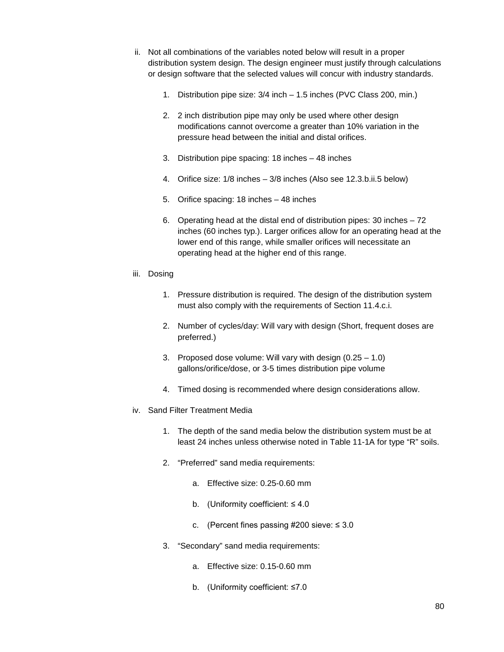- ii. Not all combinations of the variables noted below will result in a proper distribution system design. The design engineer must justify through calculations or design software that the selected values will concur with industry standards.
	- 1. Distribution pipe size: 3/4 inch 1.5 inches (PVC Class 200, min.)
	- 2. 2 inch distribution pipe may only be used where other design modifications cannot overcome a greater than 10% variation in the pressure head between the initial and distal orifices.
	- 3. Distribution pipe spacing: 18 inches 48 inches
	- 4. Orifice size: 1/8 inches 3/8 inches (Also see 12.3.b.ii.5 below)
	- 5. Orifice spacing: 18 inches 48 inches
	- 6. Operating head at the distal end of distribution pipes: 30 inches 72 inches (60 inches typ.). Larger orifices allow for an operating head at the lower end of this range, while smaller orifices will necessitate an operating head at the higher end of this range.
- iii. Dosing
	- 1. Pressure distribution is required. The design of the distribution system must also comply with the requirements of Section 11.4.c.i.
	- 2. Number of cycles/day: Will vary with design (Short, frequent doses are preferred.)
	- 3. Proposed dose volume: Will vary with design (0.25 1.0) gallons/orifice/dose, or 3-5 times distribution pipe volume
	- 4. Timed dosing is recommended where design considerations allow.
- iv. Sand Filter Treatment Media
	- 1. The depth of the sand media below the distribution system must be at least 24 inches unless otherwise noted in Table 11-1A for type "R" soils.
	- 2. "Preferred" sand media requirements:
		- a. Effective size: 0.25-0.60 mm
		- b. (Uniformity coefficient: ≤ 4.0
		- c. (Percent fines passing #200 sieve:  $\leq 3.0$
	- 3. "Secondary" sand media requirements:
		- a. Effective size: 0.15-0.60 mm
		- b. (Uniformity coefficient: ≤7.0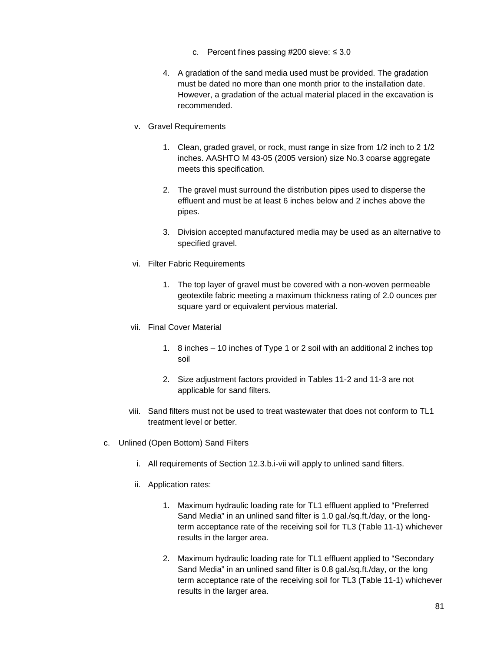- c. Percent fines passing  $\#200$  sieve:  $\leq 3.0$
- 4. A gradation of the sand media used must be provided. The gradation must be dated no more than one month prior to the installation date. However, a gradation of the actual material placed in the excavation is recommended.
- v. Gravel Requirements
	- 1. Clean, graded gravel, or rock, must range in size from 1/2 inch to 2 1/2 inches. AASHTO M 43-05 (2005 version) size No.3 coarse aggregate meets this specification.
	- 2. The gravel must surround the distribution pipes used to disperse the effluent and must be at least 6 inches below and 2 inches above the pipes.
	- 3. Division accepted manufactured media may be used as an alternative to specified gravel.
- vi. Filter Fabric Requirements
	- 1. The top layer of gravel must be covered with a non-woven permeable geotextile fabric meeting a maximum thickness rating of 2.0 ounces per square yard or equivalent pervious material.
- vii. Final Cover Material
	- 1. 8 inches 10 inches of Type 1 or 2 soil with an additional 2 inches top soil
	- 2. Size adjustment factors provided in Tables 11-2 and 11-3 are not applicable for sand filters.
- viii. Sand filters must not be used to treat wastewater that does not conform to TL1 treatment level or better.
- c. Unlined (Open Bottom) Sand Filters
	- i. All requirements of Section 12.3.b.i-vii will apply to unlined sand filters.
	- ii. Application rates:
		- 1. Maximum hydraulic loading rate for TL1 effluent applied to "Preferred Sand Media" in an unlined sand filter is 1.0 gal./sq.ft./day, or the longterm acceptance rate of the receiving soil for TL3 (Table 11-1) whichever results in the larger area.
		- 2. Maximum hydraulic loading rate for TL1 effluent applied to "Secondary Sand Media" in an unlined sand filter is 0.8 gal./sq.ft./day, or the long term acceptance rate of the receiving soil for TL3 (Table 11-1) whichever results in the larger area.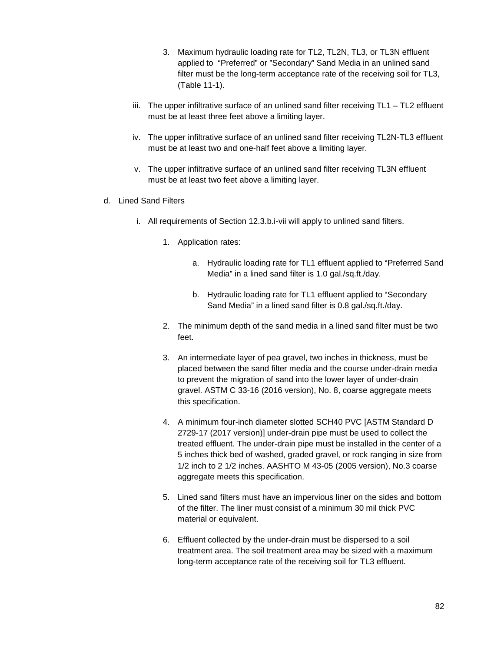- 3. Maximum hydraulic loading rate for TL2, TL2N, TL3, or TL3N effluent applied to "Preferred" or "Secondary" Sand Media in an unlined sand filter must be the long-term acceptance rate of the receiving soil for TL3, (Table 11-1).
- iii. The upper infiltrative surface of an unlined sand filter receiving TL1 TL2 effluent must be at least three feet above a limiting layer.
- iv. The upper infiltrative surface of an unlined sand filter receiving TL2N-TL3 effluent must be at least two and one-half feet above a limiting layer.
- v. The upper infiltrative surface of an unlined sand filter receiving TL3N effluent must be at least two feet above a limiting layer.
- d. Lined Sand Filters
	- i. All requirements of Section 12.3.b.i-vii will apply to unlined sand filters.
		- 1. Application rates:
			- a. Hydraulic loading rate for TL1 effluent applied to "Preferred Sand Media" in a lined sand filter is 1.0 gal./sq.ft./day.
			- b. Hydraulic loading rate for TL1 effluent applied to "Secondary Sand Media" in a lined sand filter is 0.8 gal./sq.ft./day.
		- 2. The minimum depth of the sand media in a lined sand filter must be two feet.
		- 3. An intermediate layer of pea gravel, two inches in thickness, must be placed between the sand filter media and the course under-drain media to prevent the migration of sand into the lower layer of under-drain gravel. ASTM C 33-16 (2016 version), No. 8, coarse aggregate meets this specification.
		- 4. A minimum four-inch diameter slotted SCH40 PVC [ASTM Standard D 2729-17 (2017 version)] under-drain pipe must be used to collect the treated effluent. The under-drain pipe must be installed in the center of a 5 inches thick bed of washed, graded gravel, or rock ranging in size from 1/2 inch to 2 1/2 inches. AASHTO M 43-05 (2005 version), No.3 coarse aggregate meets this specification.
		- 5. Lined sand filters must have an impervious liner on the sides and bottom of the filter. The liner must consist of a minimum 30 mil thick PVC material or equivalent.
		- 6. Effluent collected by the under-drain must be dispersed to a soil treatment area. The soil treatment area may be sized with a maximum long-term acceptance rate of the receiving soil for TL3 effluent.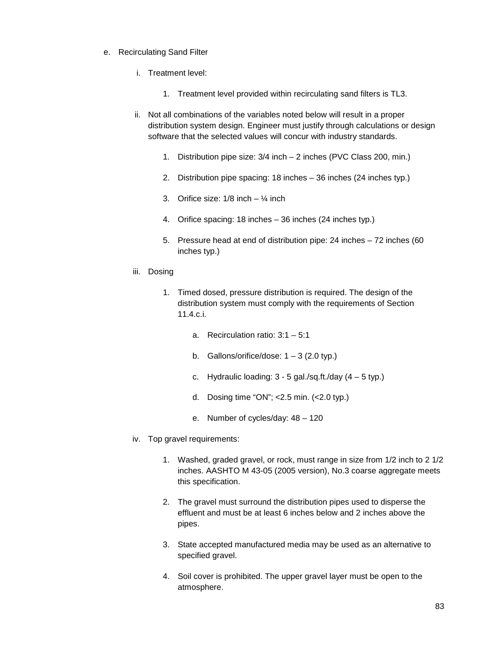- e. Recirculating Sand Filter
	- i. Treatment level:
		- 1. Treatment level provided within recirculating sand filters is TL3.
	- ii. Not all combinations of the variables noted below will result in a proper distribution system design. Engineer must justify through calculations or design software that the selected values will concur with industry standards.
		- 1. Distribution pipe size: 3/4 inch 2 inches (PVC Class 200, min.)
		- 2. Distribution pipe spacing: 18 inches 36 inches (24 inches typ.)
		- 3. Orifice size:  $1/8$  inch  $\frac{1}{4}$  inch
		- 4. Orifice spacing: 18 inches 36 inches (24 inches typ.)
		- 5. Pressure head at end of distribution pipe: 24 inches 72 inches (60 inches typ.)
	- iii. Dosing
		- 1. Timed dosed, pressure distribution is required. The design of the distribution system must comply with the requirements of Section 11.4.c.i.
			- a. Recirculation ratio: 3:1 5:1
			- b. Gallons/orifice/dose:  $1 3$  (2.0 typ.)
			- c. Hydraulic loading:  $3 5$  gal./sq.ft./day  $(4 5$  typ.)
			- d. Dosing time "ON"; <2.5 min. (<2.0 typ.)
			- e. Number of cycles/day: 48 120
	- iv. Top gravel requirements:
		- 1. Washed, graded gravel, or rock, must range in size from 1/2 inch to 2 1/2 inches. AASHTO M 43-05 (2005 version), No.3 coarse aggregate meets this specification.
		- 2. The gravel must surround the distribution pipes used to disperse the effluent and must be at least 6 inches below and 2 inches above the pipes.
		- 3. State accepted manufactured media may be used as an alternative to specified gravel.
		- 4. Soil cover is prohibited. The upper gravel layer must be open to the atmosphere.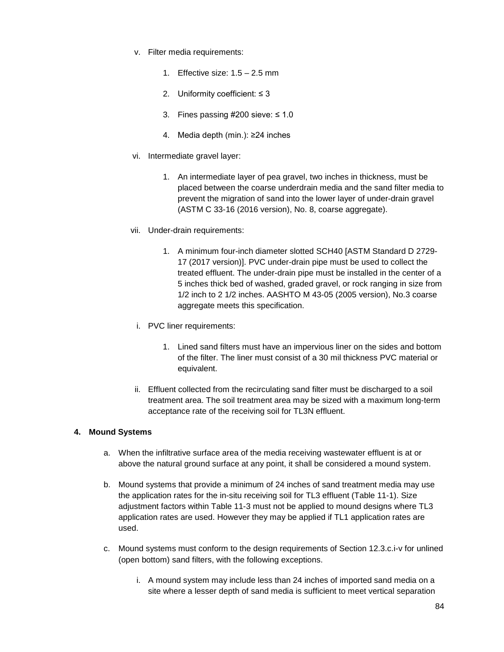- v. Filter media requirements:
	- 1. Effective size:  $1.5 2.5$  mm
	- 2. Uniformity coefficient: ≤ 3
	- 3. Fines passing  $\#200$  sieve:  $\leq 1.0$
	- 4. Media depth (min.): ≥24 inches
- vi. Intermediate gravel layer:
	- 1. An intermediate layer of pea gravel, two inches in thickness, must be placed between the coarse underdrain media and the sand filter media to prevent the migration of sand into the lower layer of under-drain gravel (ASTM C 33-16 (2016 version), No. 8, coarse aggregate).
- vii. Under-drain requirements:
	- 1. A minimum four-inch diameter slotted SCH40 [ASTM Standard D 2729- 17 (2017 version)]. PVC under-drain pipe must be used to collect the treated effluent. The under-drain pipe must be installed in the center of a 5 inches thick bed of washed, graded gravel, or rock ranging in size from 1/2 inch to 2 1/2 inches. AASHTO M 43-05 (2005 version), No.3 coarse aggregate meets this specification.
	- i. PVC liner requirements:
		- 1. Lined sand filters must have an impervious liner on the sides and bottom of the filter. The liner must consist of a 30 mil thickness PVC material or equivalent.
- ii. Effluent collected from the recirculating sand filter must be discharged to a soil treatment area. The soil treatment area may be sized with a maximum long-term acceptance rate of the receiving soil for TL3N effluent.

## **4. Mound Systems**

- a. When the infiltrative surface area of the media receiving wastewater effluent is at or above the natural ground surface at any point, it shall be considered a mound system.
- b. Mound systems that provide a minimum of 24 inches of sand treatment media may use the application rates for the in-situ receiving soil for TL3 effluent (Table 11-1). Size adjustment factors within Table 11-3 must not be applied to mound designs where TL3 application rates are used. However they may be applied if TL1 application rates are used.
- c. Mound systems must conform to the design requirements of Section 12.3.c.i-v for unlined (open bottom) sand filters, with the following exceptions.
	- i. A mound system may include less than 24 inches of imported sand media on a site where a lesser depth of sand media is sufficient to meet vertical separation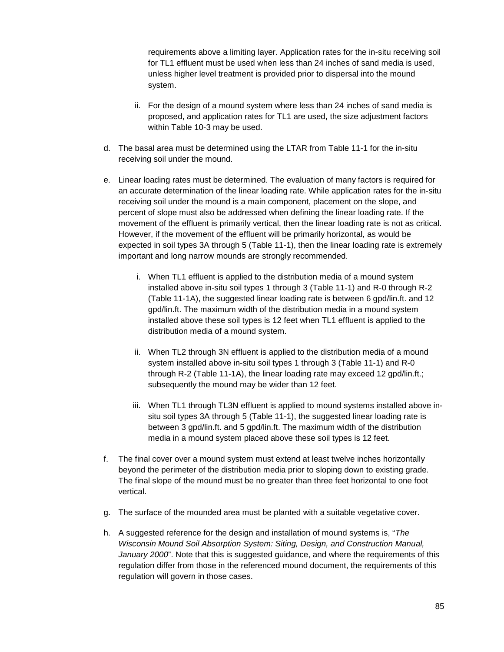requirements above a limiting layer. Application rates for the in-situ receiving soil for TL1 effluent must be used when less than 24 inches of sand media is used, unless higher level treatment is provided prior to dispersal into the mound system.

- ii. For the design of a mound system where less than 24 inches of sand media is proposed, and application rates for TL1 are used, the size adjustment factors within Table 10-3 may be used.
- d. The basal area must be determined using the LTAR from Table 11-1 for the in-situ receiving soil under the mound.
- e. Linear loading rates must be determined. The evaluation of many factors is required for an accurate determination of the linear loading rate. While application rates for the in-situ receiving soil under the mound is a main component, placement on the slope, and percent of slope must also be addressed when defining the linear loading rate. If the movement of the effluent is primarily vertical, then the linear loading rate is not as critical. However, if the movement of the effluent will be primarily horizontal, as would be expected in soil types 3A through 5 (Table 11-1), then the linear loading rate is extremely important and long narrow mounds are strongly recommended.
	- i. When TL1 effluent is applied to the distribution media of a mound system installed above in-situ soil types 1 through 3 (Table 11-1) and R-0 through R-2 (Table 11-1A), the suggested linear loading rate is between 6 gpd/lin.ft. and 12 gpd/lin.ft. The maximum width of the distribution media in a mound system installed above these soil types is 12 feet when TL1 effluent is applied to the distribution media of a mound system.
	- ii. When TL2 through 3N effluent is applied to the distribution media of a mound system installed above in-situ soil types 1 through 3 (Table 11-1) and R-0 through R-2 (Table 11-1A), the linear loading rate may exceed 12 gpd/lin.ft.; subsequently the mound may be wider than 12 feet.
	- iii. When TL1 through TL3N effluent is applied to mound systems installed above insitu soil types 3A through 5 (Table 11-1), the suggested linear loading rate is between 3 gpd/lin.ft. and 5 gpd/lin.ft. The maximum width of the distribution media in a mound system placed above these soil types is 12 feet.
- f. The final cover over a mound system must extend at least twelve inches horizontally beyond the perimeter of the distribution media prior to sloping down to existing grade. The final slope of the mound must be no greater than three feet horizontal to one foot vertical.
- g. The surface of the mounded area must be planted with a suitable vegetative cover.
- h. A suggested reference for the design and installation of mound systems is, "*The Wisconsin Mound Soil Absorption System: Siting, Design, and Construction Manual, January 2000*". Note that this is suggested guidance, and where the requirements of this regulation differ from those in the referenced mound document, the requirements of this regulation will govern in those cases.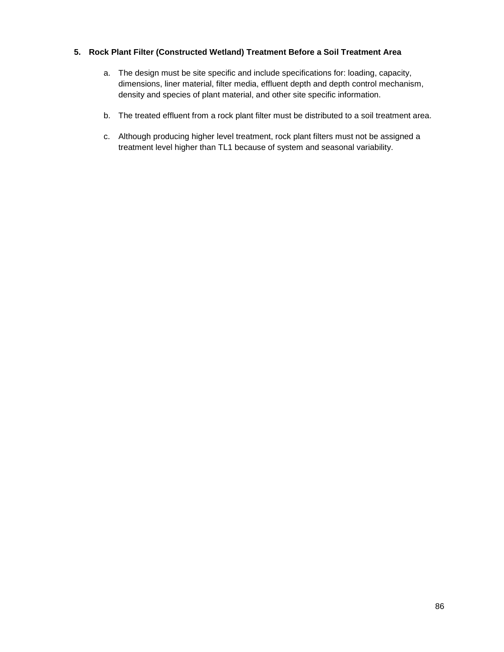## **5. Rock Plant Filter (Constructed Wetland) Treatment Before a Soil Treatment Area**

- a. The design must be site specific and include specifications for: loading, capacity, dimensions, liner material, filter media, effluent depth and depth control mechanism, density and species of plant material, and other site specific information.
- b. The treated effluent from a rock plant filter must be distributed to a soil treatment area.
- c. Although producing higher level treatment, rock plant filters must not be assigned a treatment level higher than TL1 because of system and seasonal variability.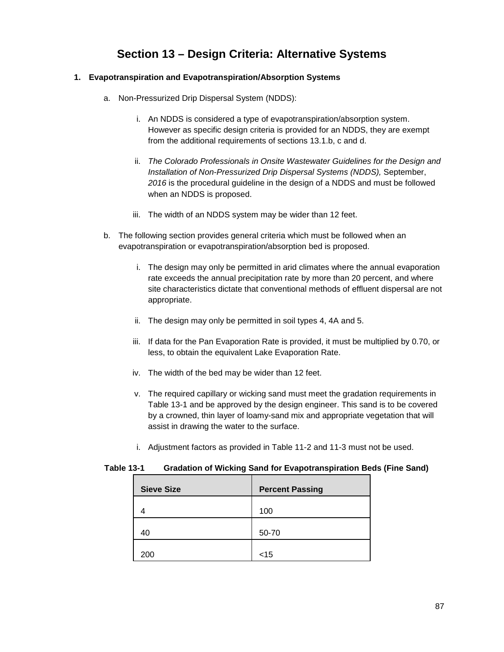# **Section 13 – Design Criteria: Alternative Systems**

## **1. Evapotranspiration and Evapotranspiration/Absorption Systems**

- a. Non-Pressurized Drip Dispersal System (NDDS):
	- i. An NDDS is considered a type of evapotranspiration/absorption system. However as specific design criteria is provided for an NDDS, they are exempt from the additional requirements of sections 13.1.b, c and d.
	- ii. *The Colorado Professionals in Onsite Wastewater Guidelines for the Design and Installation of Non-Pressurized Drip Dispersal Systems (NDDS),* September, *2016* is the procedural guideline in the design of a NDDS and must be followed when an NDDS is proposed.
	- iii. The width of an NDDS system may be wider than 12 feet.
- b. The following section provides general criteria which must be followed when an evapotranspiration or evapotranspiration/absorption bed is proposed.
	- i. The design may only be permitted in arid climates where the annual evaporation rate exceeds the annual precipitation rate by more than 20 percent, and where site characteristics dictate that conventional methods of effluent dispersal are not appropriate.
	- ii. The design may only be permitted in soil types 4, 4A and 5.
	- iii. If data for the Pan Evaporation Rate is provided, it must be multiplied by 0.70, or less, to obtain the equivalent Lake Evaporation Rate.
	- iv. The width of the bed may be wider than 12 feet.
	- v. The required capillary or wicking sand must meet the gradation requirements in Table 13-1 and be approved by the design engineer. This sand is to be covered by a crowned, thin layer of loamy-sand mix and appropriate vegetation that will assist in drawing the water to the surface.
	- i. Adjustment factors as provided in Table 11-2 and 11-3 must not be used.

## **Table 13-1 Gradation of Wicking Sand for Evapotranspiration Beds (Fine Sand)**

| <b>Sieve Size</b> | <b>Percent Passing</b> |
|-------------------|------------------------|
|                   | 100                    |
| 40                | 50-70                  |
| 200               | $<$ 15                 |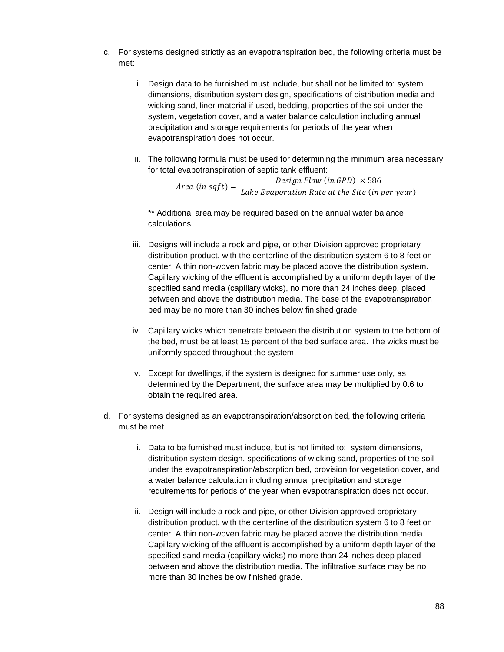- c. For systems designed strictly as an evapotranspiration bed, the following criteria must be met:
	- i. Design data to be furnished must include, but shall not be limited to: system dimensions, distribution system design, specifications of distribution media and wicking sand, liner material if used, bedding, properties of the soil under the system, vegetation cover, and a water balance calculation including annual precipitation and storage requirements for periods of the year when evapotranspiration does not occur.
	- ii. The following formula must be used for determining the minimum area necessary for total evapotranspiration of septic tank effluent:

*Design Flow (in GPD)*  $\times$  586<br>*Area (in sqft)* =  $\frac{$ *Lake Evaporation Rate at the Site (in per year)* 

\*\* Additional area may be required based on the annual water balance calculations.

- iii. Designs will include a rock and pipe, or other Division approved proprietary distribution product, with the centerline of the distribution system 6 to 8 feet on center. A thin non-woven fabric may be placed above the distribution system. Capillary wicking of the effluent is accomplished by a uniform depth layer of the specified sand media (capillary wicks), no more than 24 inches deep, placed between and above the distribution media. The base of the evapotranspiration bed may be no more than 30 inches below finished grade.
- iv. Capillary wicks which penetrate between the distribution system to the bottom of the bed, must be at least 15 percent of the bed surface area. The wicks must be uniformly spaced throughout the system.
- v. Except for dwellings, if the system is designed for summer use only, as determined by the Department, the surface area may be multiplied by 0.6 to obtain the required area.
- d. For systems designed as an evapotranspiration/absorption bed, the following criteria must be met.
	- i. Data to be furnished must include, but is not limited to: system dimensions, distribution system design, specifications of wicking sand, properties of the soil under the evapotranspiration/absorption bed, provision for vegetation cover, and a water balance calculation including annual precipitation and storage requirements for periods of the year when evapotranspiration does not occur.
	- ii. Design will include a rock and pipe, or other Division approved proprietary distribution product, with the centerline of the distribution system 6 to 8 feet on center. A thin non-woven fabric may be placed above the distribution media. Capillary wicking of the effluent is accomplished by a uniform depth layer of the specified sand media (capillary wicks) no more than 24 inches deep placed between and above the distribution media. The infiltrative surface may be no more than 30 inches below finished grade.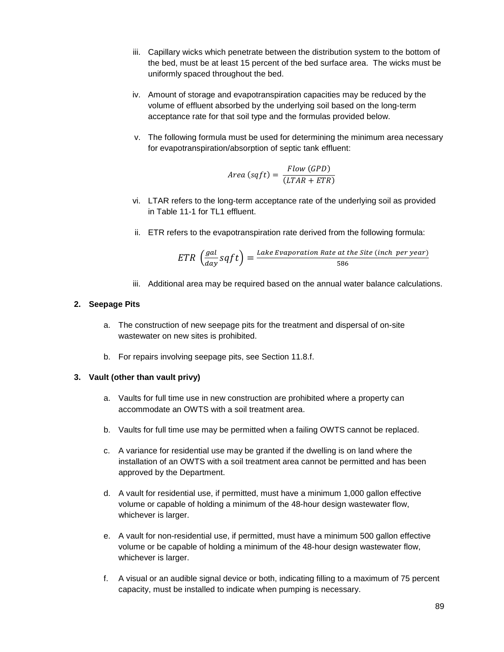- iii. Capillary wicks which penetrate between the distribution system to the bottom of the bed, must be at least 15 percent of the bed surface area. The wicks must be uniformly spaced throughout the bed.
- iv. Amount of storage and evapotranspiration capacities may be reduced by the volume of effluent absorbed by the underlying soil based on the long-term acceptance rate for that soil type and the formulas provided below.
- v. The following formula must be used for determining the minimum area necessary for evapotranspiration/absorption of septic tank effluent:

$$
Area\ (sqrt) = \frac{Flow\ (GPD)}{(LTAR + ETR)}
$$

- vi. LTAR refers to the long-term acceptance rate of the underlying soil as provided in Table 11-1 for TL1 effluent.
- ii. ETR refers to the evapotranspiration rate derived from the following formula:

$$
ETR\left(\frac{gal}{day}\,sqft\right) = \frac{Take\,Exaporation\,Rate\,at\,the\,Site\,(inch\,per\,year)}{586}
$$

iii. Additional area may be required based on the annual water balance calculations.

#### **2. Seepage Pits**

- a. The construction of new seepage pits for the treatment and dispersal of on-site wastewater on new sites is prohibited.
- b. For repairs involving seepage pits, see Section 11.8.f.

## **3. Vault (other than vault privy)**

- a. Vaults for full time use in new construction are prohibited where a property can accommodate an OWTS with a soil treatment area.
- b. Vaults for full time use may be permitted when a failing OWTS cannot be replaced.
- c. A variance for residential use may be granted if the dwelling is on land where the installation of an OWTS with a soil treatment area cannot be permitted and has been approved by the Department.
- d. A vault for residential use, if permitted, must have a minimum 1,000 gallon effective volume or capable of holding a minimum of the 48-hour design wastewater flow, whichever is larger.
- e. A vault for non-residential use, if permitted, must have a minimum 500 gallon effective volume or be capable of holding a minimum of the 48-hour design wastewater flow, whichever is larger.
- f. A visual or an audible signal device or both, indicating filling to a maximum of 75 percent capacity, must be installed to indicate when pumping is necessary.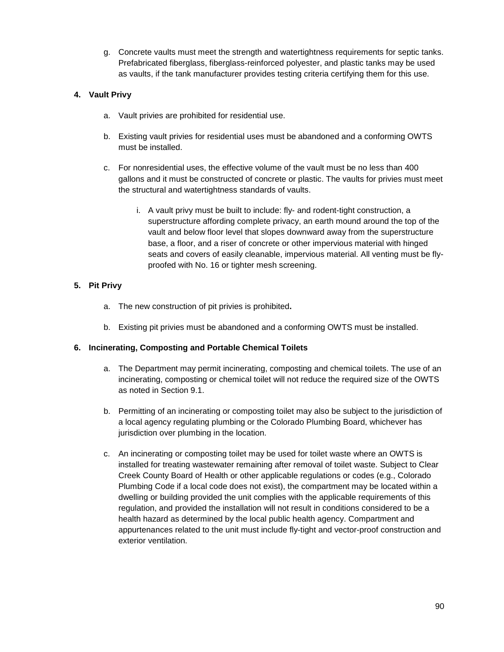g. Concrete vaults must meet the strength and watertightness requirements for septic tanks. Prefabricated fiberglass, fiberglass-reinforced polyester, and plastic tanks may be used as vaults, if the tank manufacturer provides testing criteria certifying them for this use.

# **4. Vault Privy**

- a. Vault privies are prohibited for residential use.
- b. Existing vault privies for residential uses must be abandoned and a conforming OWTS must be installed.
- c. For nonresidential uses, the effective volume of the vault must be no less than 400 gallons and it must be constructed of concrete or plastic. The vaults for privies must meet the structural and watertightness standards of vaults.
	- i. A vault privy must be built to include: fly- and rodent-tight construction, a superstructure affording complete privacy, an earth mound around the top of the vault and below floor level that slopes downward away from the superstructure base, a floor, and a riser of concrete or other impervious material with hinged seats and covers of easily cleanable, impervious material. All venting must be flyproofed with No. 16 or tighter mesh screening.

# **5. Pit Privy**

- a. The new construction of pit privies is prohibited**.**
- b. Existing pit privies must be abandoned and a conforming OWTS must be installed.

## **6. Incinerating, Composting and Portable Chemical Toilets**

- a. The Department may permit incinerating, composting and chemical toilets. The use of an incinerating, composting or chemical toilet will not reduce the required size of the OWTS as noted in Section 9.1.
- b. Permitting of an incinerating or composting toilet may also be subject to the jurisdiction of a local agency regulating plumbing or the Colorado Plumbing Board, whichever has jurisdiction over plumbing in the location.
- c. An incinerating or composting toilet may be used for toilet waste where an OWTS is installed for treating wastewater remaining after removal of toilet waste. Subject to Clear Creek County Board of Health or other applicable regulations or codes (e.g., Colorado Plumbing Code if a local code does not exist), the compartment may be located within a dwelling or building provided the unit complies with the applicable requirements of this regulation, and provided the installation will not result in conditions considered to be a health hazard as determined by the local public health agency. Compartment and appurtenances related to the unit must include fly-tight and vector-proof construction and exterior ventilation.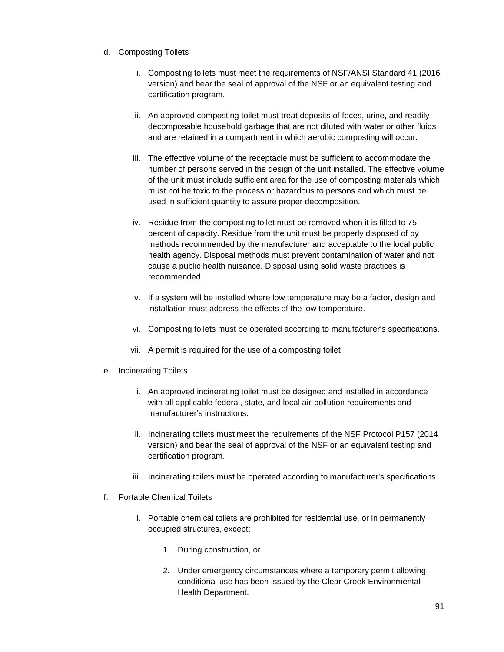- d. Composting Toilets
	- i. Composting toilets must meet the requirements of NSF/ANSI Standard 41 (2016 version) and bear the seal of approval of the NSF or an equivalent testing and certification program.
	- ii. An approved composting toilet must treat deposits of feces, urine, and readily decomposable household garbage that are not diluted with water or other fluids and are retained in a compartment in which aerobic composting will occur.
	- iii. The effective volume of the receptacle must be sufficient to accommodate the number of persons served in the design of the unit installed. The effective volume of the unit must include sufficient area for the use of composting materials which must not be toxic to the process or hazardous to persons and which must be used in sufficient quantity to assure proper decomposition.
	- iv. Residue from the composting toilet must be removed when it is filled to 75 percent of capacity. Residue from the unit must be properly disposed of by methods recommended by the manufacturer and acceptable to the local public health agency. Disposal methods must prevent contamination of water and not cause a public health nuisance. Disposal using solid waste practices is recommended.
	- v. If a system will be installed where low temperature may be a factor, design and installation must address the effects of the low temperature.
	- vi. Composting toilets must be operated according to manufacturer's specifications.
	- vii. A permit is required for the use of a composting toilet
- e. Incinerating Toilets
	- i. An approved incinerating toilet must be designed and installed in accordance with all applicable federal, state, and local air-pollution requirements and manufacturer's instructions.
	- ii. Incinerating toilets must meet the requirements of the NSF Protocol P157 (2014 version) and bear the seal of approval of the NSF or an equivalent testing and certification program.
	- iii. Incinerating toilets must be operated according to manufacturer's specifications.
- f. Portable Chemical Toilets
	- i. Portable chemical toilets are prohibited for residential use, or in permanently occupied structures, except:
		- 1. During construction, or
		- 2. Under emergency circumstances where a temporary permit allowing conditional use has been issued by the Clear Creek Environmental Health Department.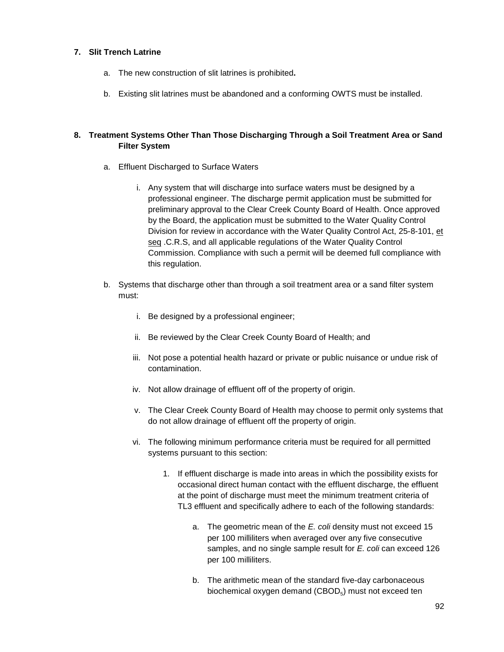## **7. Slit Trench Latrine**

- a. The new construction of slit latrines is prohibited**.**
- b. Existing slit latrines must be abandoned and a conforming OWTS must be installed.

# **8. Treatment Systems Other Than Those Discharging Through a Soil Treatment Area or Sand Filter System**

- a. Effluent Discharged to Surface Waters
	- i. Any system that will discharge into surface waters must be designed by a professional engineer. The discharge permit application must be submitted for preliminary approval to the Clear Creek County Board of Health. Once approved by the Board, the application must be submitted to the Water Quality Control Division for review in accordance with the Water Quality Control Act, 25-8-101, et seq .C.R.S, and all applicable regulations of the Water Quality Control Commission. Compliance with such a permit will be deemed full compliance with this regulation.
- b. Systems that discharge other than through a soil treatment area or a sand filter system must:
	- i. Be designed by a professional engineer;
	- ii. Be reviewed by the Clear Creek County Board of Health; and
	- iii. Not pose a potential health hazard or private or public nuisance or undue risk of contamination.
	- iv. Not allow drainage of effluent off of the property of origin.
	- v. The Clear Creek County Board of Health may choose to permit only systems that do not allow drainage of effluent off the property of origin.
	- vi. The following minimum performance criteria must be required for all permitted systems pursuant to this section:
		- 1. If effluent discharge is made into areas in which the possibility exists for occasional direct human contact with the effluent discharge, the effluent at the point of discharge must meet the minimum treatment criteria of TL3 effluent and specifically adhere to each of the following standards:
			- a. The geometric mean of the *E. coli* density must not exceed 15 per 100 milliliters when averaged over any five consecutive samples, and no single sample result for *E. coli* can exceed 126 per 100 milliliters.
			- b. The arithmetic mean of the standard five-day carbonaceous biochemical oxygen demand  $(CBOD<sub>5</sub>)$  must not exceed ten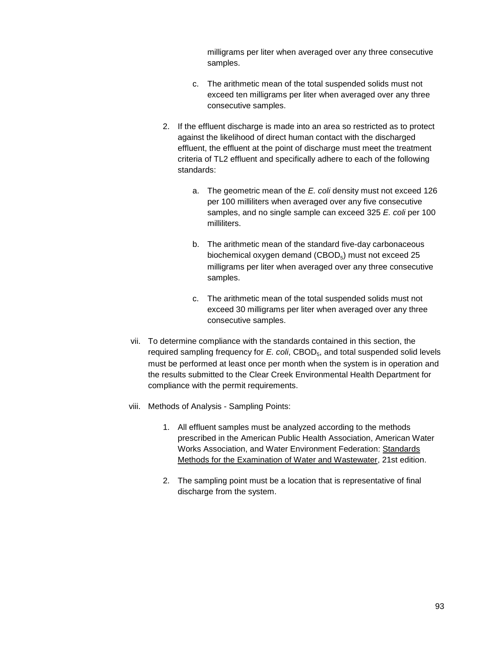milligrams per liter when averaged over any three consecutive samples.

- c. The arithmetic mean of the total suspended solids must not exceed ten milligrams per liter when averaged over any three consecutive samples.
- 2. If the effluent discharge is made into an area so restricted as to protect against the likelihood of direct human contact with the discharged effluent, the effluent at the point of discharge must meet the treatment criteria of TL2 effluent and specifically adhere to each of the following standards:
	- a. The geometric mean of the *E. coli* density must not exceed 126 per 100 milliliters when averaged over any five consecutive samples, and no single sample can exceed 325 *E. coli* per 100 milliliters.
	- b. The arithmetic mean of the standard five-day carbonaceous biochemical oxygen demand  $(CBOD<sub>5</sub>)$  must not exceed 25 milligrams per liter when averaged over any three consecutive samples.
	- c. The arithmetic mean of the total suspended solids must not exceed 30 milligrams per liter when averaged over any three consecutive samples.
- vii. To determine compliance with the standards contained in this section, the required sampling frequency for *E. coli*, CBOD<sub>5</sub>, and total suspended solid levels must be performed at least once per month when the system is in operation and the results submitted to the Clear Creek Environmental Health Department for compliance with the permit requirements.
- viii. Methods of Analysis Sampling Points:
	- 1. All effluent samples must be analyzed according to the methods prescribed in the American Public Health Association, American Water Works Association, and Water Environment Federation: Standards Methods for the Examination of Water and Wastewater, 21st edition.
	- 2. The sampling point must be a location that is representative of final discharge from the system.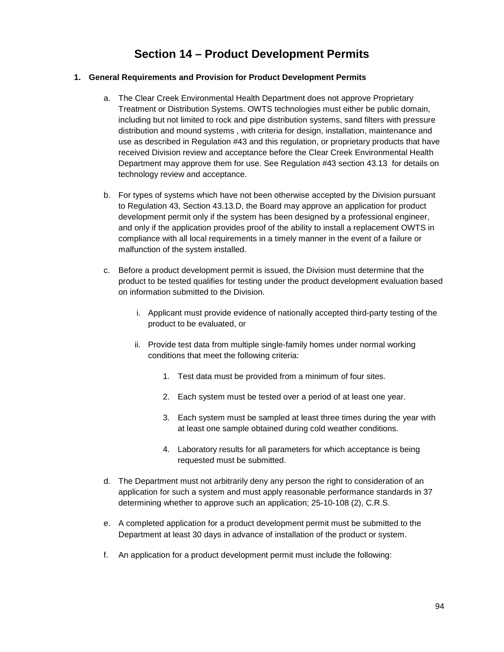# **Section 14 – Product Development Permits**

# **1. General Requirements and Provision for Product Development Permits**

- a. The Clear Creek Environmental Health Department does not approve Proprietary Treatment or Distribution Systems. OWTS technologies must either be public domain, including but not limited to rock and pipe distribution systems, sand filters with pressure distribution and mound systems , with criteria for design, installation, maintenance and use as described in Regulation #43 and this regulation, or proprietary products that have received Division review and acceptance before the Clear Creek Environmental Health Department may approve them for use. See Regulation #43 section 43.13 for details on technology review and acceptance.
- b. For types of systems which have not been otherwise accepted by the Division pursuant to Regulation 43, Section 43.13.D, the Board may approve an application for product development permit only if the system has been designed by a professional engineer, and only if the application provides proof of the ability to install a replacement OWTS in compliance with all local requirements in a timely manner in the event of a failure or malfunction of the system installed.
- c. Before a product development permit is issued, the Division must determine that the product to be tested qualifies for testing under the product development evaluation based on information submitted to the Division.
	- i. Applicant must provide evidence of nationally accepted third-party testing of the product to be evaluated, or
	- ii. Provide test data from multiple single-family homes under normal working conditions that meet the following criteria:
		- 1. Test data must be provided from a minimum of four sites.
		- 2. Each system must be tested over a period of at least one year.
		- 3. Each system must be sampled at least three times during the year with at least one sample obtained during cold weather conditions.
		- 4. Laboratory results for all parameters for which acceptance is being requested must be submitted.
- d. The Department must not arbitrarily deny any person the right to consideration of an application for such a system and must apply reasonable performance standards in 37 determining whether to approve such an application; 25-10-108 (2), C.R.S.
- e. A completed application for a product development permit must be submitted to the Department at least 30 days in advance of installation of the product or system.
- f. An application for a product development permit must include the following: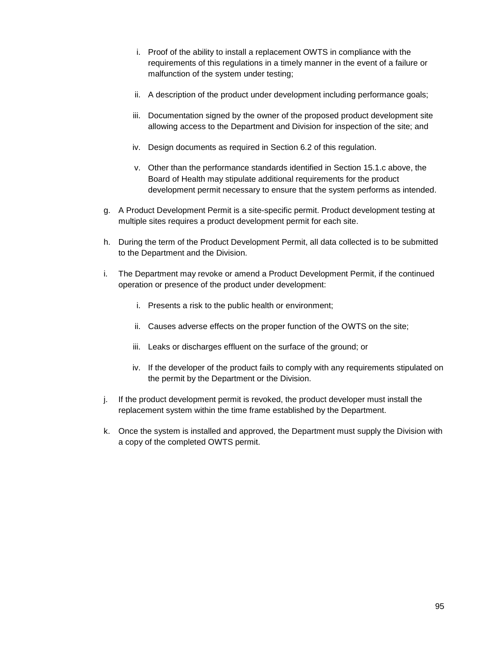- i. Proof of the ability to install a replacement OWTS in compliance with the requirements of this regulations in a timely manner in the event of a failure or malfunction of the system under testing;
- ii. A description of the product under development including performance goals;
- iii. Documentation signed by the owner of the proposed product development site allowing access to the Department and Division for inspection of the site; and
- iv. Design documents as required in Section 6.2 of this regulation.
- v. Other than the performance standards identified in Section 15.1.c above, the Board of Health may stipulate additional requirements for the product development permit necessary to ensure that the system performs as intended.
- g. A Product Development Permit is a site-specific permit. Product development testing at multiple sites requires a product development permit for each site.
- h. During the term of the Product Development Permit, all data collected is to be submitted to the Department and the Division.
- i. The Department may revoke or amend a Product Development Permit, if the continued operation or presence of the product under development:
	- i. Presents a risk to the public health or environment;
	- ii. Causes adverse effects on the proper function of the OWTS on the site;
	- iii. Leaks or discharges effluent on the surface of the ground; or
	- iv. If the developer of the product fails to comply with any requirements stipulated on the permit by the Department or the Division.
- j. If the product development permit is revoked, the product developer must install the replacement system within the time frame established by the Department.
- k. Once the system is installed and approved, the Department must supply the Division with a copy of the completed OWTS permit.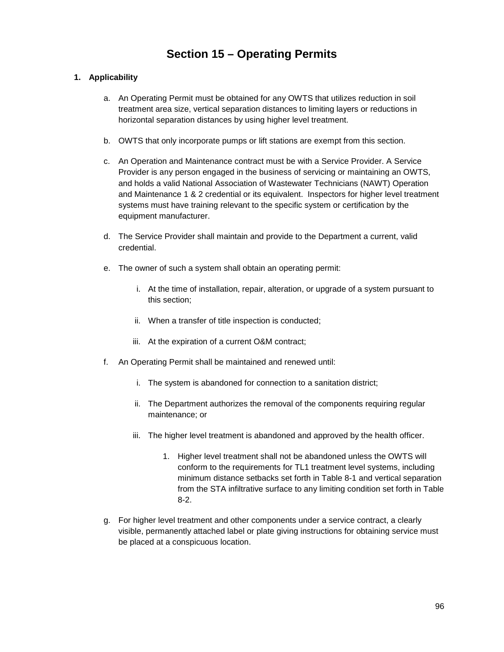# **Section 15 – Operating Permits**

# **1. Applicability**

- a. An Operating Permit must be obtained for any OWTS that utilizes reduction in soil treatment area size, vertical separation distances to limiting layers or reductions in horizontal separation distances by using higher level treatment.
- b. OWTS that only incorporate pumps or lift stations are exempt from this section.
- c. An Operation and Maintenance contract must be with a Service Provider. A Service Provider is any person engaged in the business of servicing or maintaining an OWTS, and holds a valid National Association of Wastewater Technicians (NAWT) Operation and Maintenance 1 & 2 credential or its equivalent. Inspectors for higher level treatment systems must have training relevant to the specific system or certification by the equipment manufacturer.
- d. The Service Provider shall maintain and provide to the Department a current, valid credential.
- e. The owner of such a system shall obtain an operating permit:
	- i. At the time of installation, repair, alteration, or upgrade of a system pursuant to this section;
	- ii. When a transfer of title inspection is conducted;
	- iii. At the expiration of a current O&M contract;
- f. An Operating Permit shall be maintained and renewed until:
	- i. The system is abandoned for connection to a sanitation district;
	- ii. The Department authorizes the removal of the components requiring regular maintenance; or
	- iii. The higher level treatment is abandoned and approved by the health officer.
		- 1. Higher level treatment shall not be abandoned unless the OWTS will conform to the requirements for TL1 treatment level systems, including minimum distance setbacks set forth in Table 8-1 and vertical separation from the STA infiltrative surface to any limiting condition set forth in Table 8-2.
- g. For higher level treatment and other components under a service contract, a clearly visible, permanently attached label or plate giving instructions for obtaining service must be placed at a conspicuous location.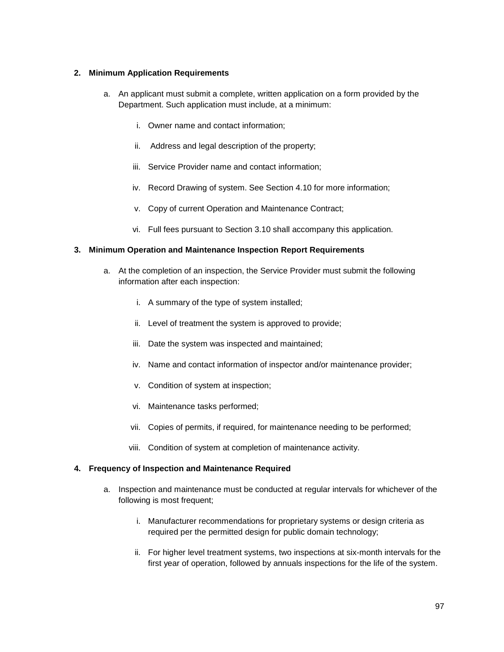## **2. Minimum Application Requirements**

- a. An applicant must submit a complete, written application on a form provided by the Department. Such application must include, at a minimum:
	- i. Owner name and contact information;
	- ii. Address and legal description of the property;
	- iii. Service Provider name and contact information;
	- iv. Record Drawing of system. See Section 4.10 for more information;
	- v. Copy of current Operation and Maintenance Contract;
	- vi. Full fees pursuant to Section 3.10 shall accompany this application.

#### **3. Minimum Operation and Maintenance Inspection Report Requirements**

- a. At the completion of an inspection, the Service Provider must submit the following information after each inspection:
	- i. A summary of the type of system installed;
	- ii. Level of treatment the system is approved to provide;
	- iii. Date the system was inspected and maintained;
	- iv. Name and contact information of inspector and/or maintenance provider;
	- v. Condition of system at inspection;
	- vi. Maintenance tasks performed;
	- vii. Copies of permits, if required, for maintenance needing to be performed;
	- viii. Condition of system at completion of maintenance activity.

#### **4. Frequency of Inspection and Maintenance Required**

- a. Inspection and maintenance must be conducted at regular intervals for whichever of the following is most frequent;
	- i. Manufacturer recommendations for proprietary systems or design criteria as required per the permitted design for public domain technology;
	- ii. For higher level treatment systems, two inspections at six-month intervals for the first year of operation, followed by annuals inspections for the life of the system.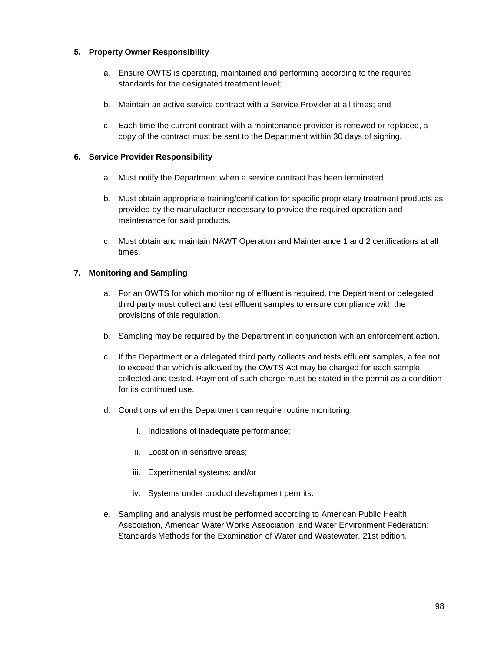## **5. Property Owner Responsibility**

- a. Ensure OWTS is operating, maintained and performing according to the required standards for the designated treatment level;
- b. Maintain an active service contract with a Service Provider at all times; and
- c. Each time the current contract with a maintenance provider is renewed or replaced, a copy of the contract must be sent to the Department within 30 days of signing.

#### **6. Service Provider Responsibility**

- a. Must notify the Department when a service contract has been terminated.
- b. Must obtain appropriate training/certification for specific proprietary treatment products as provided by the manufacturer necessary to provide the required operation and maintenance for said products.
- c. Must obtain and maintain NAWT Operation and Maintenance 1 and 2 certifications at all times.

#### **7. Monitoring and Sampling**

- a. For an OWTS for which monitoring of effluent is required, the Department or delegated third party must collect and test effluent samples to ensure compliance with the provisions of this regulation.
- b. Sampling may be required by the Department in conjunction with an enforcement action.
- c. If the Department or a delegated third party collects and tests effluent samples, a fee not to exceed that which is allowed by the OWTS Act may be charged for each sample collected and tested. Payment of such charge must be stated in the permit as a condition for its continued use.
- d. Conditions when the Department can require routine monitoring:
	- i. Indications of inadequate performance;
	- ii. Location in sensitive areas;
	- iii. Experimental systems; and/or
	- iv. Systems under product development permits.
- e. Sampling and analysis must be performed according to American Public Health Association, American Water Works Association, and Water Environment Federation: Standards Methods for the Examination of Water and Wastewater, 21st edition.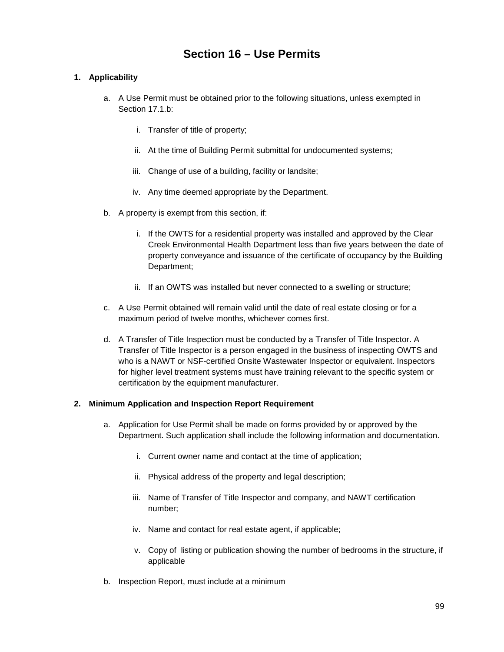# **Section 16 – Use Permits**

# **1. Applicability**

- a. A Use Permit must be obtained prior to the following situations, unless exempted in Section 17.1 b:
	- i. Transfer of title of property;
	- ii. At the time of Building Permit submittal for undocumented systems;
	- iii. Change of use of a building, facility or landsite;
	- iv. Any time deemed appropriate by the Department.
- b. A property is exempt from this section, if:
	- i. If the OWTS for a residential property was installed and approved by the Clear Creek Environmental Health Department less than five years between the date of property conveyance and issuance of the certificate of occupancy by the Building Department;
	- ii. If an OWTS was installed but never connected to a swelling or structure;
- c. A Use Permit obtained will remain valid until the date of real estate closing or for a maximum period of twelve months, whichever comes first.
- d. A Transfer of Title Inspection must be conducted by a Transfer of Title Inspector. A Transfer of Title Inspector is a person engaged in the business of inspecting OWTS and who is a NAWT or NSF-certified Onsite Wastewater Inspector or equivalent. Inspectors for higher level treatment systems must have training relevant to the specific system or certification by the equipment manufacturer.

#### **2. Minimum Application and Inspection Report Requirement**

- a. Application for Use Permit shall be made on forms provided by or approved by the Department. Such application shall include the following information and documentation.
	- i. Current owner name and contact at the time of application;
	- ii. Physical address of the property and legal description;
	- iii. Name of Transfer of Title Inspector and company, and NAWT certification number;
	- iv. Name and contact for real estate agent, if applicable;
	- v. Copy of listing or publication showing the number of bedrooms in the structure, if applicable
- b. Inspection Report, must include at a minimum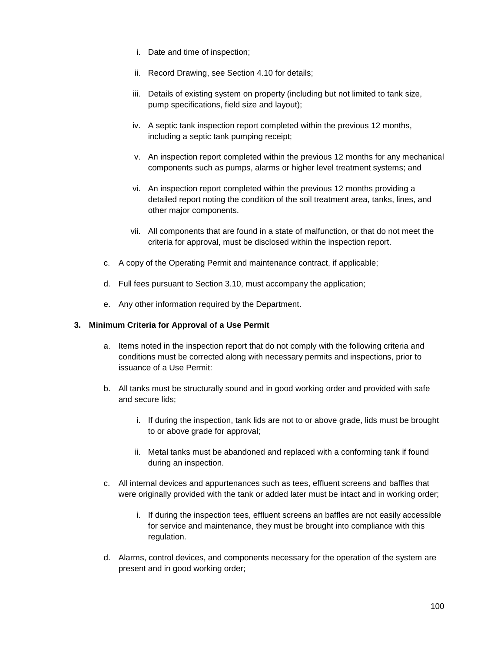- i. Date and time of inspection;
- ii. Record Drawing, see Section 4.10 for details;
- iii. Details of existing system on property (including but not limited to tank size, pump specifications, field size and layout);
- iv. A septic tank inspection report completed within the previous 12 months, including a septic tank pumping receipt;
- v. An inspection report completed within the previous 12 months for any mechanical components such as pumps, alarms or higher level treatment systems; and
- vi. An inspection report completed within the previous 12 months providing a detailed report noting the condition of the soil treatment area, tanks, lines, and other major components.
- vii. All components that are found in a state of malfunction, or that do not meet the criteria for approval, must be disclosed within the inspection report.
- c. A copy of the Operating Permit and maintenance contract, if applicable;
- d. Full fees pursuant to Section 3.10, must accompany the application;
- e. Any other information required by the Department.

#### **3. Minimum Criteria for Approval of a Use Permit**

- a. Items noted in the inspection report that do not comply with the following criteria and conditions must be corrected along with necessary permits and inspections, prior to issuance of a Use Permit:
- b. All tanks must be structurally sound and in good working order and provided with safe and secure lids;
	- i. If during the inspection, tank lids are not to or above grade, lids must be brought to or above grade for approval;
	- ii. Metal tanks must be abandoned and replaced with a conforming tank if found during an inspection.
- c. All internal devices and appurtenances such as tees, effluent screens and baffles that were originally provided with the tank or added later must be intact and in working order;
	- i. If during the inspection tees, effluent screens an baffles are not easily accessible for service and maintenance, they must be brought into compliance with this regulation.
- d. Alarms, control devices, and components necessary for the operation of the system are present and in good working order;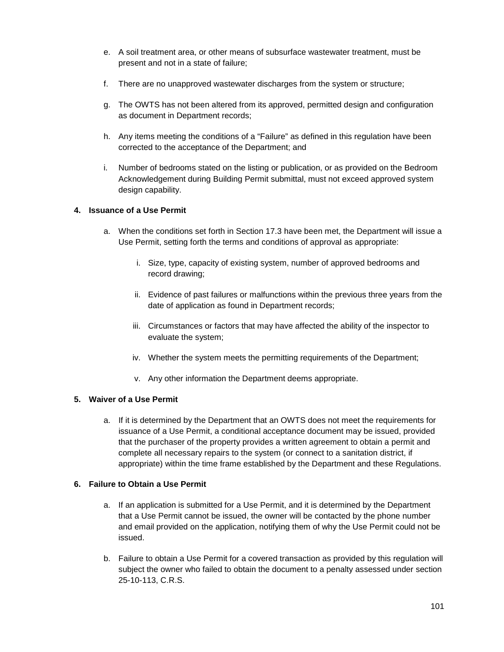- e. A soil treatment area, or other means of subsurface wastewater treatment, must be present and not in a state of failure;
- f. There are no unapproved wastewater discharges from the system or structure;
- g. The OWTS has not been altered from its approved, permitted design and configuration as document in Department records;
- h. Any items meeting the conditions of a "Failure" as defined in this regulation have been corrected to the acceptance of the Department; and
- i. Number of bedrooms stated on the listing or publication, or as provided on the Bedroom Acknowledgement during Building Permit submittal, must not exceed approved system design capability.

## **4. Issuance of a Use Permit**

- a. When the conditions set forth in Section 17.3 have been met, the Department will issue a Use Permit, setting forth the terms and conditions of approval as appropriate:
	- i. Size, type, capacity of existing system, number of approved bedrooms and record drawing;
	- ii. Evidence of past failures or malfunctions within the previous three years from the date of application as found in Department records;
	- iii. Circumstances or factors that may have affected the ability of the inspector to evaluate the system;
	- iv. Whether the system meets the permitting requirements of the Department;
	- v. Any other information the Department deems appropriate.

#### **5. Waiver of a Use Permit**

a. If it is determined by the Department that an OWTS does not meet the requirements for issuance of a Use Permit, a conditional acceptance document may be issued, provided that the purchaser of the property provides a written agreement to obtain a permit and complete all necessary repairs to the system (or connect to a sanitation district, if appropriate) within the time frame established by the Department and these Regulations.

#### **6. Failure to Obtain a Use Permit**

- a. If an application is submitted for a Use Permit, and it is determined by the Department that a Use Permit cannot be issued, the owner will be contacted by the phone number and email provided on the application, notifying them of why the Use Permit could not be issued.
- b. Failure to obtain a Use Permit for a covered transaction as provided by this regulation will subject the owner who failed to obtain the document to a penalty assessed under section 25-10-113, C.R.S.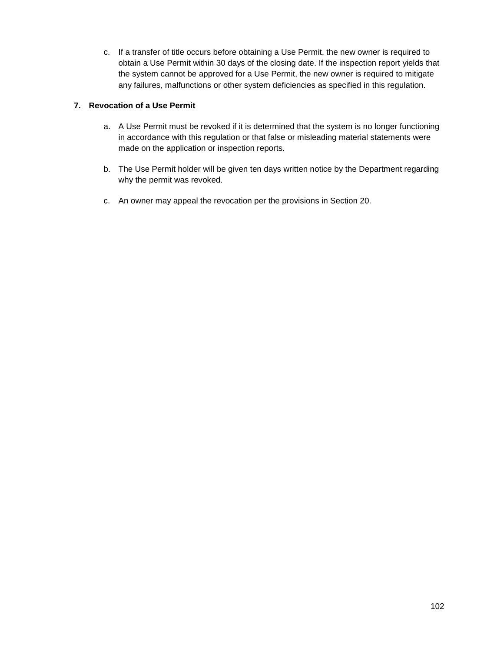c. If a transfer of title occurs before obtaining a Use Permit, the new owner is required to obtain a Use Permit within 30 days of the closing date. If the inspection report yields that the system cannot be approved for a Use Permit, the new owner is required to mitigate any failures, malfunctions or other system deficiencies as specified in this regulation.

# **7. Revocation of a Use Permit**

- a. A Use Permit must be revoked if it is determined that the system is no longer functioning in accordance with this regulation or that false or misleading material statements were made on the application or inspection reports.
- b. The Use Permit holder will be given ten days written notice by the Department regarding why the permit was revoked.
- c. An owner may appeal the revocation per the provisions in Section 20.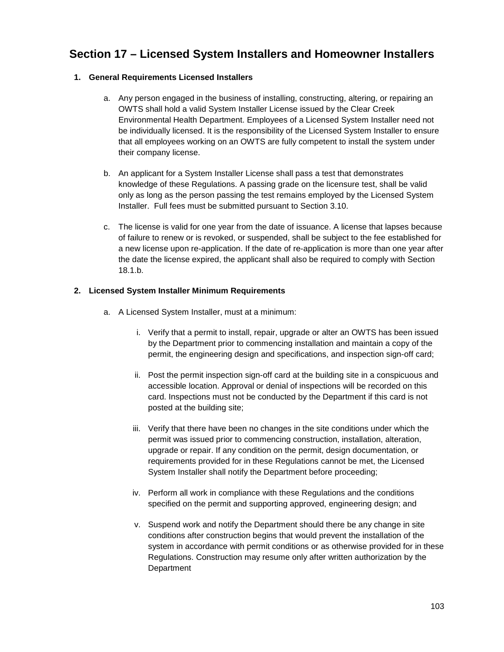# **Section 17 – Licensed System Installers and Homeowner Installers**

## **1. General Requirements Licensed Installers**

- a. Any person engaged in the business of installing, constructing, altering, or repairing an OWTS shall hold a valid System Installer License issued by the Clear Creek Environmental Health Department. Employees of a Licensed System Installer need not be individually licensed. It is the responsibility of the Licensed System Installer to ensure that all employees working on an OWTS are fully competent to install the system under their company license.
- b. An applicant for a System Installer License shall pass a test that demonstrates knowledge of these Regulations. A passing grade on the licensure test, shall be valid only as long as the person passing the test remains employed by the Licensed System Installer. Full fees must be submitted pursuant to Section 3.10.
- c. The license is valid for one year from the date of issuance. A license that lapses because of failure to renew or is revoked, or suspended, shall be subject to the fee established for a new license upon re-application. If the date of re-application is more than one year after the date the license expired, the applicant shall also be required to comply with Section 18.1.b.

## **2. Licensed System Installer Minimum Requirements**

- a. A Licensed System Installer, must at a minimum:
	- i. Verify that a permit to install, repair, upgrade or alter an OWTS has been issued by the Department prior to commencing installation and maintain a copy of the permit, the engineering design and specifications, and inspection sign-off card;
	- ii. Post the permit inspection sign-off card at the building site in a conspicuous and accessible location. Approval or denial of inspections will be recorded on this card. Inspections must not be conducted by the Department if this card is not posted at the building site;
	- iii. Verify that there have been no changes in the site conditions under which the permit was issued prior to commencing construction, installation, alteration, upgrade or repair. If any condition on the permit, design documentation, or requirements provided for in these Regulations cannot be met, the Licensed System Installer shall notify the Department before proceeding;
	- iv. Perform all work in compliance with these Regulations and the conditions specified on the permit and supporting approved, engineering design; and
	- v. Suspend work and notify the Department should there be any change in site conditions after construction begins that would prevent the installation of the system in accordance with permit conditions or as otherwise provided for in these Regulations. Construction may resume only after written authorization by the Department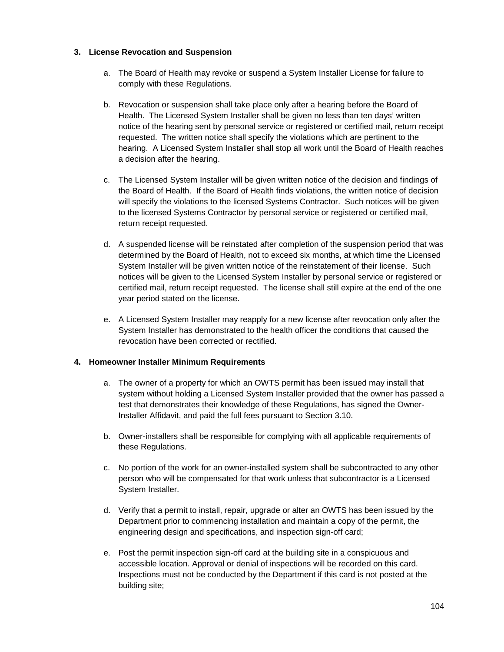## **3. License Revocation and Suspension**

- a. The Board of Health may revoke or suspend a System Installer License for failure to comply with these Regulations.
- b. Revocation or suspension shall take place only after a hearing before the Board of Health. The Licensed System Installer shall be given no less than ten days' written notice of the hearing sent by personal service or registered or certified mail, return receipt requested. The written notice shall specify the violations which are pertinent to the hearing. A Licensed System Installer shall stop all work until the Board of Health reaches a decision after the hearing.
- c. The Licensed System Installer will be given written notice of the decision and findings of the Board of Health. If the Board of Health finds violations, the written notice of decision will specify the violations to the licensed Systems Contractor. Such notices will be given to the licensed Systems Contractor by personal service or registered or certified mail, return receipt requested.
- d. A suspended license will be reinstated after completion of the suspension period that was determined by the Board of Health, not to exceed six months, at which time the Licensed System Installer will be given written notice of the reinstatement of their license. Such notices will be given to the Licensed System Installer by personal service or registered or certified mail, return receipt requested. The license shall still expire at the end of the one year period stated on the license.
- e. A Licensed System Installer may reapply for a new license after revocation only after the System Installer has demonstrated to the health officer the conditions that caused the revocation have been corrected or rectified.

## **4. Homeowner Installer Minimum Requirements**

- a. The owner of a property for which an OWTS permit has been issued may install that system without holding a Licensed System Installer provided that the owner has passed a test that demonstrates their knowledge of these Regulations, has signed the Owner-Installer Affidavit, and paid the full fees pursuant to Section 3.10.
- b. Owner-installers shall be responsible for complying with all applicable requirements of these Regulations.
- c. No portion of the work for an owner-installed system shall be subcontracted to any other person who will be compensated for that work unless that subcontractor is a Licensed System Installer.
- d. Verify that a permit to install, repair, upgrade or alter an OWTS has been issued by the Department prior to commencing installation and maintain a copy of the permit, the engineering design and specifications, and inspection sign-off card;
- e. Post the permit inspection sign-off card at the building site in a conspicuous and accessible location. Approval or denial of inspections will be recorded on this card. Inspections must not be conducted by the Department if this card is not posted at the building site;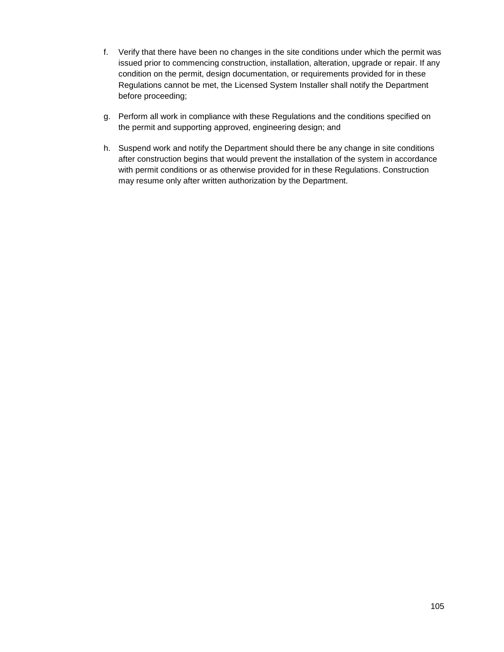- f. Verify that there have been no changes in the site conditions under which the permit was issued prior to commencing construction, installation, alteration, upgrade or repair. If any condition on the permit, design documentation, or requirements provided for in these Regulations cannot be met, the Licensed System Installer shall notify the Department before proceeding;
- g. Perform all work in compliance with these Regulations and the conditions specified on the permit and supporting approved, engineering design; and
- h. Suspend work and notify the Department should there be any change in site conditions after construction begins that would prevent the installation of the system in accordance with permit conditions or as otherwise provided for in these Regulations. Construction may resume only after written authorization by the Department.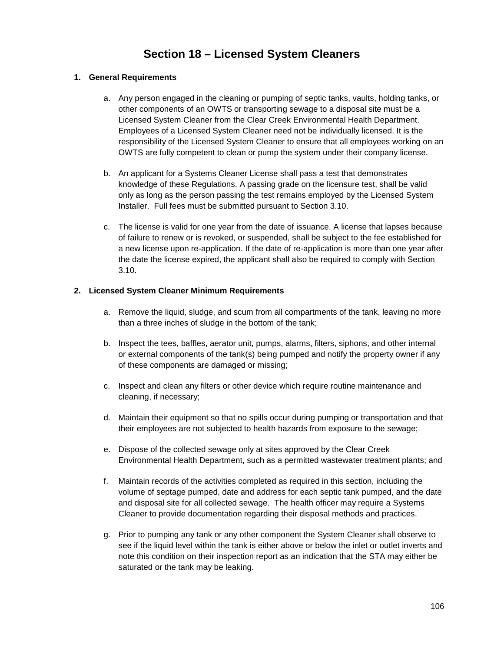# **Section 18 – Licensed System Cleaners**

## **1. General Requirements**

- a. Any person engaged in the cleaning or pumping of septic tanks, vaults, holding tanks, or other components of an OWTS or transporting sewage to a disposal site must be a Licensed System Cleaner from the Clear Creek Environmental Health Department. Employees of a Licensed System Cleaner need not be individually licensed. It is the responsibility of the Licensed System Cleaner to ensure that all employees working on an OWTS are fully competent to clean or pump the system under their company license.
- b. An applicant for a Systems Cleaner License shall pass a test that demonstrates knowledge of these Regulations. A passing grade on the licensure test, shall be valid only as long as the person passing the test remains employed by the Licensed System Installer. Full fees must be submitted pursuant to Section 3.10.
- c. The license is valid for one year from the date of issuance. A license that lapses because of failure to renew or is revoked, or suspended, shall be subject to the fee established for a new license upon re-application. If the date of re-application is more than one year after the date the license expired, the applicant shall also be required to comply with Section 3.10.

## **2. Licensed System Cleaner Minimum Requirements**

- a. Remove the liquid, sludge, and scum from all compartments of the tank, leaving no more than a three inches of sludge in the bottom of the tank;
- b. Inspect the tees, baffles, aerator unit, pumps, alarms, filters, siphons, and other internal or external components of the tank(s) being pumped and notify the property owner if any of these components are damaged or missing;
- c. Inspect and clean any filters or other device which require routine maintenance and cleaning, if necessary;
- d. Maintain their equipment so that no spills occur during pumping or transportation and that their employees are not subjected to health hazards from exposure to the sewage;
- e. Dispose of the collected sewage only at sites approved by the Clear Creek Environmental Health Department, such as a permitted wastewater treatment plants; and
- f. Maintain records of the activities completed as required in this section, including the volume of septage pumped, date and address for each septic tank pumped, and the date and disposal site for all collected sewage. The health officer may require a Systems Cleaner to provide documentation regarding their disposal methods and practices.
- g. Prior to pumping any tank or any other component the System Cleaner shall observe to see if the liquid level within the tank is either above or below the inlet or outlet inverts and note this condition on their inspection report as an indication that the STA may either be saturated or the tank may be leaking.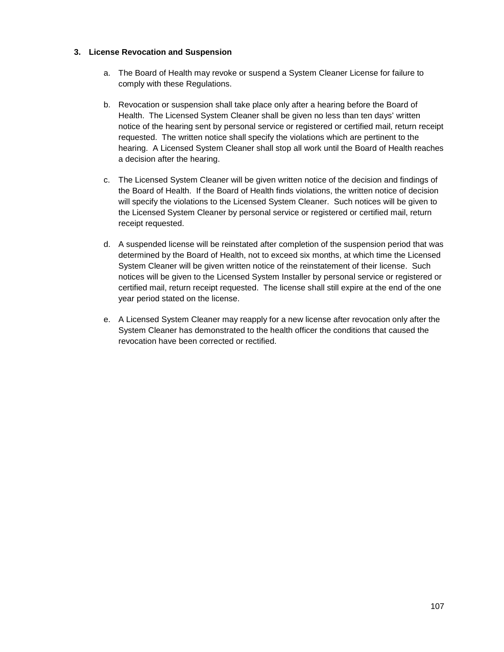#### **3. License Revocation and Suspension**

- a. The Board of Health may revoke or suspend a System Cleaner License for failure to comply with these Regulations.
- b. Revocation or suspension shall take place only after a hearing before the Board of Health. The Licensed System Cleaner shall be given no less than ten days' written notice of the hearing sent by personal service or registered or certified mail, return receipt requested. The written notice shall specify the violations which are pertinent to the hearing. A Licensed System Cleaner shall stop all work until the Board of Health reaches a decision after the hearing.
- c. The Licensed System Cleaner will be given written notice of the decision and findings of the Board of Health. If the Board of Health finds violations, the written notice of decision will specify the violations to the Licensed System Cleaner. Such notices will be given to the Licensed System Cleaner by personal service or registered or certified mail, return receipt requested.
- d. A suspended license will be reinstated after completion of the suspension period that was determined by the Board of Health, not to exceed six months, at which time the Licensed System Cleaner will be given written notice of the reinstatement of their license. Such notices will be given to the Licensed System Installer by personal service or registered or certified mail, return receipt requested. The license shall still expire at the end of the one year period stated on the license.
- e. A Licensed System Cleaner may reapply for a new license after revocation only after the System Cleaner has demonstrated to the health officer the conditions that caused the revocation have been corrected or rectified.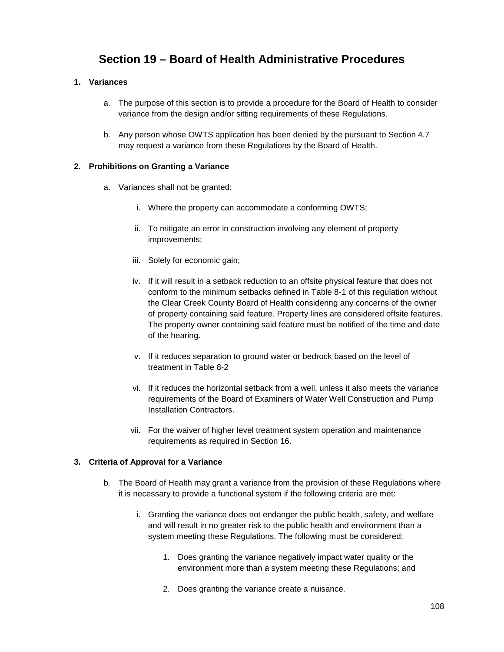# **Section 19 – Board of Health Administrative Procedures**

#### **1. Variances**

- a. The purpose of this section is to provide a procedure for the Board of Health to consider variance from the design and/or sitting requirements of these Regulations.
- b. Any person whose OWTS application has been denied by the pursuant to Section 4.7 may request a variance from these Regulations by the Board of Health.

#### **2. Prohibitions on Granting a Variance**

- a. Variances shall not be granted:
	- i. Where the property can accommodate a conforming OWTS;
	- ii. To mitigate an error in construction involving any element of property improvements;
	- iii. Solely for economic gain;
	- iv. If it will result in a setback reduction to an offsite physical feature that does not conform to the minimum setbacks defined in Table 8-1 of this regulation without the Clear Creek County Board of Health considering any concerns of the owner of property containing said feature. Property lines are considered offsite features. The property owner containing said feature must be notified of the time and date of the hearing.
	- v. If it reduces separation to ground water or bedrock based on the level of treatment in Table 8-2
	- vi. If it reduces the horizontal setback from a well, unless it also meets the variance requirements of the Board of Examiners of Water Well Construction and Pump Installation Contractors.
	- vii. For the waiver of higher level treatment system operation and maintenance requirements as required in Section 16.

#### **3. Criteria of Approval for a Variance**

- b. The Board of Health may grant a variance from the provision of these Regulations where it is necessary to provide a functional system if the following criteria are met:
	- i. Granting the variance does not endanger the public health, safety, and welfare and will result in no greater risk to the public health and environment than a system meeting these Regulations. The following must be considered:
		- 1. Does granting the variance negatively impact water quality or the environment more than a system meeting these Regulations; and
		- 2. Does granting the variance create a nuisance.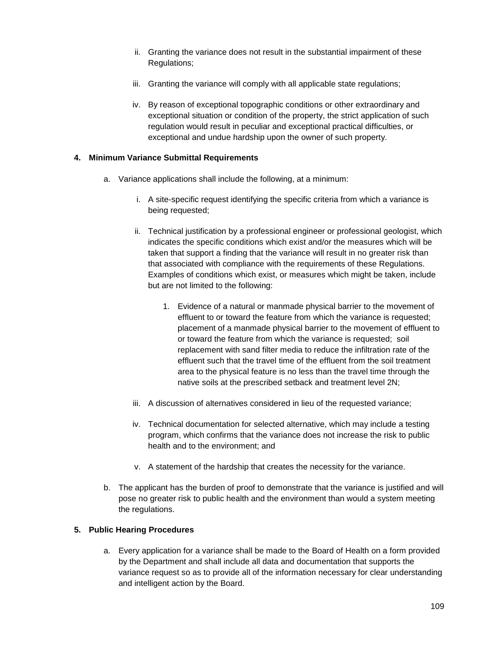- ii. Granting the variance does not result in the substantial impairment of these Regulations;
- iii. Granting the variance will comply with all applicable state regulations;
- iv. By reason of exceptional topographic conditions or other extraordinary and exceptional situation or condition of the property, the strict application of such regulation would result in peculiar and exceptional practical difficulties, or exceptional and undue hardship upon the owner of such property.

### **4. Minimum Variance Submittal Requirements**

- a. Variance applications shall include the following, at a minimum:
	- i. A site-specific request identifying the specific criteria from which a variance is being requested;
	- ii. Technical justification by a professional engineer or professional geologist, which indicates the specific conditions which exist and/or the measures which will be taken that support a finding that the variance will result in no greater risk than that associated with compliance with the requirements of these Regulations. Examples of conditions which exist, or measures which might be taken, include but are not limited to the following:
		- 1. Evidence of a natural or manmade physical barrier to the movement of effluent to or toward the feature from which the variance is requested; placement of a manmade physical barrier to the movement of effluent to or toward the feature from which the variance is requested; soil replacement with sand filter media to reduce the infiltration rate of the effluent such that the travel time of the effluent from the soil treatment area to the physical feature is no less than the travel time through the native soils at the prescribed setback and treatment level 2N;
	- iii. A discussion of alternatives considered in lieu of the requested variance;
	- iv. Technical documentation for selected alternative, which may include a testing program, which confirms that the variance does not increase the risk to public health and to the environment; and
	- v. A statement of the hardship that creates the necessity for the variance.
- b. The applicant has the burden of proof to demonstrate that the variance is justified and will pose no greater risk to public health and the environment than would a system meeting the regulations.

## **5. Public Hearing Procedures**

a. Every application for a variance shall be made to the Board of Health on a form provided by the Department and shall include all data and documentation that supports the variance request so as to provide all of the information necessary for clear understanding and intelligent action by the Board.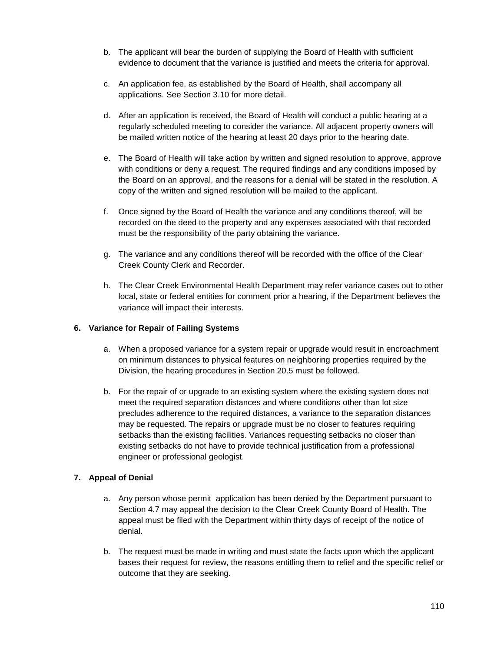- b. The applicant will bear the burden of supplying the Board of Health with sufficient evidence to document that the variance is justified and meets the criteria for approval.
- c. An application fee, as established by the Board of Health, shall accompany all applications. See Section 3.10 for more detail.
- d. After an application is received, the Board of Health will conduct a public hearing at a regularly scheduled meeting to consider the variance. All adjacent property owners will be mailed written notice of the hearing at least 20 days prior to the hearing date.
- e. The Board of Health will take action by written and signed resolution to approve, approve with conditions or deny a request. The required findings and any conditions imposed by the Board on an approval, and the reasons for a denial will be stated in the resolution. A copy of the written and signed resolution will be mailed to the applicant.
- f. Once signed by the Board of Health the variance and any conditions thereof, will be recorded on the deed to the property and any expenses associated with that recorded must be the responsibility of the party obtaining the variance.
- g. The variance and any conditions thereof will be recorded with the office of the Clear Creek County Clerk and Recorder.
- h. The Clear Creek Environmental Health Department may refer variance cases out to other local, state or federal entities for comment prior a hearing, if the Department believes the variance will impact their interests.

## **6. Variance for Repair of Failing Systems**

- a. When a proposed variance for a system repair or upgrade would result in encroachment on minimum distances to physical features on neighboring properties required by the Division, the hearing procedures in Section 20.5 must be followed.
- b. For the repair of or upgrade to an existing system where the existing system does not meet the required separation distances and where conditions other than lot size precludes adherence to the required distances, a variance to the separation distances may be requested. The repairs or upgrade must be no closer to features requiring setbacks than the existing facilities. Variances requesting setbacks no closer than existing setbacks do not have to provide technical justification from a professional engineer or professional geologist.

## **7. Appeal of Denial**

- a. Any person whose permit application has been denied by the Department pursuant to Section 4.7 may appeal the decision to the Clear Creek County Board of Health. The appeal must be filed with the Department within thirty days of receipt of the notice of denial.
- b. The request must be made in writing and must state the facts upon which the applicant bases their request for review, the reasons entitling them to relief and the specific relief or outcome that they are seeking.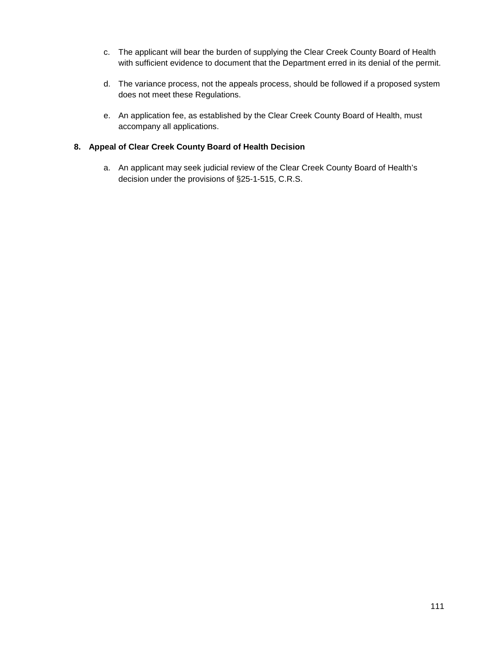- c. The applicant will bear the burden of supplying the Clear Creek County Board of Health with sufficient evidence to document that the Department erred in its denial of the permit.
- d. The variance process, not the appeals process, should be followed if a proposed system does not meet these Regulations.
- e. An application fee, as established by the Clear Creek County Board of Health, must accompany all applications.

### **8. Appeal of Clear Creek County Board of Health Decision**

a. An applicant may seek judicial review of the Clear Creek County Board of Health's decision under the provisions of §25-1-515, C.R.S.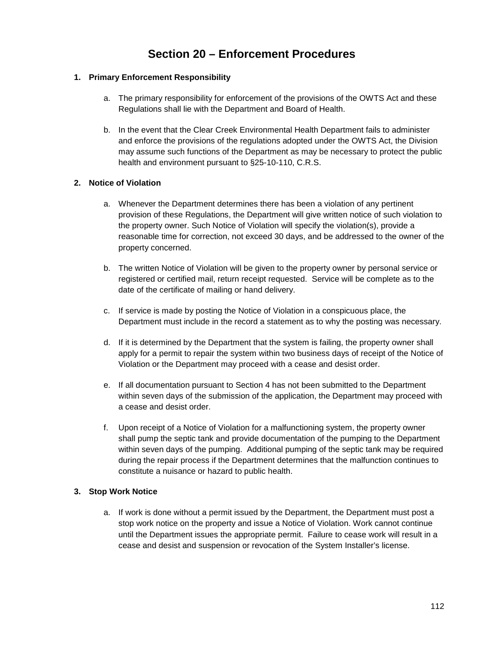# **Section 20 – Enforcement Procedures**

### **1. Primary Enforcement Responsibility**

- a. The primary responsibility for enforcement of the provisions of the OWTS Act and these Regulations shall lie with the Department and Board of Health.
- b. In the event that the Clear Creek Environmental Health Department fails to administer and enforce the provisions of the regulations adopted under the OWTS Act, the Division may assume such functions of the Department as may be necessary to protect the public health and environment pursuant to §25-10-110, C.R.S.

#### **2. Notice of Violation**

- a. Whenever the Department determines there has been a violation of any pertinent provision of these Regulations, the Department will give written notice of such violation to the property owner. Such Notice of Violation will specify the violation(s), provide a reasonable time for correction, not exceed 30 days, and be addressed to the owner of the property concerned.
- b. The written Notice of Violation will be given to the property owner by personal service or registered or certified mail, return receipt requested. Service will be complete as to the date of the certificate of mailing or hand delivery.
- c. If service is made by posting the Notice of Violation in a conspicuous place, the Department must include in the record a statement as to why the posting was necessary.
- d. If it is determined by the Department that the system is failing, the property owner shall apply for a permit to repair the system within two business days of receipt of the Notice of Violation or the Department may proceed with a cease and desist order.
- e. If all documentation pursuant to Section 4 has not been submitted to the Department within seven days of the submission of the application, the Department may proceed with a cease and desist order.
- f. Upon receipt of a Notice of Violation for a malfunctioning system, the property owner shall pump the septic tank and provide documentation of the pumping to the Department within seven days of the pumping. Additional pumping of the septic tank may be required during the repair process if the Department determines that the malfunction continues to constitute a nuisance or hazard to public health.

#### **3. Stop Work Notice**

a. If work is done without a permit issued by the Department, the Department must post a stop work notice on the property and issue a Notice of Violation. Work cannot continue until the Department issues the appropriate permit. Failure to cease work will result in a cease and desist and suspension or revocation of the System Installer's license.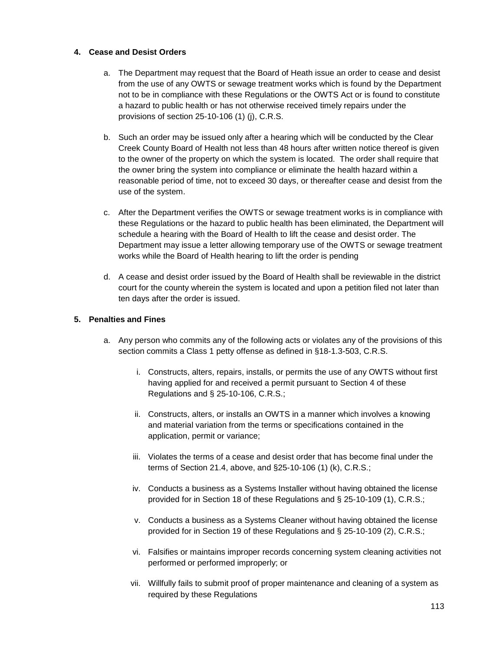#### **4. Cease and Desist Orders**

- a. The Department may request that the Board of Heath issue an order to cease and desist from the use of any OWTS or sewage treatment works which is found by the Department not to be in compliance with these Regulations or the OWTS Act or is found to constitute a hazard to public health or has not otherwise received timely repairs under the provisions of section 25-10-106 (1) (j), C.R.S.
- b. Such an order may be issued only after a hearing which will be conducted by the Clear Creek County Board of Health not less than 48 hours after written notice thereof is given to the owner of the property on which the system is located. The order shall require that the owner bring the system into compliance or eliminate the health hazard within a reasonable period of time, not to exceed 30 days, or thereafter cease and desist from the use of the system.
- c. After the Department verifies the OWTS or sewage treatment works is in compliance with these Regulations or the hazard to public health has been eliminated, the Department will schedule a hearing with the Board of Health to lift the cease and desist order. The Department may issue a letter allowing temporary use of the OWTS or sewage treatment works while the Board of Health hearing to lift the order is pending
- d. A cease and desist order issued by the Board of Health shall be reviewable in the district court for the county wherein the system is located and upon a petition filed not later than ten days after the order is issued.

#### **5. Penalties and Fines**

- a. Any person who commits any of the following acts or violates any of the provisions of this section commits a Class 1 petty offense as defined in §18-1.3-503, C.R.S.
	- i. Constructs, alters, repairs, installs, or permits the use of any OWTS without first having applied for and received a permit pursuant to Section 4 of these Regulations and § 25-10-106, C.R.S.;
	- ii. Constructs, alters, or installs an OWTS in a manner which involves a knowing and material variation from the terms or specifications contained in the application, permit or variance;
	- iii. Violates the terms of a cease and desist order that has become final under the terms of Section 21.4, above, and §25-10-106 (1) (k), C.R.S.;
	- iv. Conducts a business as a Systems Installer without having obtained the license provided for in Section 18 of these Regulations and § 25-10-109 (1), C.R.S.;
	- v. Conducts a business as a Systems Cleaner without having obtained the license provided for in Section 19 of these Regulations and § 25-10-109 (2), C.R.S.;
	- vi. Falsifies or maintains improper records concerning system cleaning activities not performed or performed improperly; or
	- vii. Willfully fails to submit proof of proper maintenance and cleaning of a system as required by these Regulations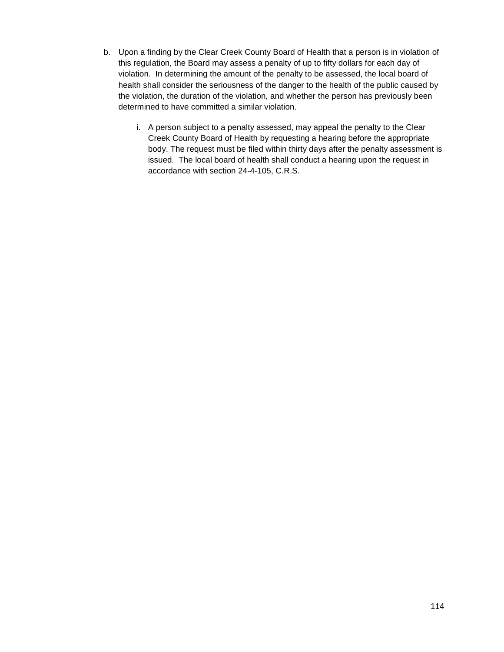- b. Upon a finding by the Clear Creek County Board of Health that a person is in violation of this regulation, the Board may assess a penalty of up to fifty dollars for each day of violation. In determining the amount of the penalty to be assessed, the local board of health shall consider the seriousness of the danger to the health of the public caused by the violation, the duration of the violation, and whether the person has previously been determined to have committed a similar violation.
	- i. A person subject to a penalty assessed, may appeal the penalty to the Clear Creek County Board of Health by requesting a hearing before the appropriate body. The request must be filed within thirty days after the penalty assessment is issued. The local board of health shall conduct a hearing upon the request in accordance with section 24-4-105, C.R.S.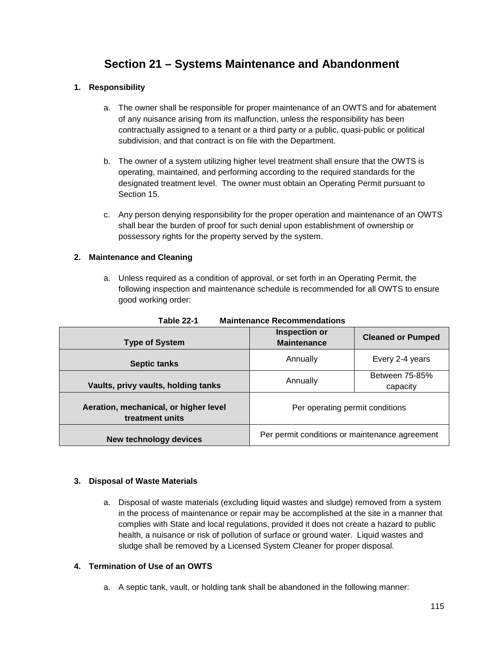# **Section 21 – Systems Maintenance and Abandonment**

#### **1. Responsibility**

- a. The owner shall be responsible for proper maintenance of an OWTS and for abatement of any nuisance arising from its malfunction, unless the responsibility has been contractually assigned to a tenant or a third party or a public, quasi-public or political subdivision, and that contract is on file with the Department.
- b. The owner of a system utilizing higher level treatment shall ensure that the OWTS is operating, maintained, and performing according to the required standards for the designated treatment level. The owner must obtain an Operating Permit pursuant to Section 15.
- c. Any person denying responsibility for the proper operation and maintenance of an OWTS shall bear the burden of proof for such denial upon establishment of ownership or possessory rights for the property served by the system.

#### **2. Maintenance and Cleaning**

a. Unless required as a condition of approval, or set forth in an Operating Permit, the following inspection and maintenance schedule is recommended for all OWTS to ensure good working order:

| <b>Type of System</b>                                    | <b>Inspection or</b><br><b>Maintenance</b>     | <b>Cleaned or Pumped</b>   |
|----------------------------------------------------------|------------------------------------------------|----------------------------|
| <b>Septic tanks</b>                                      | Annually                                       | Every 2-4 years            |
| Vaults, privy vaults, holding tanks                      | Annually                                       | Between 75-85%<br>capacity |
| Aeration, mechanical, or higher level<br>treatment units | Per operating permit conditions                |                            |
| <b>New technology devices</b>                            | Per permit conditions or maintenance agreement |                            |

**Table 22-1 Maintenance Recommendations**

#### **3. Disposal of Waste Materials**

a. Disposal of waste materials (excluding liquid wastes and sludge) removed from a system in the process of maintenance or repair may be accomplished at the site in a manner that complies with State and local regulations, provided it does not create a hazard to public health, a nuisance or risk of pollution of surface or ground water. Liquid wastes and sludge shall be removed by a Licensed System Cleaner for proper disposal.

#### **4. Termination of Use of an OWTS**

a. A septic tank, vault, or holding tank shall be abandoned in the following manner: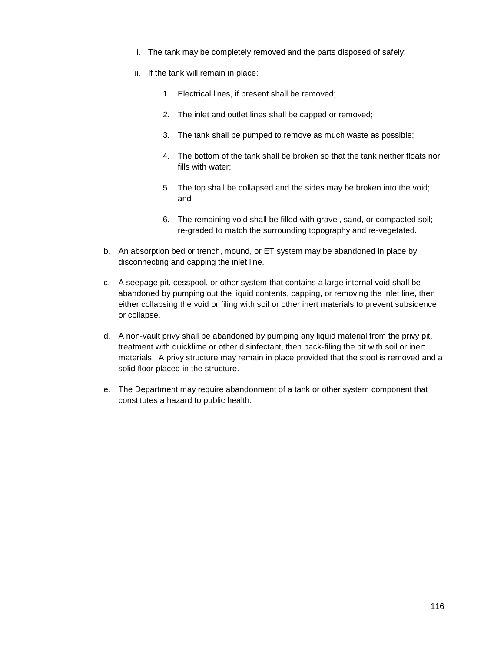- i. The tank may be completely removed and the parts disposed of safely;
- ii. If the tank will remain in place:
	- 1. Electrical lines, if present shall be removed;
	- 2. The inlet and outlet lines shall be capped or removed;
	- 3. The tank shall be pumped to remove as much waste as possible;
	- 4. The bottom of the tank shall be broken so that the tank neither floats nor fills with water;
	- 5. The top shall be collapsed and the sides may be broken into the void; and
	- 6. The remaining void shall be filled with gravel, sand, or compacted soil; re-graded to match the surrounding topography and re-vegetated.
- b. An absorption bed or trench, mound, or ET system may be abandoned in place by disconnecting and capping the inlet line.
- c. A seepage pit, cesspool, or other system that contains a large internal void shall be abandoned by pumping out the liquid contents, capping, or removing the inlet line, then either collapsing the void or filing with soil or other inert materials to prevent subsidence or collapse.
- d. A non-vault privy shall be abandoned by pumping any liquid material from the privy pit, treatment with quicklime or other disinfectant, then back-filing the pit with soil or inert materials. A privy structure may remain in place provided that the stool is removed and a solid floor placed in the structure.
- e. The Department may require abandonment of a tank or other system component that constitutes a hazard to public health.